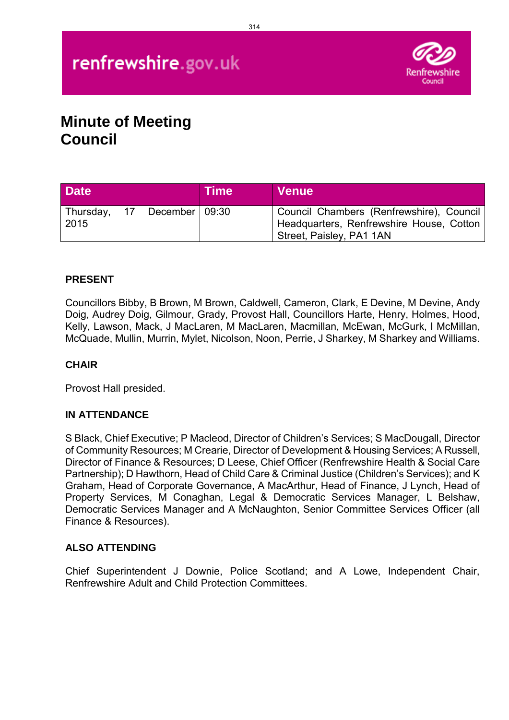# renfrewshire.gov.uk



# **Minute of Meeting Council**

| <b>Date</b>          |                  | <b>Time</b> | <b>Venue</b>                                                                                                     |
|----------------------|------------------|-------------|------------------------------------------------------------------------------------------------------------------|
| Thursday, 17<br>2015 | December   09:30 |             | Council Chambers (Renfrewshire), Council<br>Headquarters, Renfrewshire House, Cotton<br>Street, Paisley, PA1 1AN |

# **PRESENT**

Councillors Bibby, B Brown, M Brown, Caldwell, Cameron, Clark, E Devine, M Devine, Andy Doig, Audrey Doig, Gilmour, Grady, Provost Hall, Councillors Harte, Henry, Holmes, Hood, Kelly, Lawson, Mack, J MacLaren, M MacLaren, Macmillan, McEwan, McGurk, I McMillan, McQuade, Mullin, Murrin, Mylet, Nicolson, Noon, Perrie, J Sharkey, M Sharkey and Williams.

### **CHAIR**

Provost Hall presided.

#### **IN ATTENDANCE**

S Black, Chief Executive; P Macleod, Director of Children's Services; S MacDougall, Director of Community Resources; M Crearie, Director of Development & Housing Services; A Russell, Director of Finance & Resources; D Leese, Chief Officer (Renfrewshire Health & Social Care Partnership); D Hawthorn, Head of Child Care & Criminal Justice (Children's Services); and K Graham, Head of Corporate Governance, A MacArthur, Head of Finance, J Lynch, Head of Property Services, M Conaghan, Legal & Democratic Services Manager, L Belshaw, Democratic Services Manager and A McNaughton, Senior Committee Services Officer (all Finance & Resources).

#### **ALSO ATTENDING**

Chief Superintendent J Downie, Police Scotland; and A Lowe, Independent Chair, Renfrewshire Adult and Child Protection Committees.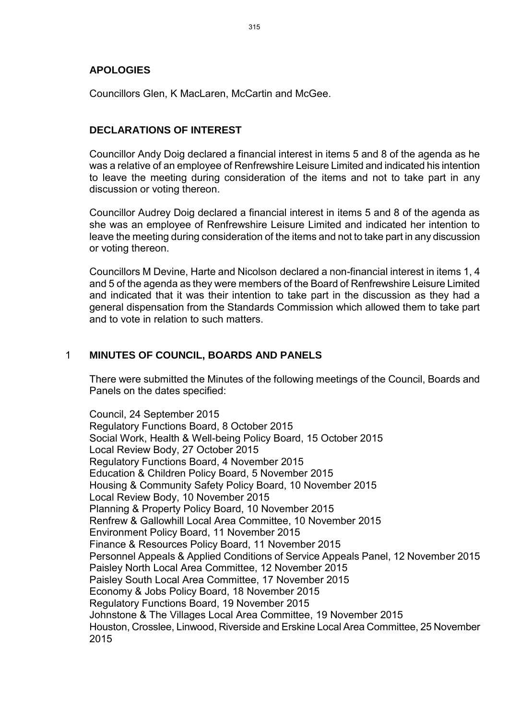#### **APOLOGIES**

Councillors Glen, K MacLaren, McCartin and McGee.

### **DECLARATIONS OF INTEREST**

Councillor Andy Doig declared a financial interest in items 5 and 8 of the agenda as he was a relative of an employee of Renfrewshire Leisure Limited and indicated his intention to leave the meeting during consideration of the items and not to take part in any discussion or voting thereon.

Councillor Audrey Doig declared a financial interest in items 5 and 8 of the agenda as she was an employee of Renfrewshire Leisure Limited and indicated her intention to leave the meeting during consideration of the items and not to take part in any discussion or voting thereon.

Councillors M Devine, Harte and Nicolson declared a non-financial interest in items 1, 4 and 5 of the agenda as they were members of the Board of Renfrewshire Leisure Limited and indicated that it was their intention to take part in the discussion as they had a general dispensation from the Standards Commission which allowed them to take part and to vote in relation to such matters.

#### 1 **MINUTES OF COUNCIL, BOARDS AND PANELS**

There were submitted the Minutes of the following meetings of the Council, Boards and Panels on the dates specified:

Council, 24 September 2015 Regulatory Functions Board, 8 October 2015 Social Work, Health & Well-being Policy Board, 15 October 2015 Local Review Body, 27 October 2015 Regulatory Functions Board, 4 November 2015 Education & Children Policy Board, 5 November 2015 Housing & Community Safety Policy Board, 10 November 2015 Local Review Body, 10 November 2015 Planning & Property Policy Board, 10 November 2015 Renfrew & Gallowhill Local Area Committee, 10 November 2015 Environment Policy Board, 11 November 2015 Finance & Resources Policy Board, 11 November 2015 Personnel Appeals & Applied Conditions of Service Appeals Panel, 12 November 2015 Paisley North Local Area Committee, 12 November 2015 Paisley South Local Area Committee, 17 November 2015 Economy & Jobs Policy Board, 18 November 2015 Regulatory Functions Board, 19 November 2015 Johnstone & The Villages Local Area Committee, 19 November 2015 Houston, Crosslee, Linwood, Riverside and Erskine Local Area Committee, 25 November 2015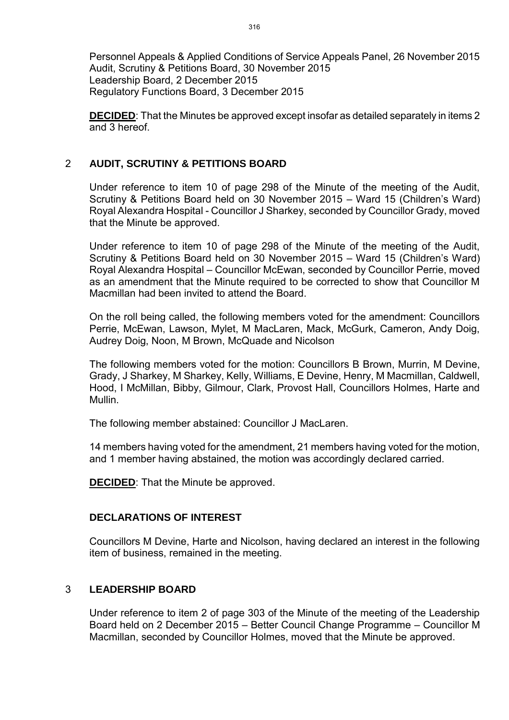Personnel Appeals & Applied Conditions of Service Appeals Panel, 26 November 2015 Audit, Scrutiny & Petitions Board, 30 November 2015 Leadership Board, 2 December 2015 Regulatory Functions Board, 3 December 2015

**DECIDED**: That the Minutes be approved except insofar as detailed separately in items 2 and 3 hereof.

#### 2 **AUDIT, SCRUTINY & PETITIONS BOARD**

Under reference to item 10 of page 298 of the Minute of the meeting of the Audit, Scrutiny & Petitions Board held on 30 November 2015 – Ward 15 (Children's Ward) Royal Alexandra Hospital - Councillor J Sharkey, seconded by Councillor Grady, moved that the Minute be approved.

Under reference to item 10 of page 298 of the Minute of the meeting of the Audit, Scrutiny & Petitions Board held on 30 November 2015 – Ward 15 (Children's Ward) Royal Alexandra Hospital – Councillor McEwan, seconded by Councillor Perrie, moved as an amendment that the Minute required to be corrected to show that Councillor M Macmillan had been invited to attend the Board.

On the roll being called, the following members voted for the amendment: Councillors Perrie, McEwan, Lawson, Mylet, M MacLaren, Mack, McGurk, Cameron, Andy Doig, Audrey Doig, Noon, M Brown, McQuade and Nicolson

The following members voted for the motion: Councillors B Brown, Murrin, M Devine, Grady, J Sharkey, M Sharkey, Kelly, Williams, E Devine, Henry, M Macmillan, Caldwell, Hood, I McMillan, Bibby, Gilmour, Clark, Provost Hall, Councillors Holmes, Harte and Mullin.

The following member abstained: Councillor J MacLaren.

14 members having voted for the amendment, 21 members having voted for the motion, and 1 member having abstained, the motion was accordingly declared carried.

**DECIDED**: That the Minute be approved.

#### **DECLARATIONS OF INTEREST**

Councillors M Devine, Harte and Nicolson, having declared an interest in the following item of business, remained in the meeting.

#### 3 **LEADERSHIP BOARD**

Under reference to item 2 of page 303 of the Minute of the meeting of the Leadership Board held on 2 December 2015 – Better Council Change Programme – Councillor M Macmillan, seconded by Councillor Holmes, moved that the Minute be approved.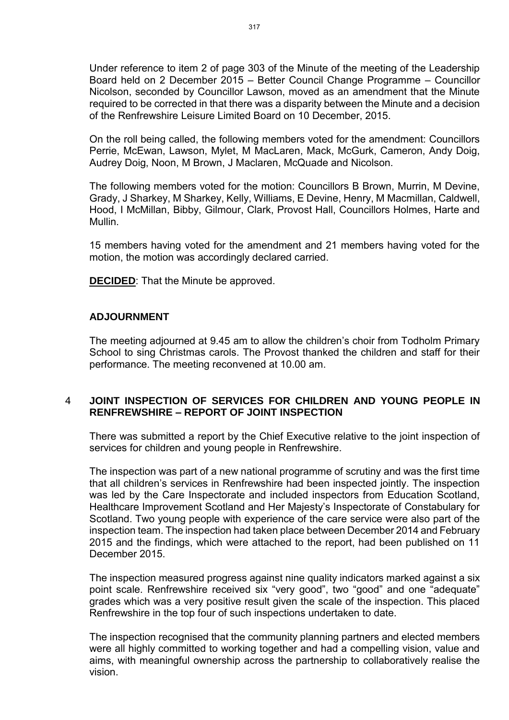Under reference to item 2 of page 303 of the Minute of the meeting of the Leadership Board held on 2 December 2015 – Better Council Change Programme – Councillor Nicolson, seconded by Councillor Lawson, moved as an amendment that the Minute required to be corrected in that there was a disparity between the Minute and a decision of the Renfrewshire Leisure Limited Board on 10 December, 2015.

On the roll being called, the following members voted for the amendment: Councillors Perrie, McEwan, Lawson, Mylet, M MacLaren, Mack, McGurk, Cameron, Andy Doig, Audrey Doig, Noon, M Brown, J Maclaren, McQuade and Nicolson.

The following members voted for the motion: Councillors B Brown, Murrin, M Devine, Grady, J Sharkey, M Sharkey, Kelly, Williams, E Devine, Henry, M Macmillan, Caldwell, Hood, I McMillan, Bibby, Gilmour, Clark, Provost Hall, Councillors Holmes, Harte and Mullin.

15 members having voted for the amendment and 21 members having voted for the motion, the motion was accordingly declared carried.

**DECIDED**: That the Minute be approved.

#### **ADJOURNMENT**

The meeting adjourned at 9.45 am to allow the children's choir from Todholm Primary School to sing Christmas carols. The Provost thanked the children and staff for their performance. The meeting reconvened at 10.00 am.

#### 4 **JOINT INSPECTION OF SERVICES FOR CHILDREN AND YOUNG PEOPLE IN RENFREWSHIRE – REPORT OF JOINT INSPECTION**

There was submitted a report by the Chief Executive relative to the joint inspection of services for children and young people in Renfrewshire.

The inspection was part of a new national programme of scrutiny and was the first time that all children's services in Renfrewshire had been inspected jointly. The inspection was led by the Care Inspectorate and included inspectors from Education Scotland, Healthcare Improvement Scotland and Her Majesty's Inspectorate of Constabulary for Scotland. Two young people with experience of the care service were also part of the inspection team. The inspection had taken place between December 2014 and February 2015 and the findings, which were attached to the report, had been published on 11 December 2015.

The inspection measured progress against nine quality indicators marked against a six point scale. Renfrewshire received six "very good", two "good" and one "adequate" grades which was a very positive result given the scale of the inspection. This placed Renfrewshire in the top four of such inspections undertaken to date.

The inspection recognised that the community planning partners and elected members were all highly committed to working together and had a compelling vision, value and aims, with meaningful ownership across the partnership to collaboratively realise the vision.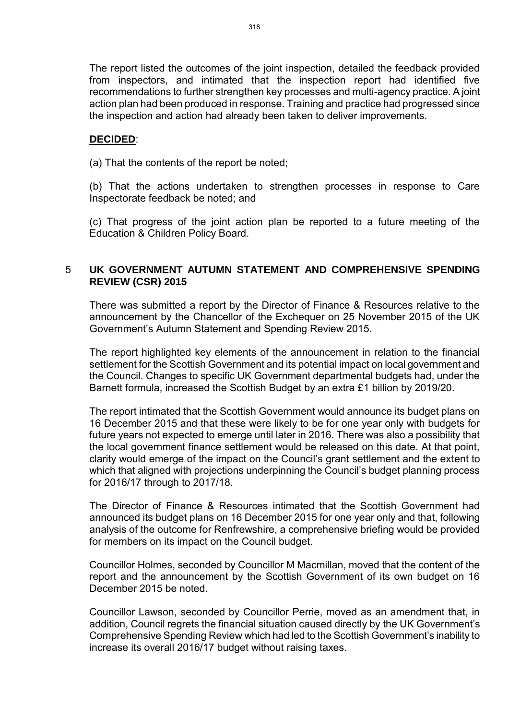The report listed the outcomes of the joint inspection, detailed the feedback provided from inspectors, and intimated that the inspection report had identified five recommendations to further strengthen key processes and multi-agency practice. A joint action plan had been produced in response. Training and practice had progressed since the inspection and action had already been taken to deliver improvements.

#### **DECIDED**:

(a) That the contents of the report be noted;

(b) That the actions undertaken to strengthen processes in response to Care Inspectorate feedback be noted; and

(c) That progress of the joint action plan be reported to a future meeting of the Education & Children Policy Board.

#### 5 **UK GOVERNMENT AUTUMN STATEMENT AND COMPREHENSIVE SPENDING REVIEW (CSR) 2015**

There was submitted a report by the Director of Finance & Resources relative to the announcement by the Chancellor of the Exchequer on 25 November 2015 of the UK Government's Autumn Statement and Spending Review 2015.

The report highlighted key elements of the announcement in relation to the financial settlement for the Scottish Government and its potential impact on local government and the Council. Changes to specific UK Government departmental budgets had, under the Barnett formula, increased the Scottish Budget by an extra £1 billion by 2019/20.

The report intimated that the Scottish Government would announce its budget plans on 16 December 2015 and that these were likely to be for one year only with budgets for future years not expected to emerge until later in 2016. There was also a possibility that the local government finance settlement would be released on this date. At that point, clarity would emerge of the impact on the Council's grant settlement and the extent to which that aligned with projections underpinning the Council's budget planning process for 2016/17 through to 2017/18.

The Director of Finance & Resources intimated that the Scottish Government had announced its budget plans on 16 December 2015 for one year only and that, following analysis of the outcome for Renfrewshire, a comprehensive briefing would be provided for members on its impact on the Council budget.

Councillor Holmes, seconded by Councillor M Macmillan, moved that the content of the report and the announcement by the Scottish Government of its own budget on 16 December 2015 be noted.

Councillor Lawson, seconded by Councillor Perrie, moved as an amendment that, in addition, Council regrets the financial situation caused directly by the UK Government's Comprehensive Spending Review which had led to the Scottish Government's inability to increase its overall 2016/17 budget without raising taxes.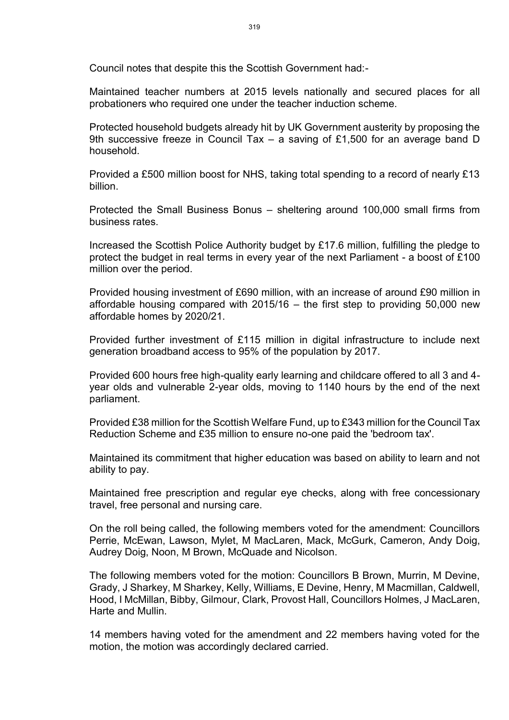Council notes that despite this the Scottish Government had:-

Maintained teacher numbers at 2015 levels nationally and secured places for all probationers who required one under the teacher induction scheme.

Protected household budgets already hit by UK Government austerity by proposing the 9th successive freeze in Council Tax – a saving of £1,500 for an average band D household.

Provided a £500 million boost for NHS, taking total spending to a record of nearly £13 billion.

Protected the Small Business Bonus – sheltering around 100,000 small firms from business rates.

Increased the Scottish Police Authority budget by £17.6 million, fulfilling the pledge to protect the budget in real terms in every year of the next Parliament - a boost of £100 million over the period.

Provided housing investment of £690 million, with an increase of around £90 million in affordable housing compared with 2015/16 – the first step to providing 50,000 new affordable homes by 2020/21.

Provided further investment of £115 million in digital infrastructure to include next generation broadband access to 95% of the population by 2017.

Provided 600 hours free high-quality early learning and childcare offered to all 3 and 4 year olds and vulnerable 2-year olds, moving to 1140 hours by the end of the next parliament.

Provided £38 million for the Scottish Welfare Fund, up to £343 million for the Council Tax Reduction Scheme and £35 million to ensure no-one paid the 'bedroom tax'.

Maintained its commitment that higher education was based on ability to learn and not ability to pay.

Maintained free prescription and regular eye checks, along with free concessionary travel, free personal and nursing care.

On the roll being called, the following members voted for the amendment: Councillors Perrie, McEwan, Lawson, Mylet, M MacLaren, Mack, McGurk, Cameron, Andy Doig, Audrey Doig, Noon, M Brown, McQuade and Nicolson.

The following members voted for the motion: Councillors B Brown, Murrin, M Devine, Grady, J Sharkey, M Sharkey, Kelly, Williams, E Devine, Henry, M Macmillan, Caldwell, Hood, I McMillan, Bibby, Gilmour, Clark, Provost Hall, Councillors Holmes, J MacLaren, Harte and Mullin.

14 members having voted for the amendment and 22 members having voted for the motion, the motion was accordingly declared carried.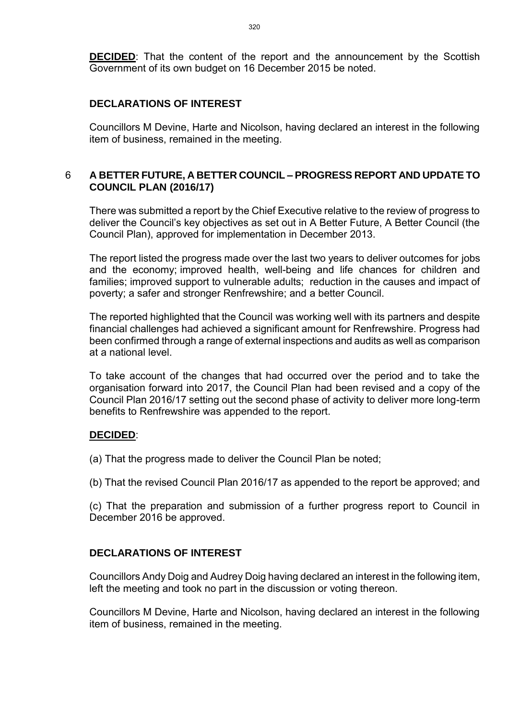**DECIDED:** That the content of the report and the announcement by the Scottish Government of its own budget on 16 December 2015 be noted.

#### **DECLARATIONS OF INTEREST**

Councillors M Devine, Harte and Nicolson, having declared an interest in the following item of business, remained in the meeting.

#### 6 **A BETTER FUTURE, A BETTER COUNCIL – PROGRESS REPORT AND UPDATE TO COUNCIL PLAN (2016/17)**

There was submitted a report by the Chief Executive relative to the review of progress to deliver the Council's key objectives as set out in A Better Future, A Better Council (the Council Plan), approved for implementation in December 2013.

The report listed the progress made over the last two years to deliver outcomes for jobs and the economy; improved health, well-being and life chances for children and families; improved support to vulnerable adults; reduction in the causes and impact of poverty; a safer and stronger Renfrewshire; and a better Council.

The reported highlighted that the Council was working well with its partners and despite financial challenges had achieved a significant amount for Renfrewshire. Progress had been confirmed through a range of external inspections and audits as well as comparison at a national level.

To take account of the changes that had occurred over the period and to take the organisation forward into 2017, the Council Plan had been revised and a copy of the Council Plan 2016/17 setting out the second phase of activity to deliver more long-term benefits to Renfrewshire was appended to the report.

#### **DECIDED**:

(a) That the progress made to deliver the Council Plan be noted;

(b) That the revised Council Plan 2016/17 as appended to the report be approved; and

(c) That the preparation and submission of a further progress report to Council in December 2016 be approved.

#### **DECLARATIONS OF INTEREST**

Councillors Andy Doig and Audrey Doig having declared an interest in the following item, left the meeting and took no part in the discussion or voting thereon.

Councillors M Devine, Harte and Nicolson, having declared an interest in the following item of business, remained in the meeting.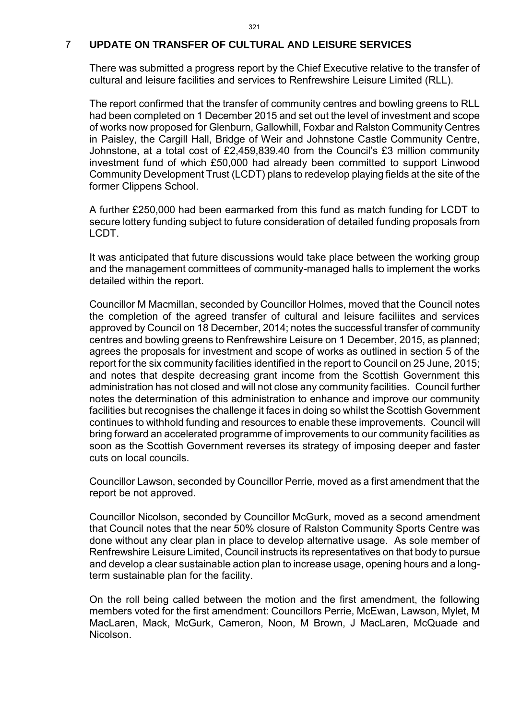#### 7 **UPDATE ON TRANSFER OF CULTURAL AND LEISURE SERVICES**

There was submitted a progress report by the Chief Executive relative to the transfer of cultural and leisure facilities and services to Renfrewshire Leisure Limited (RLL).

The report confirmed that the transfer of community centres and bowling greens to RLL had been completed on 1 December 2015 and set out the level of investment and scope of works now proposed for Glenburn, Gallowhill, Foxbar and Ralston Community Centres in Paisley, the Cargill Hall, Bridge of Weir and Johnstone Castle Community Centre, Johnstone, at a total cost of £2,459,839.40 from the Council's £3 million community investment fund of which £50,000 had already been committed to support Linwood Community Development Trust (LCDT) plans to redevelop playing fields at the site of the former Clippens School.

A further £250,000 had been earmarked from this fund as match funding for LCDT to secure lottery funding subject to future consideration of detailed funding proposals from LCDT.

It was anticipated that future discussions would take place between the working group and the management committees of community-managed halls to implement the works detailed within the report.

Councillor M Macmillan, seconded by Councillor Holmes, moved that the Council notes the completion of the agreed transfer of cultural and leisure faciliites and services approved by Council on 18 December, 2014; notes the successful transfer of community centres and bowling greens to Renfrewshire Leisure on 1 December, 2015, as planned; agrees the proposals for investment and scope of works as outlined in section 5 of the report for the six community facilities identified in the report to Council on 25 June, 2015; and notes that despite decreasing grant income from the Scottish Government this administration has not closed and will not close any community facilities. Council further notes the determination of this administration to enhance and improve our community facilities but recognises the challenge it faces in doing so whilst the Scottish Government continues to withhold funding and resources to enable these improvements. Council will bring forward an accelerated programme of improvements to our community facilities as soon as the Scottish Government reverses its strategy of imposing deeper and faster cuts on local councils.

Councillor Lawson, seconded by Councillor Perrie, moved as a first amendment that the report be not approved.

Councillor Nicolson, seconded by Councillor McGurk, moved as a second amendment that Council notes that the near 50% closure of Ralston Community Sports Centre was done without any clear plan in place to develop alternative usage. As sole member of Renfrewshire Leisure Limited, Council instructs its representatives on that body to pursue and develop a clear sustainable action plan to increase usage, opening hours and a longterm sustainable plan for the facility.

On the roll being called between the motion and the first amendment, the following members voted for the first amendment: Councillors Perrie, McEwan, Lawson, Mylet, M MacLaren, Mack, McGurk, Cameron, Noon, M Brown, J MacLaren, McQuade and Nicolson.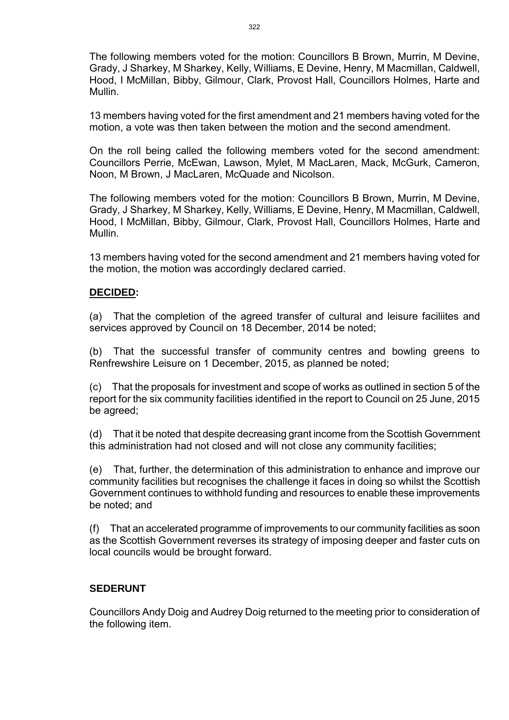The following members voted for the motion: Councillors B Brown, Murrin, M Devine, Grady, J Sharkey, M Sharkey, Kelly, Williams, E Devine, Henry, M Macmillan, Caldwell, Hood, I McMillan, Bibby, Gilmour, Clark, Provost Hall, Councillors Holmes, Harte and Mullin.

13 members having voted for the first amendment and 21 members having voted for the motion, a vote was then taken between the motion and the second amendment.

On the roll being called the following members voted for the second amendment: Councillors Perrie, McEwan, Lawson, Mylet, M MacLaren, Mack, McGurk, Cameron, Noon, M Brown, J MacLaren, McQuade and Nicolson.

The following members voted for the motion: Councillors B Brown, Murrin, M Devine, Grady, J Sharkey, M Sharkey, Kelly, Williams, E Devine, Henry, M Macmillan, Caldwell, Hood, I McMillan, Bibby, Gilmour, Clark, Provost Hall, Councillors Holmes, Harte and Mullin.

13 members having voted for the second amendment and 21 members having voted for the motion, the motion was accordingly declared carried.

#### **DECIDED:**

(a) That the completion of the agreed transfer of cultural and leisure faciliites and services approved by Council on 18 December, 2014 be noted;

(b) That the successful transfer of community centres and bowling greens to Renfrewshire Leisure on 1 December, 2015, as planned be noted;

(c) That the proposals for investment and scope of works as outlined in section 5 of the report for the six community facilities identified in the report to Council on 25 June, 2015 be agreed;

(d) That it be noted that despite decreasing grant income from the Scottish Government this administration had not closed and will not close any community facilities;

(e) That, further, the determination of this administration to enhance and improve our community facilities but recognises the challenge it faces in doing so whilst the Scottish Government continues to withhold funding and resources to enable these improvements be noted; and

(f) That an accelerated programme of improvements to our community facilities as soon as the Scottish Government reverses its strategy of imposing deeper and faster cuts on local councils would be brought forward.

#### **SEDERUNT**

Councillors Andy Doig and Audrey Doig returned to the meeting prior to consideration of the following item.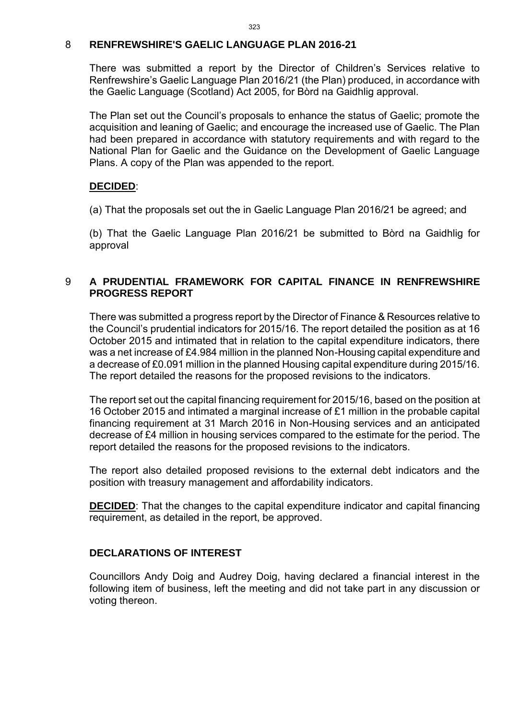#### 8 **RENFREWSHIRE'S GAELIC LANGUAGE PLAN 2016-21**

There was submitted a report by the Director of Children's Services relative to Renfrewshire's Gaelic Language Plan 2016/21 (the Plan) produced, in accordance with the Gaelic Language (Scotland) Act 2005, for Bòrd na Gaidhlig approval.

The Plan set out the Council's proposals to enhance the status of Gaelic; promote the acquisition and leaning of Gaelic; and encourage the increased use of Gaelic. The Plan had been prepared in accordance with statutory requirements and with regard to the National Plan for Gaelic and the Guidance on the Development of Gaelic Language Plans. A copy of the Plan was appended to the report.

#### **DECIDED**:

(a) That the proposals set out the in Gaelic Language Plan 2016/21 be agreed; and

(b) That the Gaelic Language Plan 2016/21 be submitted to Bòrd na Gaidhlig for approval

#### 9 **A PRUDENTIAL FRAMEWORK FOR CAPITAL FINANCE IN RENFREWSHIRE PROGRESS REPORT**

There was submitted a progress report by the Director of Finance & Resources relative to the Council's prudential indicators for 2015/16. The report detailed the position as at 16 October 2015 and intimated that in relation to the capital expenditure indicators, there was a net increase of £4.984 million in the planned Non-Housing capital expenditure and a decrease of £0.091 million in the planned Housing capital expenditure during 2015/16. The report detailed the reasons for the proposed revisions to the indicators.

The report set out the capital financing requirement for 2015/16, based on the position at 16 October 2015 and intimated a marginal increase of £1 million in the probable capital financing requirement at 31 March 2016 in Non-Housing services and an anticipated decrease of £4 million in housing services compared to the estimate for the period. The report detailed the reasons for the proposed revisions to the indicators.

The report also detailed proposed revisions to the external debt indicators and the position with treasury management and affordability indicators.

**DECIDED**: That the changes to the capital expenditure indicator and capital financing requirement, as detailed in the report, be approved.

#### **DECLARATIONS OF INTEREST**

Councillors Andy Doig and Audrey Doig, having declared a financial interest in the following item of business, left the meeting and did not take part in any discussion or voting thereon.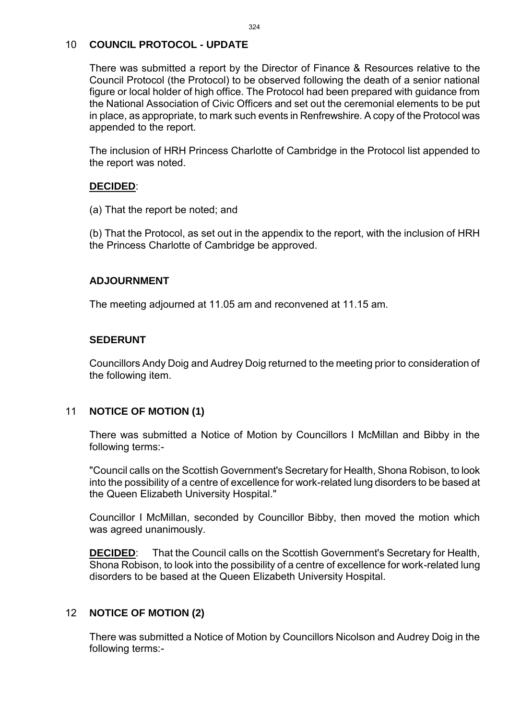#### 10 **COUNCIL PROTOCOL - UPDATE**

There was submitted a report by the Director of Finance & Resources relative to the Council Protocol (the Protocol) to be observed following the death of a senior national figure or local holder of high office. The Protocol had been prepared with guidance from the National Association of Civic Officers and set out the ceremonial elements to be put in place, as appropriate, to mark such events in Renfrewshire. A copy of the Protocol was appended to the report.

The inclusion of HRH Princess Charlotte of Cambridge in the Protocol list appended to the report was noted.

#### **DECIDED**:

(a) That the report be noted; and

(b) That the Protocol, as set out in the appendix to the report, with the inclusion of HRH the Princess Charlotte of Cambridge be approved.

#### **ADJOURNMENT**

The meeting adjourned at 11.05 am and reconvened at 11.15 am.

#### **SEDERUNT**

Councillors Andy Doig and Audrey Doig returned to the meeting prior to consideration of the following item.

#### 11 **NOTICE OF MOTION (1)**

There was submitted a Notice of Motion by Councillors I McMillan and Bibby in the following terms:-

"Council calls on the Scottish Government's Secretary for Health, Shona Robison, to look into the possibility of a centre of excellence for work-related lung disorders to be based at the Queen Elizabeth University Hospital."

Councillor I McMillan, seconded by Councillor Bibby, then moved the motion which was agreed unanimously.

**DECIDED**: That the Council calls on the Scottish Government's Secretary for Health, Shona Robison, to look into the possibility of a centre of excellence for work-related lung disorders to be based at the Queen Elizabeth University Hospital.

#### 12 **NOTICE OF MOTION (2)**

There was submitted a Notice of Motion by Councillors Nicolson and Audrey Doig in the following terms:-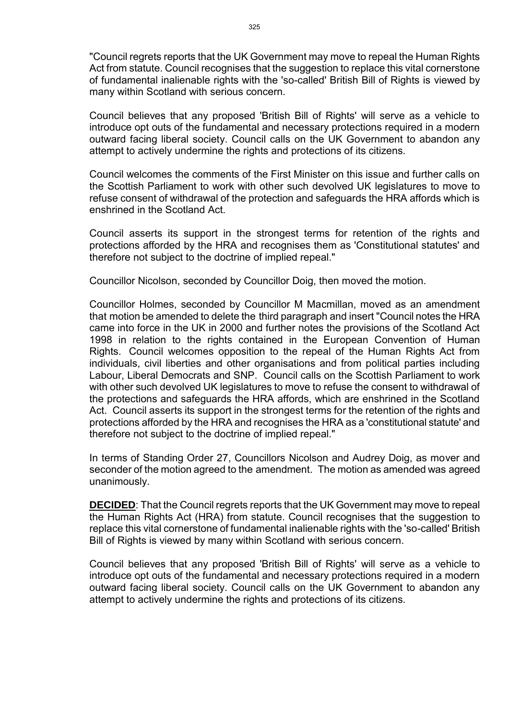"Council regrets reports that the UK Government may move to repeal the Human Rights Act from statute. Council recognises that the suggestion to replace this vital cornerstone of fundamental inalienable rights with the 'so-called' British Bill of Rights is viewed by many within Scotland with serious concern.

Council believes that any proposed 'British Bill of Rights' will serve as a vehicle to introduce opt outs of the fundamental and necessary protections required in a modern outward facing liberal society. Council calls on the UK Government to abandon any attempt to actively undermine the rights and protections of its citizens.

Council welcomes the comments of the First Minister on this issue and further calls on the Scottish Parliament to work with other such devolved UK legislatures to move to refuse consent of withdrawal of the protection and safeguards the HRA affords which is enshrined in the Scotland Act.

Council asserts its support in the strongest terms for retention of the rights and protections afforded by the HRA and recognises them as 'Constitutional statutes' and therefore not subject to the doctrine of implied repeal."

Councillor Nicolson, seconded by Councillor Doig, then moved the motion.

Councillor Holmes, seconded by Councillor M Macmillan, moved as an amendment that motion be amended to delete the third paragraph and insert "Council notes the HRA came into force in the UK in 2000 and further notes the provisions of the Scotland Act 1998 in relation to the rights contained in the European Convention of Human Rights. Council welcomes opposition to the repeal of the Human Rights Act from individuals, civil liberties and other organisations and from political parties including Labour, Liberal Democrats and SNP. Council calls on the Scottish Parliament to work with other such devolved UK legislatures to move to refuse the consent to withdrawal of the protections and safeguards the HRA affords, which are enshrined in the Scotland Act. Council asserts its support in the strongest terms for the retention of the rights and protections afforded by the HRA and recognises the HRA as a 'constitutional statute' and therefore not subject to the doctrine of implied repeal."

In terms of Standing Order 27, Councillors Nicolson and Audrey Doig, as mover and seconder of the motion agreed to the amendment. The motion as amended was agreed unanimously.

**DECIDED**: That the Council regrets reports that the UK Government may move to repeal the Human Rights Act (HRA) from statute. Council recognises that the suggestion to replace this vital cornerstone of fundamental inalienable rights with the 'so-called' British Bill of Rights is viewed by many within Scotland with serious concern.

Council believes that any proposed 'British Bill of Rights' will serve as a vehicle to introduce opt outs of the fundamental and necessary protections required in a modern outward facing liberal society. Council calls on the UK Government to abandon any attempt to actively undermine the rights and protections of its citizens.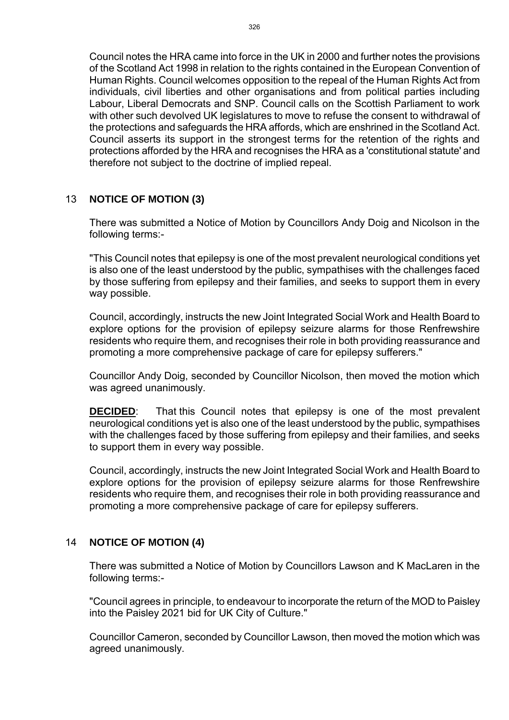Council notes the HRA came into force in the UK in 2000 and further notes the provisions of the Scotland Act 1998 in relation to the rights contained in the European Convention of Human Rights. Council welcomes opposition to the repeal of the Human Rights Act from individuals, civil liberties and other organisations and from political parties including Labour, Liberal Democrats and SNP. Council calls on the Scottish Parliament to work with other such devolved UK legislatures to move to refuse the consent to withdrawal of the protections and safeguards the HRA affords, which are enshrined in the Scotland Act. Council asserts its support in the strongest terms for the retention of the rights and protections afforded by the HRA and recognises the HRA as a 'constitutional statute' and therefore not subject to the doctrine of implied repeal.

#### 13 **NOTICE OF MOTION (3)**

There was submitted a Notice of Motion by Councillors Andy Doig and Nicolson in the following terms:-

"This Council notes that epilepsy is one of the most prevalent neurological conditions yet is also one of the least understood by the public, sympathises with the challenges faced by those suffering from epilepsy and their families, and seeks to support them in every way possible.

Council, accordingly, instructs the new Joint Integrated Social Work and Health Board to explore options for the provision of epilepsy seizure alarms for those Renfrewshire residents who require them, and recognises their role in both providing reassurance and promoting a more comprehensive package of care for epilepsy sufferers."

Councillor Andy Doig, seconded by Councillor Nicolson, then moved the motion which was agreed unanimously.

**DECIDED:** That this Council notes that epilepsy is one of the most prevalent neurological conditions yet is also one of the least understood by the public, sympathises with the challenges faced by those suffering from epilepsy and their families, and seeks to support them in every way possible.

Council, accordingly, instructs the new Joint Integrated Social Work and Health Board to explore options for the provision of epilepsy seizure alarms for those Renfrewshire residents who require them, and recognises their role in both providing reassurance and promoting a more comprehensive package of care for epilepsy sufferers.

#### 14 **NOTICE OF MOTION (4)**

There was submitted a Notice of Motion by Councillors Lawson and K MacLaren in the following terms:-

"Council agrees in principle, to endeavour to incorporate the return of the MOD to Paisley into the Paisley 2021 bid for UK City of Culture."

Councillor Cameron, seconded by Councillor Lawson, then moved the motion which was agreed unanimously.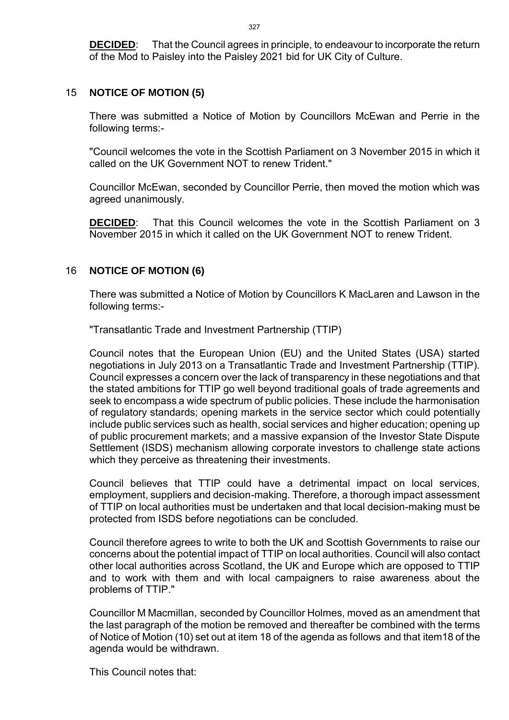**DECIDED**: That the Council agrees in principle, to endeavour to incorporate the return of the Mod to Paisley into the Paisley 2021 bid for UK City of Culture.

#### 15 **NOTICE OF MOTION (5)**

There was submitted a Notice of Motion by Councillors McEwan and Perrie in the following terms:-

"Council welcomes the vote in the Scottish Parliament on 3 November 2015 in which it called on the UK Government NOT to renew Trident."

Councillor McEwan, seconded by Councillor Perrie, then moved the motion which was agreed unanimously.

**DECIDED**: That this Council welcomes the vote in the Scottish Parliament on 3 November 2015 in which it called on the UK Government NOT to renew Trident.

#### 16 **NOTICE OF MOTION (6)**

There was submitted a Notice of Motion by Councillors K MacLaren and Lawson in the following terms:-

"Transatlantic Trade and Investment Partnership (TTIP)

Council notes that the European Union (EU) and the United States (USA) started negotiations in July 2013 on a Transatlantic Trade and Investment Partnership (TTIP). Council expresses a concern over the lack of transparency in these negotiations and that the stated ambitions for TTIP go well beyond traditional goals of trade agreements and seek to encompass a wide spectrum of public policies. These include the harmonisation of regulatory standards; opening markets in the service sector which could potentially include public services such as health, social services and higher education; opening up of public procurement markets; and a massive expansion of the Investor State Dispute Settlement (ISDS) mechanism allowing corporate investors to challenge state actions which they perceive as threatening their investments.

Council believes that TTIP could have a detrimental impact on local services, employment, suppliers and decision-making. Therefore, a thorough impact assessment of TTIP on local authorities must be undertaken and that local decision-making must be protected from ISDS before negotiations can be concluded.

Council therefore agrees to write to both the UK and Scottish Governments to raise our concerns about the potential impact of TTIP on local authorities. Council will also contact other local authorities across Scotland, the UK and Europe which are opposed to TTIP and to work with them and with local campaigners to raise awareness about the problems of TTIP."

Councillor M Macmillan, seconded by Councillor Holmes, moved as an amendment that the last paragraph of the motion be removed and thereafter be combined with the terms of Notice of Motion (10) set out at item 18 of the agenda as follows and that item18 of the agenda would be withdrawn.

This Council notes that: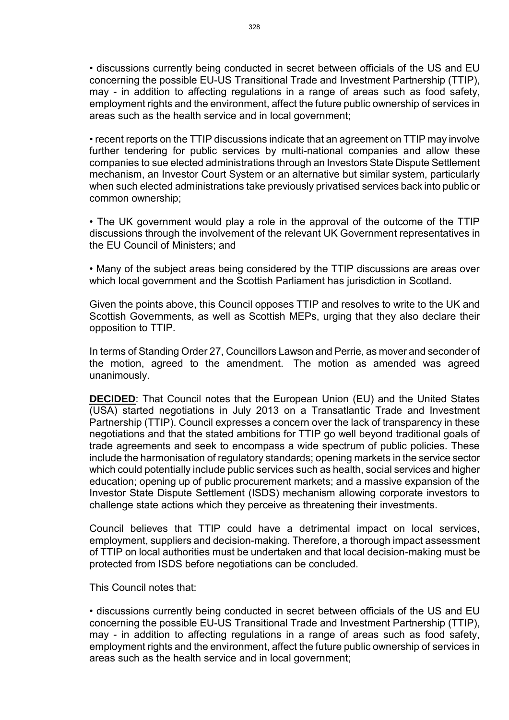• discussions currently being conducted in secret between officials of the US and EU concerning the possible EU-US Transitional Trade and Investment Partnership (TTIP), may - in addition to affecting regulations in a range of areas such as food safety, employment rights and the environment, affect the future public ownership of services in areas such as the health service and in local government;

• recent reports on the TTIP discussions indicate that an agreement on TTIP may involve further tendering for public services by multi-national companies and allow these companies to sue elected administrations through an Investors State Dispute Settlement mechanism, an Investor Court System or an alternative but similar system, particularly when such elected administrations take previously privatised services back into public or common ownership;

• The UK government would play a role in the approval of the outcome of the TTIP discussions through the involvement of the relevant UK Government representatives in the EU Council of Ministers; and

• Many of the subject areas being considered by the TTIP discussions are areas over which local government and the Scottish Parliament has jurisdiction in Scotland.

Given the points above, this Council opposes TTIP and resolves to write to the UK and Scottish Governments, as well as Scottish MEPs, urging that they also declare their opposition to TTIP.

In terms of Standing Order 27, Councillors Lawson and Perrie, as mover and seconder of the motion, agreed to the amendment. The motion as amended was agreed unanimously.

**DECIDED**: That Council notes that the European Union (EU) and the United States (USA) started negotiations in July 2013 on a Transatlantic Trade and Investment Partnership (TTIP). Council expresses a concern over the lack of transparency in these negotiations and that the stated ambitions for TTIP go well beyond traditional goals of trade agreements and seek to encompass a wide spectrum of public policies. These include the harmonisation of regulatory standards; opening markets in the service sector which could potentially include public services such as health, social services and higher education; opening up of public procurement markets; and a massive expansion of the Investor State Dispute Settlement (ISDS) mechanism allowing corporate investors to challenge state actions which they perceive as threatening their investments.

Council believes that TTIP could have a detrimental impact on local services, employment, suppliers and decision-making. Therefore, a thorough impact assessment of TTIP on local authorities must be undertaken and that local decision-making must be protected from ISDS before negotiations can be concluded.

This Council notes that:

• discussions currently being conducted in secret between officials of the US and EU concerning the possible EU-US Transitional Trade and Investment Partnership (TTIP), may - in addition to affecting regulations in a range of areas such as food safety, employment rights and the environment, affect the future public ownership of services in areas such as the health service and in local government;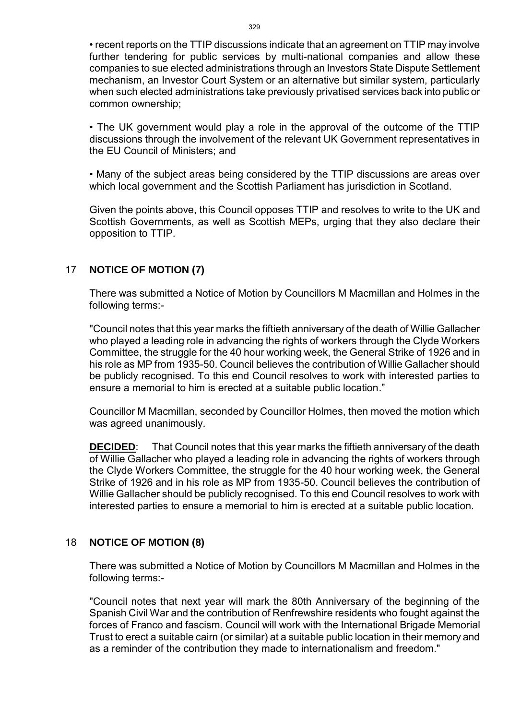• recent reports on the TTIP discussions indicate that an agreement on TTIP may involve further tendering for public services by multi-national companies and allow these companies to sue elected administrations through an Investors State Dispute Settlement mechanism, an Investor Court System or an alternative but similar system, particularly when such elected administrations take previously privatised services back into public or common ownership;

• The UK government would play a role in the approval of the outcome of the TTIP discussions through the involvement of the relevant UK Government representatives in the EU Council of Ministers; and

• Many of the subject areas being considered by the TTIP discussions are areas over which local government and the Scottish Parliament has jurisdiction in Scotland.

Given the points above, this Council opposes TTIP and resolves to write to the UK and Scottish Governments, as well as Scottish MEPs, urging that they also declare their opposition to TTIP.

#### 17 **NOTICE OF MOTION (7)**

There was submitted a Notice of Motion by Councillors M Macmillan and Holmes in the following terms:-

"Council notes that this year marks the fiftieth anniversary of the death of Willie Gallacher who played a leading role in advancing the rights of workers through the Clyde Workers Committee, the struggle for the 40 hour working week, the General Strike of 1926 and in his role as MP from 1935-50. Council believes the contribution of Willie Gallacher should be publicly recognised. To this end Council resolves to work with interested parties to ensure a memorial to him is erected at a suitable public location."

Councillor M Macmillan, seconded by Councillor Holmes, then moved the motion which was agreed unanimously.

**DECIDED**: That Council notes that this year marks the fiftieth anniversary of the death of Willie Gallacher who played a leading role in advancing the rights of workers through the Clyde Workers Committee, the struggle for the 40 hour working week, the General Strike of 1926 and in his role as MP from 1935-50. Council believes the contribution of Willie Gallacher should be publicly recognised. To this end Council resolves to work with interested parties to ensure a memorial to him is erected at a suitable public location.

#### 18 **NOTICE OF MOTION (8)**

There was submitted a Notice of Motion by Councillors M Macmillan and Holmes in the following terms:-

"Council notes that next year will mark the 80th Anniversary of the beginning of the Spanish Civil War and the contribution of Renfrewshire residents who fought against the forces of Franco and fascism. Council will work with the International Brigade Memorial Trust to erect a suitable cairn (or similar) at a suitable public location in their memory and as a reminder of the contribution they made to internationalism and freedom."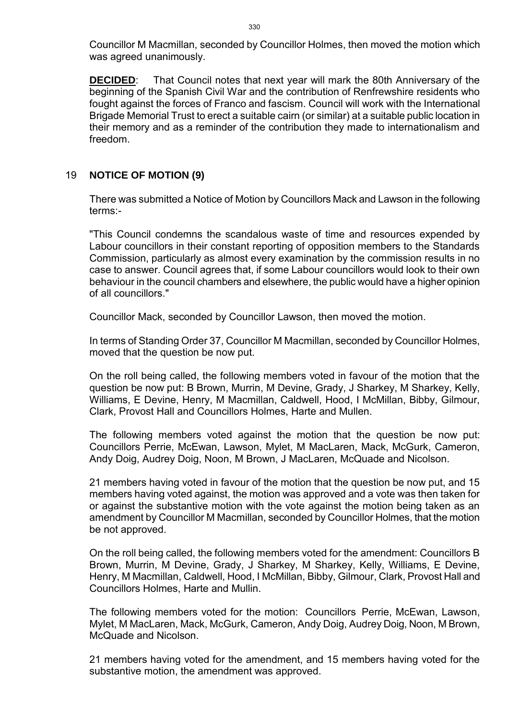Councillor M Macmillan, seconded by Councillor Holmes, then moved the motion which was agreed unanimously.

**DECIDED**: That Council notes that next year will mark the 80th Anniversary of the beginning of the Spanish Civil War and the contribution of Renfrewshire residents who fought against the forces of Franco and fascism. Council will work with the International Brigade Memorial Trust to erect a suitable cairn (or similar) at a suitable public location in their memory and as a reminder of the contribution they made to internationalism and freedom.

# 19 **NOTICE OF MOTION (9)**

There was submitted a Notice of Motion by Councillors Mack and Lawson in the following terms:-

"This Council condemns the scandalous waste of time and resources expended by Labour councillors in their constant reporting of opposition members to the Standards Commission, particularly as almost every examination by the commission results in no case to answer. Council agrees that, if some Labour councillors would look to their own behaviour in the council chambers and elsewhere, the public would have a higher opinion of all councillors."

Councillor Mack, seconded by Councillor Lawson, then moved the motion.

In terms of Standing Order 37, Councillor M Macmillan, seconded by Councillor Holmes, moved that the question be now put.

On the roll being called, the following members voted in favour of the motion that the question be now put: B Brown, Murrin, M Devine, Grady, J Sharkey, M Sharkey, Kelly, Williams, E Devine, Henry, M Macmillan, Caldwell, Hood, I McMillan, Bibby, Gilmour, Clark, Provost Hall and Councillors Holmes, Harte and Mullen.

The following members voted against the motion that the question be now put: Councillors Perrie, McEwan, Lawson, Mylet, M MacLaren, Mack, McGurk, Cameron, Andy Doig, Audrey Doig, Noon, M Brown, J MacLaren, McQuade and Nicolson.

21 members having voted in favour of the motion that the question be now put, and 15 members having voted against, the motion was approved and a vote was then taken for or against the substantive motion with the vote against the motion being taken as an amendment by Councillor M Macmillan, seconded by Councillor Holmes, that the motion be not approved.

On the roll being called, the following members voted for the amendment: Councillors B Brown, Murrin, M Devine, Grady, J Sharkey, M Sharkey, Kelly, Williams, E Devine, Henry, M Macmillan, Caldwell, Hood, I McMillan, Bibby, Gilmour, Clark, Provost Hall and Councillors Holmes, Harte and Mullin.

The following members voted for the motion: Councillors Perrie, McEwan, Lawson, Mylet, M MacLaren, Mack, McGurk, Cameron, Andy Doig, Audrey Doig, Noon, M Brown, McQuade and Nicolson.

21 members having voted for the amendment, and 15 members having voted for the substantive motion, the amendment was approved.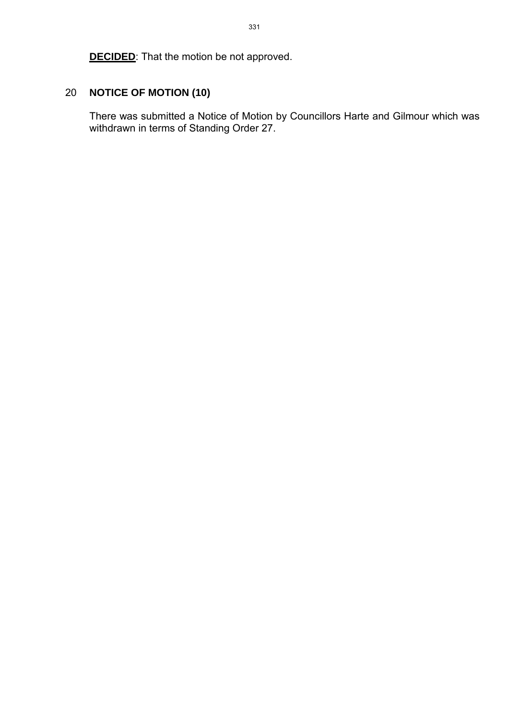**DECIDED:** That the motion be not approved.

# 20 **NOTICE OF MOTION (10)**

There was submitted a Notice of Motion by Councillors Harte and Gilmour which was withdrawn in terms of Standing Order 27.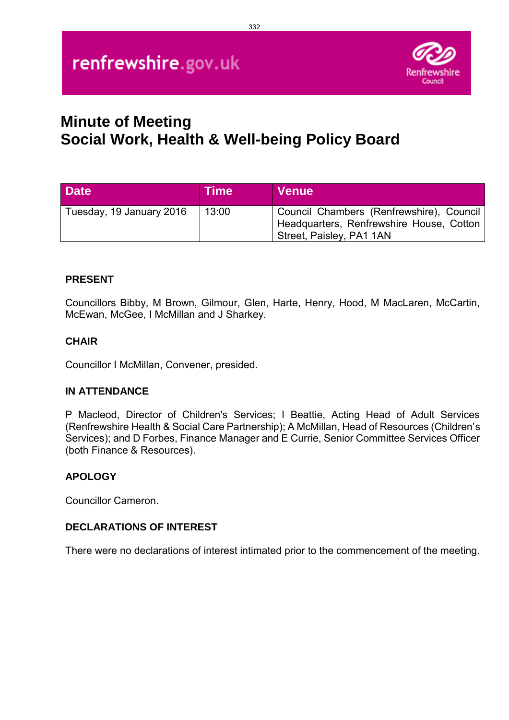# renfrewshire.gov.uk



# **Minute of Meeting Social Work, Health & Well-being Policy Board**

| <b>Date</b>              | <b>Time</b> | <b>Venue</b>                                                                                                     |
|--------------------------|-------------|------------------------------------------------------------------------------------------------------------------|
| Tuesday, 19 January 2016 | 13:00       | Council Chambers (Renfrewshire), Council<br>Headquarters, Renfrewshire House, Cotton<br>Street, Paisley, PA1 1AN |

#### **PRESENT**

Councillors Bibby, M Brown, Gilmour, Glen, Harte, Henry, Hood, M MacLaren, McCartin, McEwan, McGee, I McMillan and J Sharkey.

#### **CHAIR**

Councillor I McMillan, Convener, presided.

#### **IN ATTENDANCE**

P Macleod, Director of Children's Services; I Beattie, Acting Head of Adult Services (Renfrewshire Health & Social Care Partnership); A McMillan, Head of Resources (Children's Services); and D Forbes, Finance Manager and E Currie, Senior Committee Services Officer (both Finance & Resources).

#### **APOLOGY**

Councillor Cameron.

#### **DECLARATIONS OF INTEREST**

There were no declarations of interest intimated prior to the commencement of the meeting.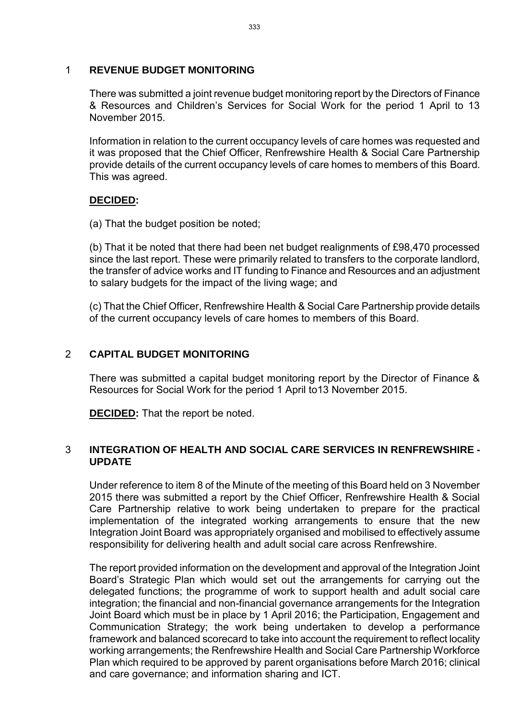#### 1 **REVENUE BUDGET MONITORING**

There was submitted a joint revenue budget monitoring report by the Directors of Finance & Resources and Children's Services for Social Work for the period 1 April to 13 November 2015.

Information in relation to the current occupancy levels of care homes was requested and it was proposed that the Chief Officer, Renfrewshire Health & Social Care Partnership provide details of the current occupancy levels of care homes to members of this Board. This was agreed.

#### **DECIDED:**

(a) That the budget position be noted;

(b) That it be noted that there had been net budget realignments of £98,470 processed since the last report. These were primarily related to transfers to the corporate landlord, the transfer of advice works and IT funding to Finance and Resources and an adjustment to salary budgets for the impact of the living wage; and

(c) That the Chief Officer, Renfrewshire Health & Social Care Partnership provide details of the current occupancy levels of care homes to members of this Board.

#### 2 **CAPITAL BUDGET MONITORING**

There was submitted a capital budget monitoring report by the Director of Finance & Resources for Social Work for the period 1 April to13 November 2015.

**DECIDED:** That the report be noted.

#### 3 **INTEGRATION OF HEALTH AND SOCIAL CARE SERVICES IN RENFREWSHIRE - UPDATE**

Under reference to item 8 of the Minute of the meeting of this Board held on 3 November 2015 there was submitted a report by the Chief Officer, Renfrewshire Health & Social Care Partnership relative to work being undertaken to prepare for the practical implementation of the integrated working arrangements to ensure that the new Integration Joint Board was appropriately organised and mobilised to effectively assume responsibility for delivering health and adult social care across Renfrewshire.

The report provided information on the development and approval of the Integration Joint Board's Strategic Plan which would set out the arrangements for carrying out the delegated functions; the programme of work to support health and adult social care integration; the financial and non-financial governance arrangements for the Integration Joint Board which must be in place by 1 April 2016; the Participation, Engagement and Communication Strategy; the work being undertaken to develop a performance framework and balanced scorecard to take into account the requirement to reflect locality working arrangements; the Renfrewshire Health and Social Care Partnership Workforce Plan which required to be approved by parent organisations before March 2016; clinical and care governance; and information sharing and ICT.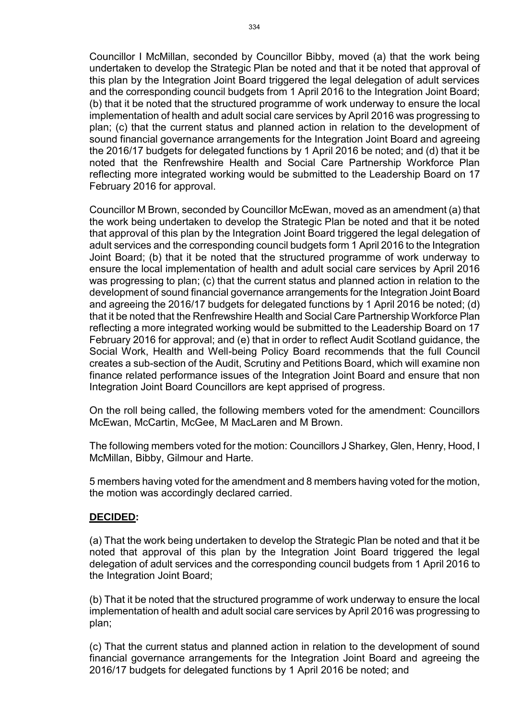Councillor I McMillan, seconded by Councillor Bibby, moved (a) that the work being undertaken to develop the Strategic Plan be noted and that it be noted that approval of this plan by the Integration Joint Board triggered the legal delegation of adult services and the corresponding council budgets from 1 April 2016 to the Integration Joint Board; (b) that it be noted that the structured programme of work underway to ensure the local implementation of health and adult social care services by April 2016 was progressing to plan; (c) that the current status and planned action in relation to the development of sound financial governance arrangements for the Integration Joint Board and agreeing the 2016/17 budgets for delegated functions by 1 April 2016 be noted; and (d) that it be noted that the Renfrewshire Health and Social Care Partnership Workforce Plan reflecting more integrated working would be submitted to the Leadership Board on 17 February 2016 for approval.

Councillor M Brown, seconded by Councillor McEwan, moved as an amendment (a) that the work being undertaken to develop the Strategic Plan be noted and that it be noted that approval of this plan by the Integration Joint Board triggered the legal delegation of adult services and the corresponding council budgets form 1 April 2016 to the Integration Joint Board; (b) that it be noted that the structured programme of work underway to ensure the local implementation of health and adult social care services by April 2016 was progressing to plan; (c) that the current status and planned action in relation to the development of sound financial governance arrangements for the Integration Joint Board and agreeing the 2016/17 budgets for delegated functions by 1 April 2016 be noted; (d) that it be noted that the Renfrewshire Health and Social Care Partnership Workforce Plan reflecting a more integrated working would be submitted to the Leadership Board on 17 February 2016 for approval; and (e) that in order to reflect Audit Scotland guidance, the Social Work, Health and Well-being Policy Board recommends that the full Council creates a sub-section of the Audit, Scrutiny and Petitions Board, which will examine non finance related performance issues of the Integration Joint Board and ensure that non Integration Joint Board Councillors are kept apprised of progress.

On the roll being called, the following members voted for the amendment: Councillors McEwan, McCartin, McGee, M MacLaren and M Brown.

The following members voted for the motion: Councillors J Sharkey, Glen, Henry, Hood, I McMillan, Bibby, Gilmour and Harte.

5 members having voted for the amendment and 8 members having voted for the motion, the motion was accordingly declared carried.

#### **DECIDED:**

(a) That the work being undertaken to develop the Strategic Plan be noted and that it be noted that approval of this plan by the Integration Joint Board triggered the legal delegation of adult services and the corresponding council budgets from 1 April 2016 to the Integration Joint Board;

(b) That it be noted that the structured programme of work underway to ensure the local implementation of health and adult social care services by April 2016 was progressing to plan;

(c) That the current status and planned action in relation to the development of sound financial governance arrangements for the Integration Joint Board and agreeing the 2016/17 budgets for delegated functions by 1 April 2016 be noted; and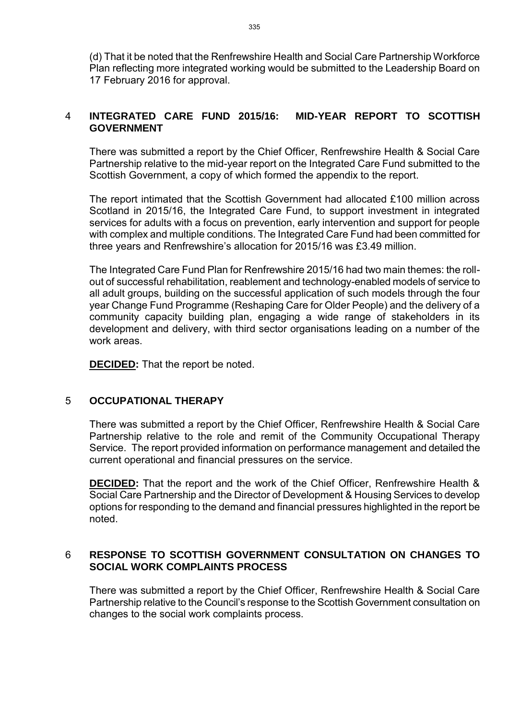(d) That it be noted that the Renfrewshire Health and Social Care Partnership Workforce Plan reflecting more integrated working would be submitted to the Leadership Board on 17 February 2016 for approval.

#### 4 **INTEGRATED CARE FUND 2015/16: MID-YEAR REPORT TO SCOTTISH GOVERNMENT**

There was submitted a report by the Chief Officer, Renfrewshire Health & Social Care Partnership relative to the mid-year report on the Integrated Care Fund submitted to the Scottish Government, a copy of which formed the appendix to the report.

The report intimated that the Scottish Government had allocated £100 million across Scotland in 2015/16, the Integrated Care Fund, to support investment in integrated services for adults with a focus on prevention, early intervention and support for people with complex and multiple conditions. The Integrated Care Fund had been committed for three years and Renfrewshire's allocation for 2015/16 was £3.49 million.

The Integrated Care Fund Plan for Renfrewshire 2015/16 had two main themes: the rollout of successful rehabilitation, reablement and technology-enabled models of service to all adult groups, building on the successful application of such models through the four year Change Fund Programme (Reshaping Care for Older People) and the delivery of a community capacity building plan, engaging a wide range of stakeholders in its development and delivery, with third sector organisations leading on a number of the work areas.

**DECIDED:** That the report be noted.

#### 5 **OCCUPATIONAL THERAPY**

There was submitted a report by the Chief Officer, Renfrewshire Health & Social Care Partnership relative to the role and remit of the Community Occupational Therapy Service. The report provided information on performance management and detailed the current operational and financial pressures on the service.

**DECIDED:** That the report and the work of the Chief Officer, Renfrewshire Health & Social Care Partnership and the Director of Development & Housing Services to develop options for responding to the demand and financial pressures highlighted in the report be noted.

#### 6 **RESPONSE TO SCOTTISH GOVERNMENT CONSULTATION ON CHANGES TO SOCIAL WORK COMPLAINTS PROCESS**

There was submitted a report by the Chief Officer, Renfrewshire Health & Social Care Partnership relative to the Council's response to the Scottish Government consultation on changes to the social work complaints process.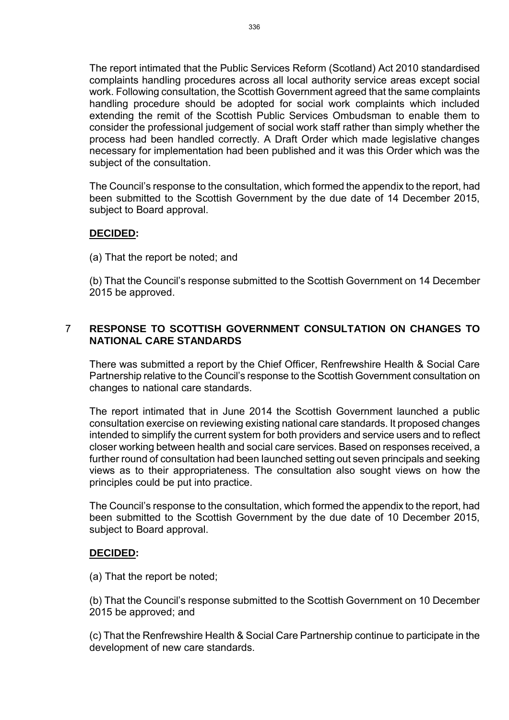The report intimated that the Public Services Reform (Scotland) Act 2010 standardised complaints handling procedures across all local authority service areas except social work. Following consultation, the Scottish Government agreed that the same complaints handling procedure should be adopted for social work complaints which included extending the remit of the Scottish Public Services Ombudsman to enable them to consider the professional judgement of social work staff rather than simply whether the process had been handled correctly. A Draft Order which made legislative changes necessary for implementation had been published and it was this Order which was the subject of the consultation.

The Council's response to the consultation, which formed the appendix to the report, had been submitted to the Scottish Government by the due date of 14 December 2015, subject to Board approval.

#### **DECIDED:**

(a) That the report be noted; and

(b) That the Council's response submitted to the Scottish Government on 14 December 2015 be approved.

#### 7 **RESPONSE TO SCOTTISH GOVERNMENT CONSULTATION ON CHANGES TO NATIONAL CARE STANDARDS**

There was submitted a report by the Chief Officer, Renfrewshire Health & Social Care Partnership relative to the Council's response to the Scottish Government consultation on changes to national care standards.

The report intimated that in June 2014 the Scottish Government launched a public consultation exercise on reviewing existing national care standards. It proposed changes intended to simplify the current system for both providers and service users and to reflect closer working between health and social care services. Based on responses received, a further round of consultation had been launched setting out seven principals and seeking views as to their appropriateness. The consultation also sought views on how the principles could be put into practice.

The Council's response to the consultation, which formed the appendix to the report, had been submitted to the Scottish Government by the due date of 10 December 2015, subject to Board approval.

#### **DECIDED:**

(a) That the report be noted;

(b) That the Council's response submitted to the Scottish Government on 10 December 2015 be approved; and

(c) That the Renfrewshire Health & Social Care Partnership continue to participate in the development of new care standards.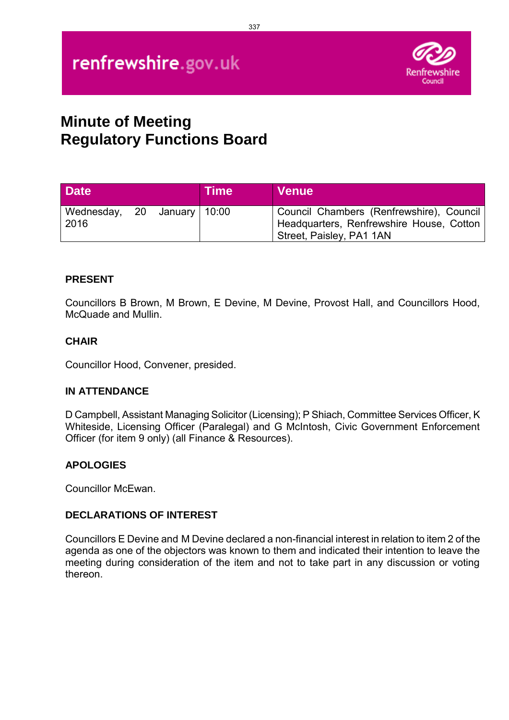# renfrewshire.gov.uk



# **Minute of Meeting Regulatory Functions Board**

| <b>Date</b>                         |  | <b>Time</b> | <b>Venue</b>                                                                                                     |
|-------------------------------------|--|-------------|------------------------------------------------------------------------------------------------------------------|
| Wednesday, 20 January 10:00<br>2016 |  |             | Council Chambers (Renfrewshire), Council<br>Headquarters, Renfrewshire House, Cotton<br>Street, Paisley, PA1 1AN |

#### **PRESENT**

Councillors B Brown, M Brown, E Devine, M Devine, Provost Hall, and Councillors Hood, McQuade and Mullin.

#### **CHAIR**

Councillor Hood, Convener, presided.

#### **IN ATTENDANCE**

D Campbell, Assistant Managing Solicitor (Licensing); P Shiach, Committee Services Officer, K Whiteside, Licensing Officer (Paralegal) and G McIntosh, Civic Government Enforcement Officer (for item 9 only) (all Finance & Resources).

#### **APOLOGIES**

Councillor McEwan.

#### **DECLARATIONS OF INTEREST**

Councillors E Devine and M Devine declared a non-financial interest in relation to item 2 of the agenda as one of the objectors was known to them and indicated their intention to leave the meeting during consideration of the item and not to take part in any discussion or voting thereon.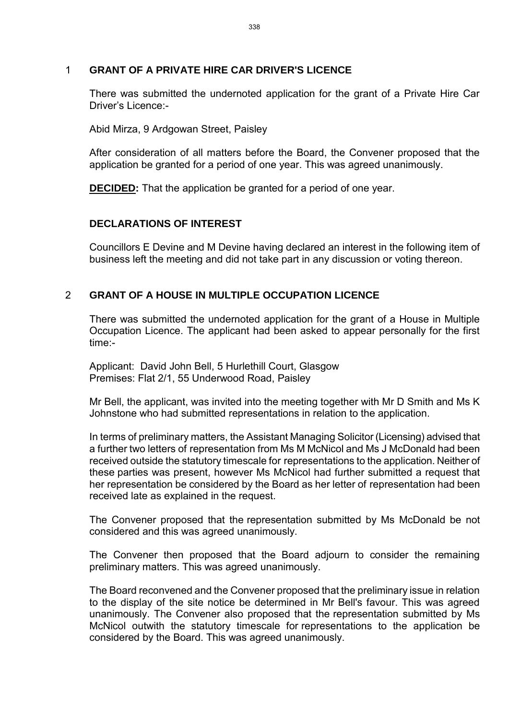#### 1 **GRANT OF A PRIVATE HIRE CAR DRIVER'S LICENCE**

There was submitted the undernoted application for the grant of a Private Hire Car Driver's Licence:-

Abid Mirza, 9 Ardgowan Street, Paisley

After consideration of all matters before the Board, the Convener proposed that the application be granted for a period of one year. This was agreed unanimously.

**DECIDED:** That the application be granted for a period of one year.

#### **DECLARATIONS OF INTEREST**

Councillors E Devine and M Devine having declared an interest in the following item of business left the meeting and did not take part in any discussion or voting thereon.

#### 2 **GRANT OF A HOUSE IN MULTIPLE OCCUPATION LICENCE**

There was submitted the undernoted application for the grant of a House in Multiple Occupation Licence. The applicant had been asked to appear personally for the first time:-

Applicant: David John Bell, 5 Hurlethill Court, Glasgow Premises: Flat 2/1, 55 Underwood Road, Paisley

Mr Bell, the applicant, was invited into the meeting together with Mr D Smith and Ms K Johnstone who had submitted representations in relation to the application.

In terms of preliminary matters, the Assistant Managing Solicitor (Licensing) advised that a further two letters of representation from Ms M McNicol and Ms J McDonald had been received outside the statutory timescale for representations to the application. Neither of these parties was present, however Ms McNicol had further submitted a request that her representation be considered by the Board as her letter of representation had been received late as explained in the request.

The Convener proposed that the representation submitted by Ms McDonald be not considered and this was agreed unanimously.

The Convener then proposed that the Board adjourn to consider the remaining preliminary matters. This was agreed unanimously.

The Board reconvened and the Convener proposed that the preliminary issue in relation to the display of the site notice be determined in Mr Bell's favour. This was agreed unanimously. The Convener also proposed that the representation submitted by Ms McNicol outwith the statutory timescale for representations to the application be considered by the Board. This was agreed unanimously.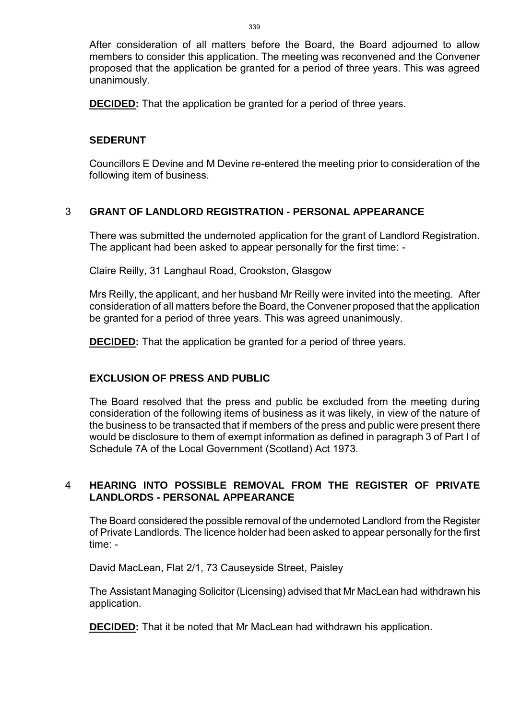After consideration of all matters before the Board, the Board adjourned to allow members to consider this application. The meeting was reconvened and the Convener proposed that the application be granted for a period of three years. This was agreed unanimously.

**DECIDED:** That the application be granted for a period of three years.

#### **SEDERUNT**

Councillors E Devine and M Devine re-entered the meeting prior to consideration of the following item of business.

#### 3 **GRANT OF LANDLORD REGISTRATION - PERSONAL APPEARANCE**

There was submitted the undernoted application for the grant of Landlord Registration. The applicant had been asked to appear personally for the first time: -

Claire Reilly, 31 Langhaul Road, Crookston, Glasgow

Mrs Reilly, the applicant, and her husband Mr Reilly were invited into the meeting. After consideration of all matters before the Board, the Convener proposed that the application be granted for a period of three years. This was agreed unanimously.

**DECIDED:** That the application be granted for a period of three years.

#### **EXCLUSION OF PRESS AND PUBLIC**

The Board resolved that the press and public be excluded from the meeting during consideration of the following items of business as it was likely, in view of the nature of the business to be transacted that if members of the press and public were present there would be disclosure to them of exempt information as defined in paragraph 3 of Part I of Schedule 7A of the Local Government (Scotland) Act 1973.

# 4 **HEARING INTO POSSIBLE REMOVAL FROM THE REGISTER OF PRIVATE LANDLORDS - PERSONAL APPEARANCE**

The Board considered the possible removal of the undernoted Landlord from the Register of Private Landlords. The licence holder had been asked to appear personally for the first time: -

David MacLean, Flat 2/1, 73 Causeyside Street, Paisley

The Assistant Managing Solicitor (Licensing) advised that Mr MacLean had withdrawn his application.

**DECIDED:** That it be noted that Mr MacLean had withdrawn his application.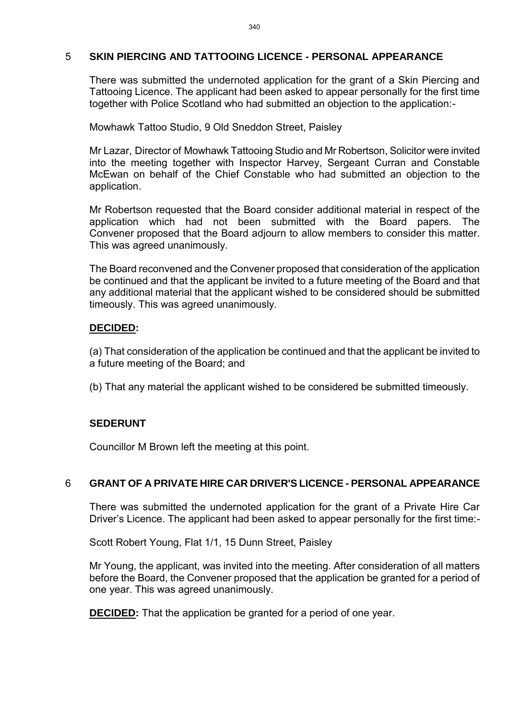#### 5 **SKIN PIERCING AND TATTOOING LICENCE - PERSONAL APPEARANCE**

There was submitted the undernoted application for the grant of a Skin Piercing and Tattooing Licence. The applicant had been asked to appear personally for the first time together with Police Scotland who had submitted an objection to the application:-

Mowhawk Tattoo Studio, 9 Old Sneddon Street, Paisley

Mr Lazar, Director of Mowhawk Tattooing Studio and Mr Robertson, Solicitor were invited into the meeting together with Inspector Harvey, Sergeant Curran and Constable McEwan on behalf of the Chief Constable who had submitted an objection to the application.

Mr Robertson requested that the Board consider additional material in respect of the application which had not been submitted with the Board papers. The Convener proposed that the Board adjourn to allow members to consider this matter. This was agreed unanimously.

The Board reconvened and the Convener proposed that consideration of the application be continued and that the applicant be invited to a future meeting of the Board and that any additional material that the applicant wished to be considered should be submitted timeously. This was agreed unanimously.

#### **DECIDED:**

(a) That consideration of the application be continued and that the applicant be invited to a future meeting of the Board; and

(b) That any material the applicant wished to be considered be submitted timeously.

# **SEDERUNT**

Councillor M Brown left the meeting at this point.

#### 6 **GRANT OF A PRIVATE HIRE CAR DRIVER'S LICENCE - PERSONAL APPEARANCE**

There was submitted the undernoted application for the grant of a Private Hire Car Driver's Licence. The applicant had been asked to appear personally for the first time:-

Scott Robert Young, Flat 1/1, 15 Dunn Street, Paisley

Mr Young, the applicant, was invited into the meeting. After consideration of all matters before the Board, the Convener proposed that the application be granted for a period of one year. This was agreed unanimously.

**DECIDED:** That the application be granted for a period of one year.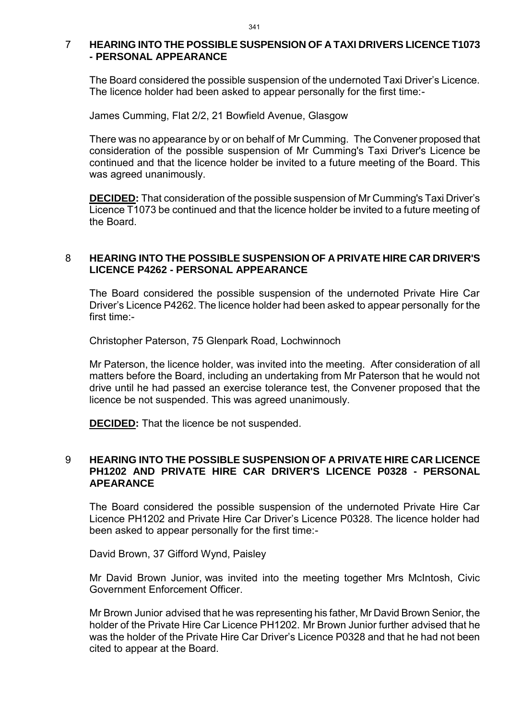#### 7 **HEARING INTO THE POSSIBLE SUSPENSION OF A TAXI DRIVERS LICENCE T1073 - PERSONAL APPEARANCE**

The Board considered the possible suspension of the undernoted Taxi Driver's Licence. The licence holder had been asked to appear personally for the first time:-

James Cumming, Flat 2/2, 21 Bowfield Avenue, Glasgow

There was no appearance by or on behalf of Mr Cumming. The Convener proposed that consideration of the possible suspension of Mr Cumming's Taxi Driver's Licence be continued and that the licence holder be invited to a future meeting of the Board. This was agreed unanimously.

**DECIDED:** That consideration of the possible suspension of Mr Cumming's Taxi Driver's Licence T1073 be continued and that the licence holder be invited to a future meeting of the Board.

#### 8 **HEARING INTO THE POSSIBLE SUSPENSION OF A PRIVATE HIRE CAR DRIVER'S LICENCE P4262 - PERSONAL APPEARANCE**

The Board considered the possible suspension of the undernoted Private Hire Car Driver's Licence P4262. The licence holder had been asked to appear personally for the first time:-

Christopher Paterson, 75 Glenpark Road, Lochwinnoch

Mr Paterson, the licence holder, was invited into the meeting. After consideration of all matters before the Board, including an undertaking from Mr Paterson that he would not drive until he had passed an exercise tolerance test, the Convener proposed that the licence be not suspended. This was agreed unanimously.

**DECIDED:** That the licence be not suspended.

#### 9 **HEARING INTO THE POSSIBLE SUSPENSION OF A PRIVATE HIRE CAR LICENCE PH1202 AND PRIVATE HIRE CAR DRIVER'S LICENCE P0328 - PERSONAL APEARANCE**

The Board considered the possible suspension of the undernoted Private Hire Car Licence PH1202 and Private Hire Car Driver's Licence P0328. The licence holder had been asked to appear personally for the first time:-

David Brown, 37 Gifford Wynd, Paisley

Mr David Brown Junior, was invited into the meeting together Mrs McIntosh, Civic Government Enforcement Officer.

Mr Brown Junior advised that he was representing his father, Mr David Brown Senior, the holder of the Private Hire Car Licence PH1202. Mr Brown Junior further advised that he was the holder of the Private Hire Car Driver's Licence P0328 and that he had not been cited to appear at the Board.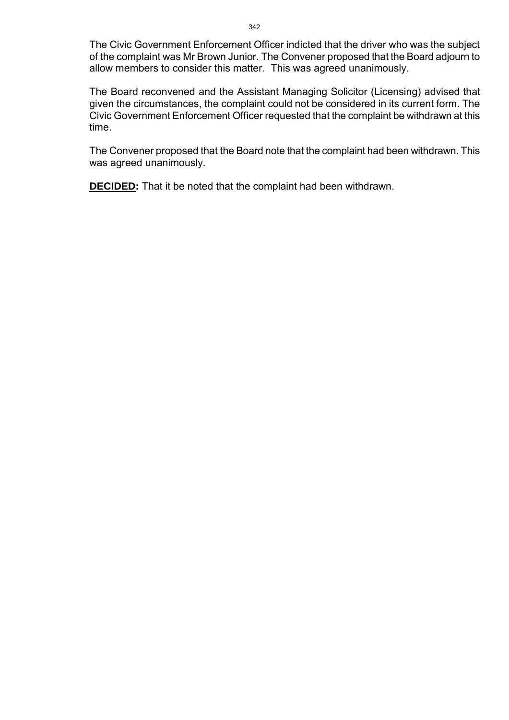The Civic Government Enforcement Officer indicted that the driver who was the subject of the complaint was Mr Brown Junior. The Convener proposed that the Board adjourn to allow members to consider this matter. This was agreed unanimously.

The Board reconvened and the Assistant Managing Solicitor (Licensing) advised that given the circumstances, the complaint could not be considered in its current form. The Civic Government Enforcement Officer requested that the complaint be withdrawn at this time.

The Convener proposed that the Board note that the complaint had been withdrawn. This was agreed unanimously.

**DECIDED:** That it be noted that the complaint had been withdrawn.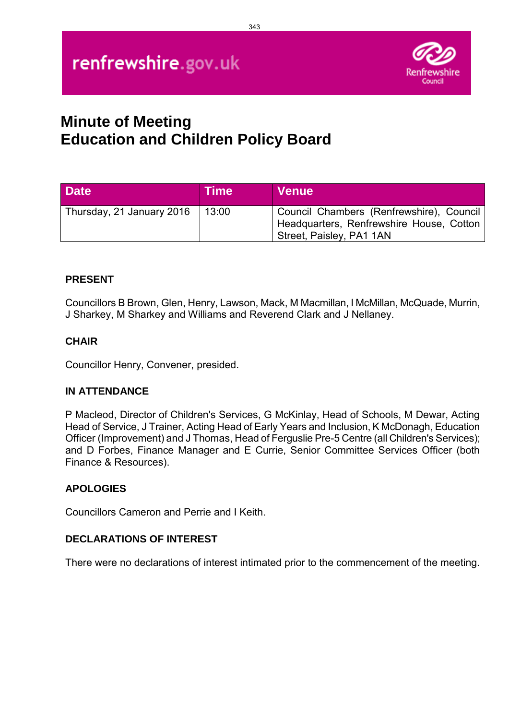

# **Minute of Meeting Education and Children Policy Board**

| <b>Date</b>               | <b>Time</b> | <b>Venue</b>                                                                                                     |
|---------------------------|-------------|------------------------------------------------------------------------------------------------------------------|
| Thursday, 21 January 2016 | 13:00       | Council Chambers (Renfrewshire), Council<br>Headquarters, Renfrewshire House, Cotton<br>Street, Paisley, PA1 1AN |

# **PRESENT**

Councillors B Brown, Glen, Henry, Lawson, Mack, M Macmillan, I McMillan, McQuade, Murrin, J Sharkey, M Sharkey and Williams and Reverend Clark and J Nellaney.

# **CHAIR**

Councillor Henry, Convener, presided.

# **IN ATTENDANCE**

P Macleod, Director of Children's Services, G McKinlay, Head of Schools, M Dewar, Acting Head of Service, J Trainer, Acting Head of Early Years and Inclusion, K McDonagh, Education Officer (Improvement) and J Thomas, Head of Ferguslie Pre-5 Centre (all Children's Services); and D Forbes, Finance Manager and E Currie, Senior Committee Services Officer (both Finance & Resources).

# **APOLOGIES**

Councillors Cameron and Perrie and I Keith.

# **DECLARATIONS OF INTEREST**

There were no declarations of interest intimated prior to the commencement of the meeting.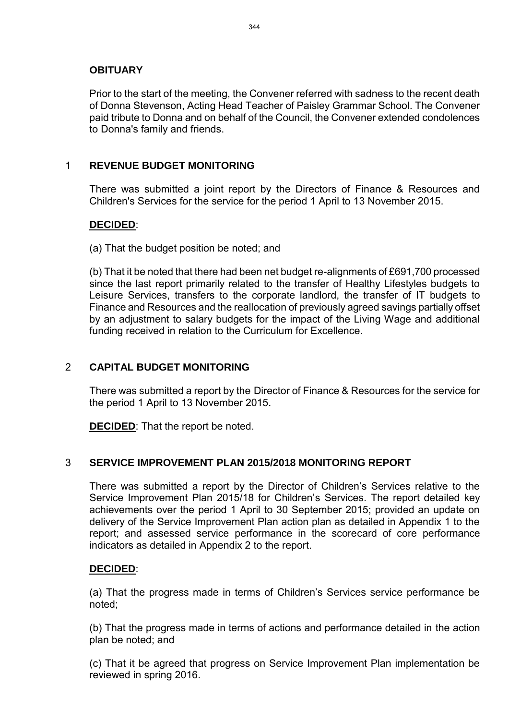#### **OBITUARY**

Prior to the start of the meeting, the Convener referred with sadness to the recent death of Donna Stevenson, Acting Head Teacher of Paisley Grammar School. The Convener paid tribute to Donna and on behalf of the Council, the Convener extended condolences to Donna's family and friends.

#### 1 **REVENUE BUDGET MONITORING**

There was submitted a joint report by the Directors of Finance & Resources and Children's Services for the service for the period 1 April to 13 November 2015.

#### **DECIDED**:

(a) That the budget position be noted; and

(b) That it be noted that there had been net budget re-alignments of £691,700 processed since the last report primarily related to the transfer of Healthy Lifestyles budgets to Leisure Services, transfers to the corporate landlord, the transfer of IT budgets to Finance and Resources and the reallocation of previously agreed savings partially offset by an adjustment to salary budgets for the impact of the Living Wage and additional funding received in relation to the Curriculum for Excellence.

#### 2 **CAPITAL BUDGET MONITORING**

There was submitted a report by the Director of Finance & Resources for the service for the period 1 April to 13 November 2015.

**DECIDED**: That the report be noted.

#### 3 **SERVICE IMPROVEMENT PLAN 2015/2018 MONITORING REPORT**

There was submitted a report by the Director of Children's Services relative to the Service Improvement Plan 2015/18 for Children's Services. The report detailed key achievements over the period 1 April to 30 September 2015; provided an update on delivery of the Service Improvement Plan action plan as detailed in Appendix 1 to the report; and assessed service performance in the scorecard of core performance indicators as detailed in Appendix 2 to the report.

#### **DECIDED**:

(a) That the progress made in terms of Children's Services service performance be noted;

(b) That the progress made in terms of actions and performance detailed in the action plan be noted; and

(c) That it be agreed that progress on Service Improvement Plan implementation be reviewed in spring 2016.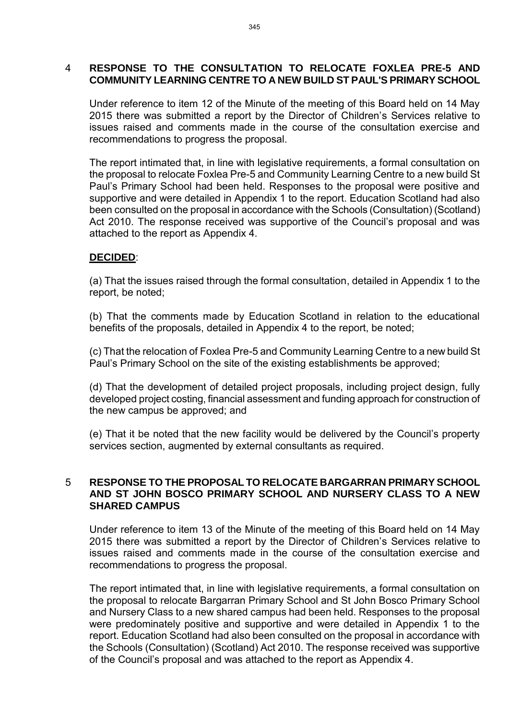#### 4 **RESPONSE TO THE CONSULTATION TO RELOCATE FOXLEA PRE-5 AND COMMUNITY LEARNING CENTRE TO A NEW BUILD ST PAUL'S PRIMARY SCHOOL**

Under reference to item 12 of the Minute of the meeting of this Board held on 14 May 2015 there was submitted a report by the Director of Children's Services relative to issues raised and comments made in the course of the consultation exercise and recommendations to progress the proposal.

The report intimated that, in line with legislative requirements, a formal consultation on the proposal to relocate Foxlea Pre-5 and Community Learning Centre to a new build St Paul's Primary School had been held. Responses to the proposal were positive and supportive and were detailed in Appendix 1 to the report. Education Scotland had also been consulted on the proposal in accordance with the Schools (Consultation) (Scotland) Act 2010. The response received was supportive of the Council's proposal and was attached to the report as Appendix 4.

#### **DECIDED**:

(a) That the issues raised through the formal consultation, detailed in Appendix 1 to the report, be noted;

(b) That the comments made by Education Scotland in relation to the educational benefits of the proposals, detailed in Appendix 4 to the report, be noted;

(c) That the relocation of Foxlea Pre-5 and Community Learning Centre to a new build St Paul's Primary School on the site of the existing establishments be approved;

(d) That the development of detailed project proposals, including project design, fully developed project costing, financial assessment and funding approach for construction of the new campus be approved; and

(e) That it be noted that the new facility would be delivered by the Council's property services section, augmented by external consultants as required.

#### 5 **RESPONSE TO THE PROPOSAL TO RELOCATE BARGARRAN PRIMARY SCHOOL AND ST JOHN BOSCO PRIMARY SCHOOL AND NURSERY CLASS TO A NEW SHARED CAMPUS**

Under reference to item 13 of the Minute of the meeting of this Board held on 14 May 2015 there was submitted a report by the Director of Children's Services relative to issues raised and comments made in the course of the consultation exercise and recommendations to progress the proposal.

The report intimated that, in line with legislative requirements, a formal consultation on the proposal to relocate Bargarran Primary School and St John Bosco Primary School and Nursery Class to a new shared campus had been held. Responses to the proposal were predominately positive and supportive and were detailed in Appendix 1 to the report. Education Scotland had also been consulted on the proposal in accordance with the Schools (Consultation) (Scotland) Act 2010. The response received was supportive of the Council's proposal and was attached to the report as Appendix 4.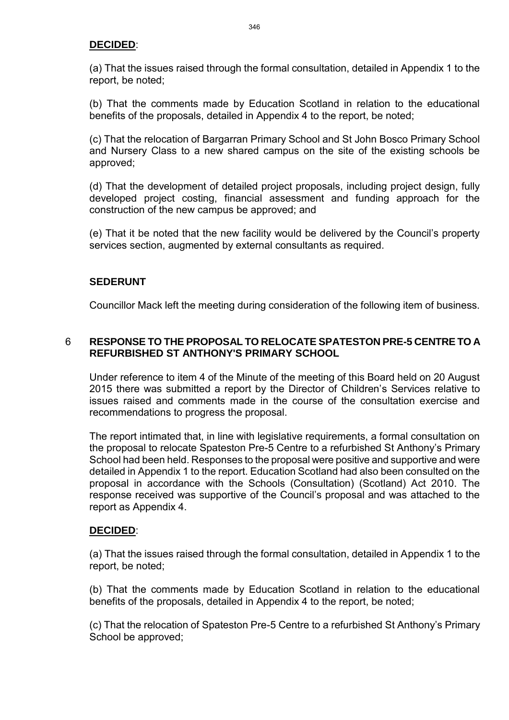#### **DECIDED**:

(a) That the issues raised through the formal consultation, detailed in Appendix 1 to the report, be noted;

(b) That the comments made by Education Scotland in relation to the educational benefits of the proposals, detailed in Appendix 4 to the report, be noted;

(c) That the relocation of Bargarran Primary School and St John Bosco Primary School and Nursery Class to a new shared campus on the site of the existing schools be approved;

(d) That the development of detailed project proposals, including project design, fully developed project costing, financial assessment and funding approach for the construction of the new campus be approved; and

(e) That it be noted that the new facility would be delivered by the Council's property services section, augmented by external consultants as required.

#### **SEDERUNT**

Councillor Mack left the meeting during consideration of the following item of business.

#### 6 **RESPONSE TO THE PROPOSAL TO RELOCATE SPATESTON PRE-5 CENTRE TO A REFURBISHED ST ANTHONY'S PRIMARY SCHOOL**

Under reference to item 4 of the Minute of the meeting of this Board held on 20 August 2015 there was submitted a report by the Director of Children's Services relative to issues raised and comments made in the course of the consultation exercise and recommendations to progress the proposal.

The report intimated that, in line with legislative requirements, a formal consultation on the proposal to relocate Spateston Pre-5 Centre to a refurbished St Anthony's Primary School had been held. Responses to the proposal were positive and supportive and were detailed in Appendix 1 to the report. Education Scotland had also been consulted on the proposal in accordance with the Schools (Consultation) (Scotland) Act 2010. The response received was supportive of the Council's proposal and was attached to the report as Appendix 4.

#### **DECIDED**:

(a) That the issues raised through the formal consultation, detailed in Appendix 1 to the report, be noted;

(b) That the comments made by Education Scotland in relation to the educational benefits of the proposals, detailed in Appendix 4 to the report, be noted;

(c) That the relocation of Spateston Pre-5 Centre to a refurbished St Anthony's Primary School be approved;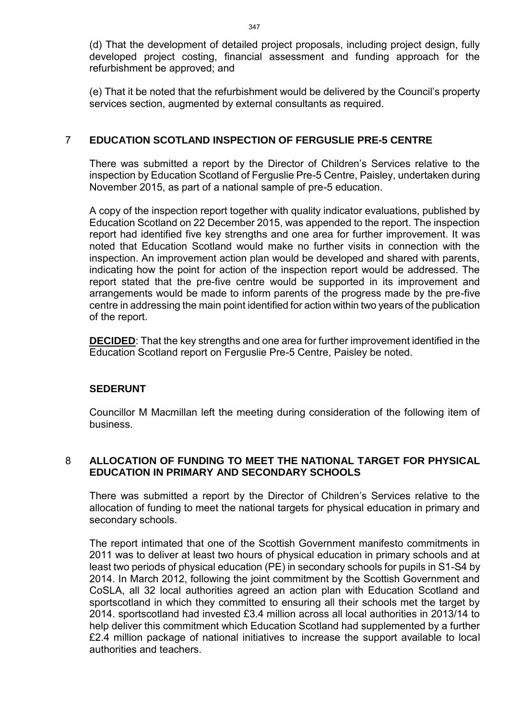(d) That the development of detailed project proposals, including project design, fully developed project costing, financial assessment and funding approach for the refurbishment be approved; and

(e) That it be noted that the refurbishment would be delivered by the Council's property services section, augmented by external consultants as required.

#### 7 **EDUCATION SCOTLAND INSPECTION OF FERGUSLIE PRE-5 CENTRE**

There was submitted a report by the Director of Children's Services relative to the inspection by Education Scotland of Ferguslie Pre-5 Centre, Paisley, undertaken during November 2015, as part of a national sample of pre-5 education.

A copy of the inspection report together with quality indicator evaluations, published by Education Scotland on 22 December 2015, was appended to the report. The inspection report had identified five key strengths and one area for further improvement. It was noted that Education Scotland would make no further visits in connection with the inspection. An improvement action plan would be developed and shared with parents, indicating how the point for action of the inspection report would be addressed. The report stated that the pre-five centre would be supported in its improvement and arrangements would be made to inform parents of the progress made by the pre-five centre in addressing the main point identified for action within two years of the publication of the report.

**DECIDED**: That the key strengths and one area for further improvement identified in the Education Scotland report on Ferguslie Pre-5 Centre, Paisley be noted.

#### **SEDERUNT**

Councillor M Macmillan left the meeting during consideration of the following item of business.

#### 8 **ALLOCATION OF FUNDING TO MEET THE NATIONAL TARGET FOR PHYSICAL EDUCATION IN PRIMARY AND SECONDARY SCHOOLS**

There was submitted a report by the Director of Children's Services relative to the allocation of funding to meet the national targets for physical education in primary and secondary schools.

The report intimated that one of the Scottish Government manifesto commitments in 2011 was to deliver at least two hours of physical education in primary schools and at least two periods of physical education (PE) in secondary schools for pupils in S1-S4 by 2014. In March 2012, following the joint commitment by the Scottish Government and CoSLA, all 32 local authorities agreed an action plan with Education Scotland and sportscotland in which they committed to ensuring all their schools met the target by 2014. sportscotland had invested £3.4 million across all local authorities in 2013/14 to help deliver this commitment which Education Scotland had supplemented by a further £2.4 million package of national initiatives to increase the support available to local authorities and teachers.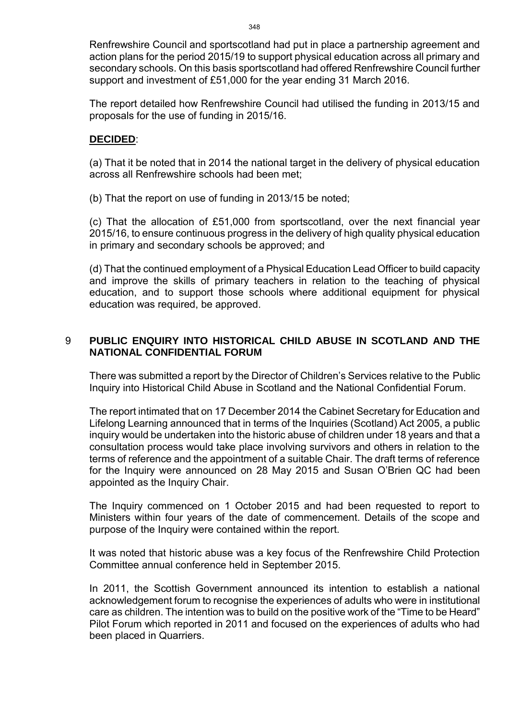Renfrewshire Council and sportscotland had put in place a partnership agreement and action plans for the period 2015/19 to support physical education across all primary and secondary schools. On this basis sportscotland had offered Renfrewshire Council further support and investment of £51,000 for the year ending 31 March 2016.

The report detailed how Renfrewshire Council had utilised the funding in 2013/15 and proposals for the use of funding in 2015/16.

#### **DECIDED**:

(a) That it be noted that in 2014 the national target in the delivery of physical education across all Renfrewshire schools had been met;

(b) That the report on use of funding in 2013/15 be noted;

(c) That the allocation of £51,000 from sportscotland, over the next financial year 2015/16, to ensure continuous progress in the delivery of high quality physical education in primary and secondary schools be approved; and

(d) That the continued employment of a Physical Education Lead Officer to build capacity and improve the skills of primary teachers in relation to the teaching of physical education, and to support those schools where additional equipment for physical education was required, be approved.

# 9 **PUBLIC ENQUIRY INTO HISTORICAL CHILD ABUSE IN SCOTLAND AND THE NATIONAL CONFIDENTIAL FORUM**

There was submitted a report by the Director of Children's Services relative to the Public Inquiry into Historical Child Abuse in Scotland and the National Confidential Forum.

The report intimated that on 17 December 2014 the Cabinet Secretary for Education and Lifelong Learning announced that in terms of the Inquiries (Scotland) Act 2005, a public inquiry would be undertaken into the historic abuse of children under 18 years and that a consultation process would take place involving survivors and others in relation to the terms of reference and the appointment of a suitable Chair. The draft terms of reference for the Inquiry were announced on 28 May 2015 and Susan O'Brien QC had been appointed as the Inquiry Chair.

The Inquiry commenced on 1 October 2015 and had been requested to report to Ministers within four years of the date of commencement. Details of the scope and purpose of the Inquiry were contained within the report.

It was noted that historic abuse was a key focus of the Renfrewshire Child Protection Committee annual conference held in September 2015.

In 2011, the Scottish Government announced its intention to establish a national acknowledgement forum to recognise the experiences of adults who were in institutional care as children. The intention was to build on the positive work of the "Time to be Heard" Pilot Forum which reported in 2011 and focused on the experiences of adults who had been placed in Quarriers.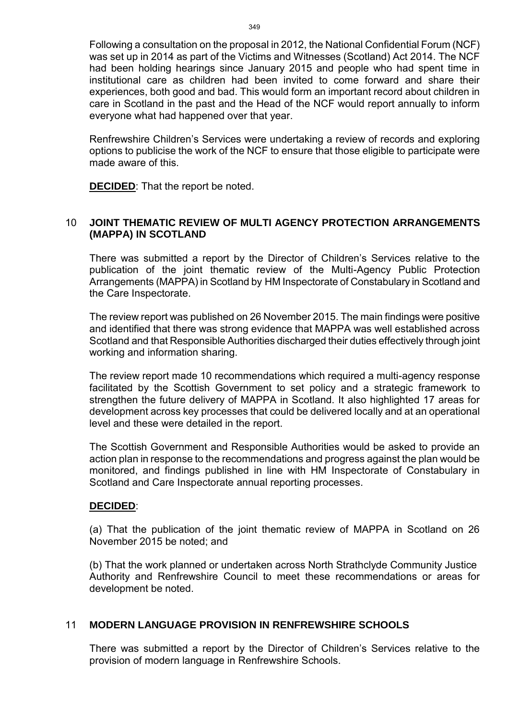Following a consultation on the proposal in 2012, the National Confidential Forum (NCF) was set up in 2014 as part of the Victims and Witnesses (Scotland) Act 2014. The NCF had been holding hearings since January 2015 and people who had spent time in institutional care as children had been invited to come forward and share their experiences, both good and bad. This would form an important record about children in care in Scotland in the past and the Head of the NCF would report annually to inform everyone what had happened over that year.

Renfrewshire Children's Services were undertaking a review of records and exploring options to publicise the work of the NCF to ensure that those eligible to participate were made aware of this.

**DECIDED**: That the report be noted.

#### 10 **JOINT THEMATIC REVIEW OF MULTI AGENCY PROTECTION ARRANGEMENTS (MAPPA) IN SCOTLAND**

There was submitted a report by the Director of Children's Services relative to the publication of the joint thematic review of the Multi-Agency Public Protection Arrangements (MAPPA) in Scotland by HM Inspectorate of Constabulary in Scotland and the Care Inspectorate.

The review report was published on 26 November 2015. The main findings were positive and identified that there was strong evidence that MAPPA was well established across Scotland and that Responsible Authorities discharged their duties effectively through joint working and information sharing.

The review report made 10 recommendations which required a multi-agency response facilitated by the Scottish Government to set policy and a strategic framework to strengthen the future delivery of MAPPA in Scotland. It also highlighted 17 areas for development across key processes that could be delivered locally and at an operational level and these were detailed in the report.

The Scottish Government and Responsible Authorities would be asked to provide an action plan in response to the recommendations and progress against the plan would be monitored, and findings published in line with HM Inspectorate of Constabulary in Scotland and Care Inspectorate annual reporting processes.

#### **DECIDED**:

(a) That the publication of the joint thematic review of MAPPA in Scotland on 26 November 2015 be noted; and

(b) That the work planned or undertaken across North Strathclyde Community Justice Authority and Renfrewshire Council to meet these recommendations or areas for development be noted.

#### 11 **MODERN LANGUAGE PROVISION IN RENFREWSHIRE SCHOOLS**

There was submitted a report by the Director of Children's Services relative to the provision of modern language in Renfrewshire Schools.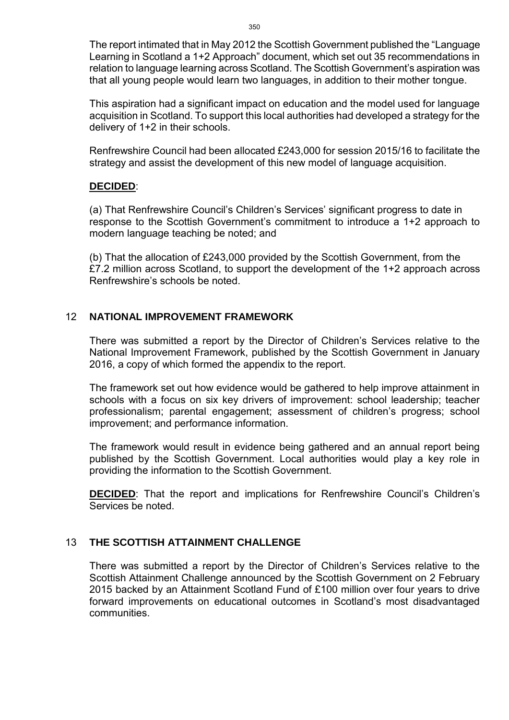The report intimated that in May 2012 the Scottish Government published the "Language Learning in Scotland a 1+2 Approach" document, which set out 35 recommendations in relation to language learning across Scotland. The Scottish Government's aspiration was that all young people would learn two languages, in addition to their mother tongue.

This aspiration had a significant impact on education and the model used for language acquisition in Scotland. To support this local authorities had developed a strategy for the delivery of 1+2 in their schools.

Renfrewshire Council had been allocated £243,000 for session 2015/16 to facilitate the strategy and assist the development of this new model of language acquisition.

#### **DECIDED**:

(a) That Renfrewshire Council's Children's Services' significant progress to date in response to the Scottish Government's commitment to introduce a 1+2 approach to modern language teaching be noted; and

(b) That the allocation of £243,000 provided by the Scottish Government, from the £7.2 million across Scotland, to support the development of the 1+2 approach across Renfrewshire's schools be noted.

## 12 **NATIONAL IMPROVEMENT FRAMEWORK**

There was submitted a report by the Director of Children's Services relative to the National Improvement Framework, published by the Scottish Government in January 2016, a copy of which formed the appendix to the report.

The framework set out how evidence would be gathered to help improve attainment in schools with a focus on six key drivers of improvement: school leadership; teacher professionalism; parental engagement; assessment of children's progress; school improvement; and performance information.

The framework would result in evidence being gathered and an annual report being published by the Scottish Government. Local authorities would play a key role in providing the information to the Scottish Government.

**DECIDED**: That the report and implications for Renfrewshire Council's Children's Services be noted.

# 13 **THE SCOTTISH ATTAINMENT CHALLENGE**

There was submitted a report by the Director of Children's Services relative to the Scottish Attainment Challenge announced by the Scottish Government on 2 February 2015 backed by an Attainment Scotland Fund of £100 million over four years to drive forward improvements on educational outcomes in Scotland's most disadvantaged communities.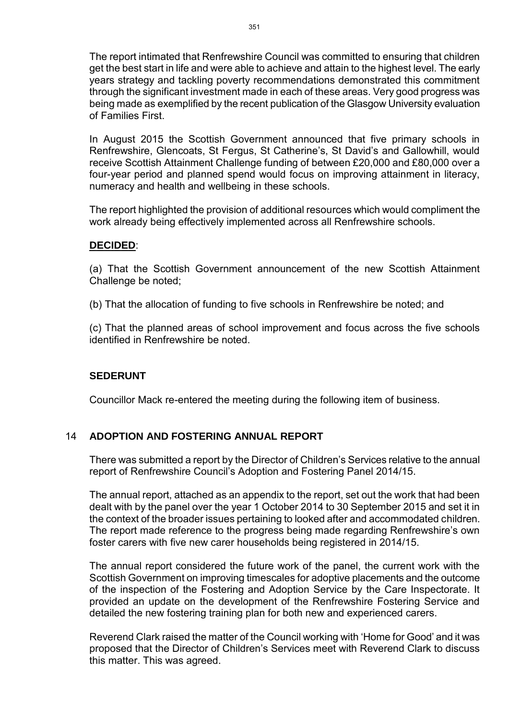The report intimated that Renfrewshire Council was committed to ensuring that children get the best start in life and were able to achieve and attain to the highest level. The early years strategy and tackling poverty recommendations demonstrated this commitment through the significant investment made in each of these areas. Very good progress was being made as exemplified by the recent publication of the Glasgow University evaluation of Families First.

In August 2015 the Scottish Government announced that five primary schools in Renfrewshire, Glencoats, St Fergus, St Catherine's, St David's and Gallowhill, would receive Scottish Attainment Challenge funding of between £20,000 and £80,000 over a four-year period and planned spend would focus on improving attainment in literacy, numeracy and health and wellbeing in these schools.

The report highlighted the provision of additional resources which would compliment the work already being effectively implemented across all Renfrewshire schools.

#### **DECIDED**:

(a) That the Scottish Government announcement of the new Scottish Attainment Challenge be noted;

(b) That the allocation of funding to five schools in Renfrewshire be noted; and

(c) That the planned areas of school improvement and focus across the five schools identified in Renfrewshire be noted.

#### **SEDERUNT**

Councillor Mack re-entered the meeting during the following item of business.

#### 14 **ADOPTION AND FOSTERING ANNUAL REPORT**

There was submitted a report by the Director of Children's Services relative to the annual report of Renfrewshire Council's Adoption and Fostering Panel 2014/15.

The annual report, attached as an appendix to the report, set out the work that had been dealt with by the panel over the year 1 October 2014 to 30 September 2015 and set it in the context of the broader issues pertaining to looked after and accommodated children. The report made reference to the progress being made regarding Renfrewshire's own foster carers with five new carer households being registered in 2014/15.

The annual report considered the future work of the panel, the current work with the Scottish Government on improving timescales for adoptive placements and the outcome of the inspection of the Fostering and Adoption Service by the Care Inspectorate. It provided an update on the development of the Renfrewshire Fostering Service and detailed the new fostering training plan for both new and experienced carers.

Reverend Clark raised the matter of the Council working with 'Home for Good' and it was proposed that the Director of Children's Services meet with Reverend Clark to discuss this matter. This was agreed.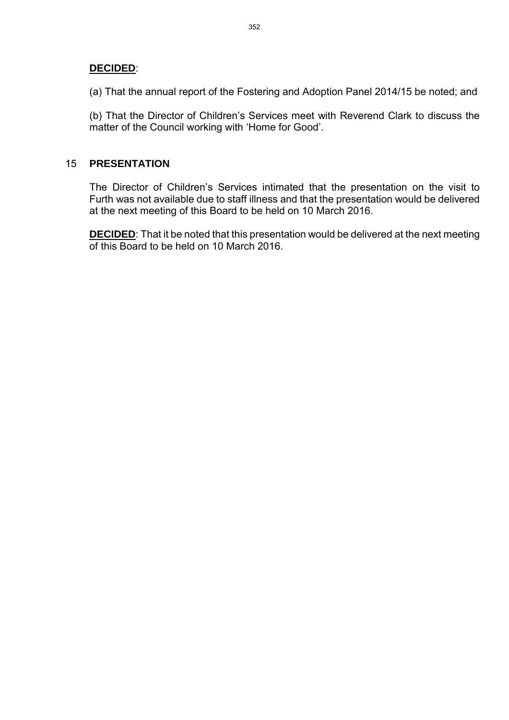#### **DECIDED**:

(a) That the annual report of the Fostering and Adoption Panel 2014/15 be noted; and

(b) That the Director of Children's Services meet with Reverend Clark to discuss the matter of the Council working with 'Home for Good'.

#### 15 **PRESENTATION**

The Director of Children's Services intimated that the presentation on the visit to Furth was not available due to staff illness and that the presentation would be delivered at the next meeting of this Board to be held on 10 March 2016.

**DECIDED**: That it be noted that this presentation would be delivered at the next meeting of this Board to be held on 10 March 2016.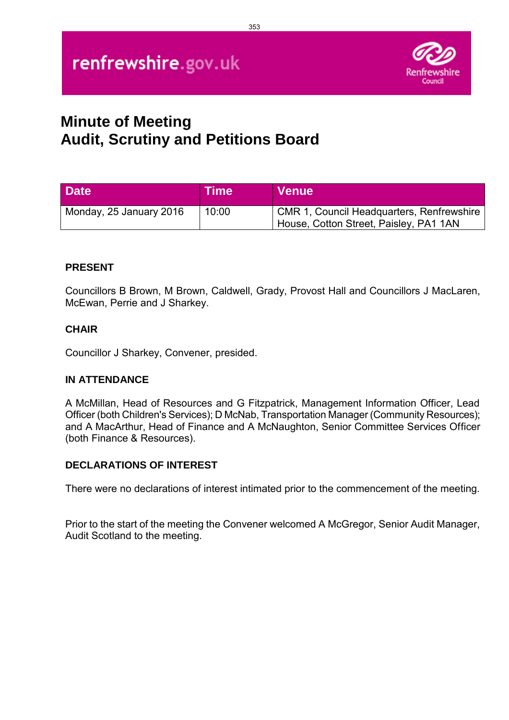

# **Minute of Meeting Audit, Scrutiny and Petitions Board**

| <b>Date</b>             | <b>Time</b> | <b>Venue</b>                                                                               |
|-------------------------|-------------|--------------------------------------------------------------------------------------------|
| Monday, 25 January 2016 | 10:00       | <b>CMR 1, Council Headquarters, Renfrewshire</b><br>House, Cotton Street, Paisley, PA1 1AN |

#### **PRESENT**

Councillors B Brown, M Brown, Caldwell, Grady, Provost Hall and Councillors J MacLaren, McEwan, Perrie and J Sharkey.

#### **CHAIR**

Councillor J Sharkey, Convener, presided.

#### **IN ATTENDANCE**

A McMillan, Head of Resources and G Fitzpatrick, Management Information Officer, Lead Officer (both Children's Services); D McNab, Transportation Manager (Community Resources); and A MacArthur, Head of Finance and A McNaughton, Senior Committee Services Officer (both Finance & Resources).

#### **DECLARATIONS OF INTEREST**

There were no declarations of interest intimated prior to the commencement of the meeting.

Prior to the start of the meeting the Convener welcomed A McGregor, Senior Audit Manager, Audit Scotland to the meeting.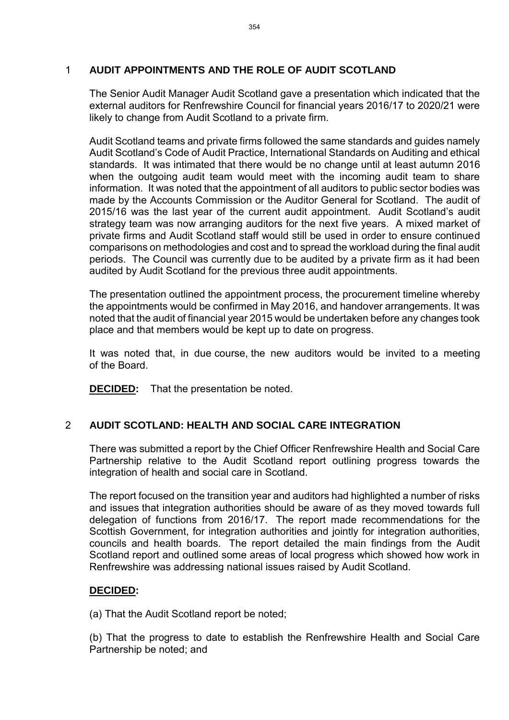# 1 **AUDIT APPOINTMENTS AND THE ROLE OF AUDIT SCOTLAND**

The Senior Audit Manager Audit Scotland gave a presentation which indicated that the external auditors for Renfrewshire Council for financial years 2016/17 to 2020/21 were likely to change from Audit Scotland to a private firm.

Audit Scotland teams and private firms followed the same standards and guides namely Audit Scotland's Code of Audit Practice, International Standards on Auditing and ethical standards. It was intimated that there would be no change until at least autumn 2016 when the outgoing audit team would meet with the incoming audit team to share information. It was noted that the appointment of all auditors to public sector bodies was made by the Accounts Commission or the Auditor General for Scotland. The audit of 2015/16 was the last year of the current audit appointment. Audit Scotland's audit strategy team was now arranging auditors for the next five years. A mixed market of private firms and Audit Scotland staff would still be used in order to ensure continued comparisons on methodologies and cost and to spread the workload during the final audit periods. The Council was currently due to be audited by a private firm as it had been audited by Audit Scotland for the previous three audit appointments.

The presentation outlined the appointment process, the procurement timeline whereby the appointments would be confirmed in May 2016, and handover arrangements. It was noted that the audit of financial year 2015 would be undertaken before any changes took place and that members would be kept up to date on progress.

It was noted that, in due course, the new auditors would be invited to a meeting of the Board.

**DECIDED:** That the presentation be noted.

# 2 **AUDIT SCOTLAND: HEALTH AND SOCIAL CARE INTEGRATION**

There was submitted a report by the Chief Officer Renfrewshire Health and Social Care Partnership relative to the Audit Scotland report outlining progress towards the integration of health and social care in Scotland.

The report focused on the transition year and auditors had highlighted a number of risks and issues that integration authorities should be aware of as they moved towards full delegation of functions from 2016/17. The report made recommendations for the Scottish Government, for integration authorities and jointly for integration authorities, councils and health boards. The report detailed the main findings from the Audit Scotland report and outlined some areas of local progress which showed how work in Renfrewshire was addressing national issues raised by Audit Scotland.

#### **DECIDED:**

(a) That the Audit Scotland report be noted;

(b) That the progress to date to establish the Renfrewshire Health and Social Care Partnership be noted; and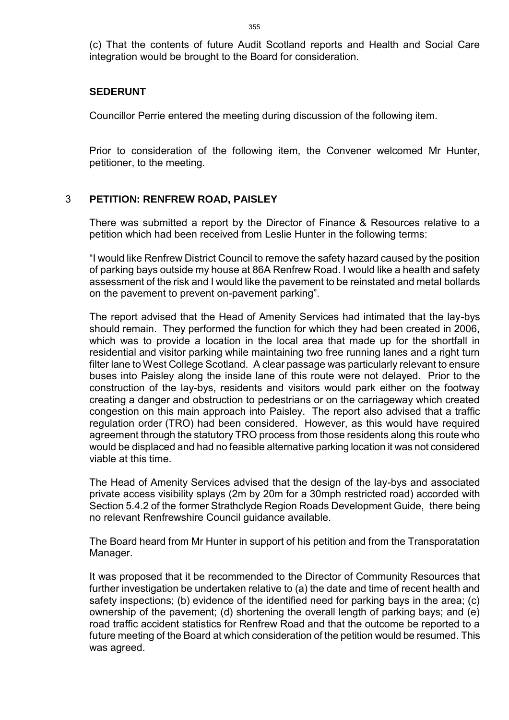(c) That the contents of future Audit Scotland reports and Health and Social Care integration would be brought to the Board for consideration.

#### **SEDERUNT**

Councillor Perrie entered the meeting during discussion of the following item.

Prior to consideration of the following item, the Convener welcomed Mr Hunter, petitioner, to the meeting.

#### 3 **PETITION: RENFREW ROAD, PAISLEY**

There was submitted a report by the Director of Finance & Resources relative to a petition which had been received from Leslie Hunter in the following terms:

"I would like Renfrew District Council to remove the safety hazard caused by the position of parking bays outside my house at 86A Renfrew Road. I would like a health and safety assessment of the risk and I would like the pavement to be reinstated and metal bollards on the pavement to prevent on-pavement parking".

The report advised that the Head of Amenity Services had intimated that the lay-bys should remain. They performed the function for which they had been created in 2006, which was to provide a location in the local area that made up for the shortfall in residential and visitor parking while maintaining two free running lanes and a right turn filter lane to West College Scotland. A clear passage was particularly relevant to ensure buses into Paisley along the inside lane of this route were not delayed. Prior to the construction of the lay-bys, residents and visitors would park either on the footway creating a danger and obstruction to pedestrians or on the carriageway which created congestion on this main approach into Paisley. The report also advised that a traffic regulation order (TRO) had been considered. However, as this would have required agreement through the statutory TRO process from those residents along this route who would be displaced and had no feasible alternative parking location it was not considered viable at this time.

The Head of Amenity Services advised that the design of the lay-bys and associated private access visibility splays (2m by 20m for a 30mph restricted road) accorded with Section 5.4.2 of the former Strathclyde Region Roads Development Guide, there being no relevant Renfrewshire Council guidance available.

The Board heard from Mr Hunter in support of his petition and from the Transporatation Manager.

It was proposed that it be recommended to the Director of Community Resources that further investigation be undertaken relative to (a) the date and time of recent health and safety inspections; (b) evidence of the identified need for parking bays in the area; (c) ownership of the pavement; (d) shortening the overall length of parking bays; and (e) road traffic accident statistics for Renfrew Road and that the outcome be reported to a future meeting of the Board at which consideration of the petition would be resumed. This was agreed.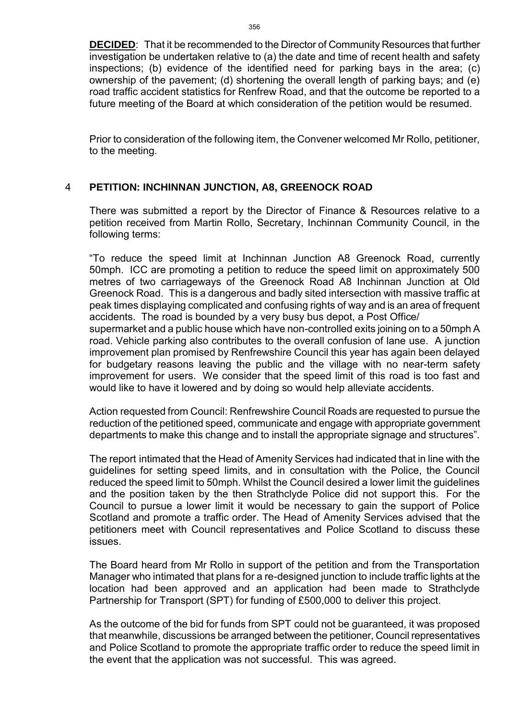**DECIDED**: That it be recommended to the Director of Community Resources that further investigation be undertaken relative to (a) the date and time of recent health and safety inspections; (b) evidence of the identified need for parking bays in the area; (c) ownership of the pavement; (d) shortening the overall length of parking bays; and (e) road traffic accident statistics for Renfrew Road, and that the outcome be reported to a future meeting of the Board at which consideration of the petition would be resumed.

Prior to consideration of the following item, the Convener welcomed Mr Rollo, petitioner, to the meeting.

# 4 **PETITION: INCHINNAN JUNCTION, A8, GREENOCK ROAD**

There was submitted a report by the Director of Finance & Resources relative to a petition received from Martin Rollo, Secretary, Inchinnan Community Council, in the following terms:

"To reduce the speed limit at Inchinnan Junction A8 Greenock Road, currently 50mph. ICC are promoting a petition to reduce the speed limit on approximately 500 metres of two carriageways of the Greenock Road A8 Inchinnan Junction at Old Greenock Road. This is a dangerous and badly sited intersection with massive traffic at peak times displaying complicated and confusing rights of way and is an area of frequent accidents. The road is bounded by a very busy bus depot, a Post Office/

supermarket and a public house which have non-controlled exits joining on to a 50mph A road. Vehicle parking also contributes to the overall confusion of lane use. A junction improvement plan promised by Renfrewshire Council this year has again been delayed for budgetary reasons leaving the public and the village with no near-term safety improvement for users. We consider that the speed limit of this road is too fast and would like to have it lowered and by doing so would help alleviate accidents.

Action requested from Council: Renfrewshire Council Roads are requested to pursue the reduction of the petitioned speed, communicate and engage with appropriate government departments to make this change and to install the appropriate signage and structures".

The report intimated that the Head of Amenity Services had indicated that in line with the guidelines for setting speed limits, and in consultation with the Police, the Council reduced the speed limit to 50mph. Whilst the Council desired a lower limit the guidelines and the position taken by the then Strathclyde Police did not support this. For the Council to pursue a lower limit it would be necessary to gain the support of Police Scotland and promote a traffic order. The Head of Amenity Services advised that the petitioners meet with Council representatives and Police Scotland to discuss these issues.

The Board heard from Mr Rollo in support of the petition and from the Transportation Manager who intimated that plans for a re-designed junction to include traffic lights at the location had been approved and an application had been made to Strathclyde Partnership for Transport (SPT) for funding of £500,000 to deliver this project.

As the outcome of the bid for funds from SPT could not be guaranteed, it was proposed that meanwhile, discussions be arranged between the petitioner, Council representatives and Police Scotland to promote the appropriate traffic order to reduce the speed limit in the event that the application was not successful. This was agreed.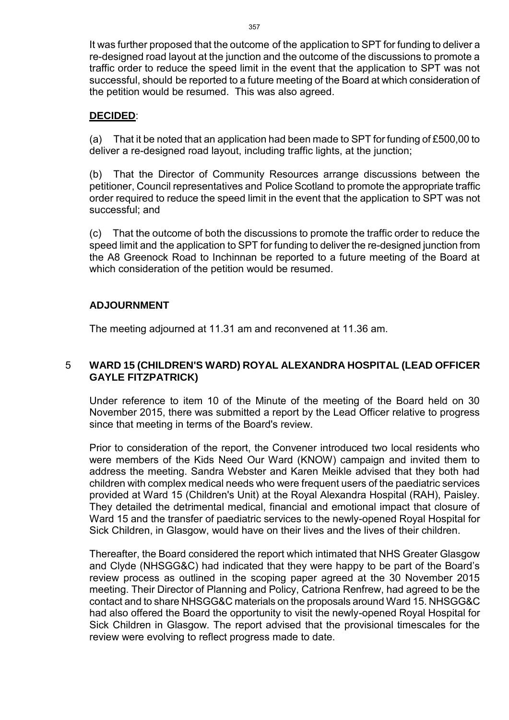It was further proposed that the outcome of the application to SPT for funding to deliver a re-designed road layout at the junction and the outcome of the discussions to promote a traffic order to reduce the speed limit in the event that the application to SPT was not successful, should be reported to a future meeting of the Board at which consideration of the petition would be resumed. This was also agreed.

#### **DECIDED**:

(a) That it be noted that an application had been made to SPT for funding of £500,00 to deliver a re-designed road layout, including traffic lights, at the junction;

(b) That the Director of Community Resources arrange discussions between the petitioner, Council representatives and Police Scotland to promote the appropriate traffic order required to reduce the speed limit in the event that the application to SPT was not successful; and

(c) That the outcome of both the discussions to promote the traffic order to reduce the speed limit and the application to SPT for funding to deliver the re-designed junction from the A8 Greenock Road to Inchinnan be reported to a future meeting of the Board at which consideration of the petition would be resumed.

## **ADJOURNMENT**

The meeting adjourned at 11.31 am and reconvened at 11.36 am.

## 5 **WARD 15 (CHILDREN'S WARD) ROYAL ALEXANDRA HOSPITAL (LEAD OFFICER GAYLE FITZPATRICK)**

Under reference to item 10 of the Minute of the meeting of the Board held on 30 November 2015, there was submitted a report by the Lead Officer relative to progress since that meeting in terms of the Board's review.

Prior to consideration of the report, the Convener introduced two local residents who were members of the Kids Need Our Ward (KNOW) campaign and invited them to address the meeting. Sandra Webster and Karen Meikle advised that they both had children with complex medical needs who were frequent users of the paediatric services provided at Ward 15 (Children's Unit) at the Royal Alexandra Hospital (RAH), Paisley. They detailed the detrimental medical, financial and emotional impact that closure of Ward 15 and the transfer of paediatric services to the newly-opened Royal Hospital for Sick Children, in Glasgow, would have on their lives and the lives of their children.

Thereafter, the Board considered the report which intimated that NHS Greater Glasgow and Clyde (NHSGG&C) had indicated that they were happy to be part of the Board's review process as outlined in the scoping paper agreed at the 30 November 2015 meeting. Their Director of Planning and Policy, Catriona Renfrew, had agreed to be the contact and to share NHSGG&C materials on the proposals around Ward 15. NHSGG&C had also offered the Board the opportunity to visit the newly-opened Royal Hospital for Sick Children in Glasgow. The report advised that the provisional timescales for the review were evolving to reflect progress made to date.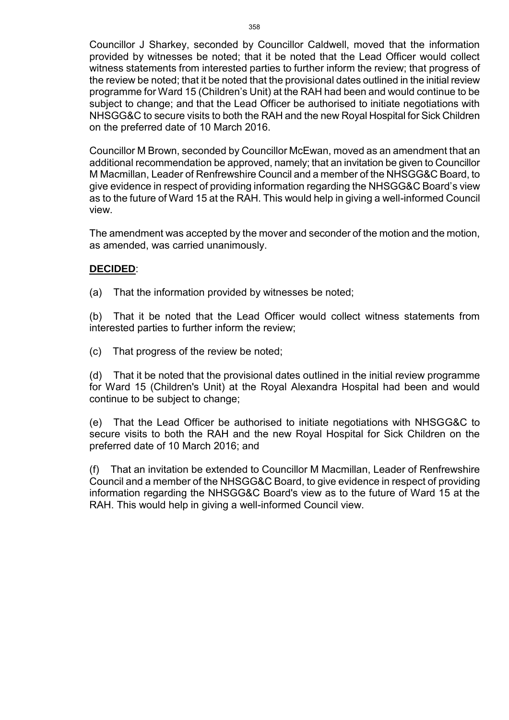Councillor J Sharkey, seconded by Councillor Caldwell, moved that the information provided by witnesses be noted; that it be noted that the Lead Officer would collect witness statements from interested parties to further inform the review; that progress of the review be noted; that it be noted that the provisional dates outlined in the initial review programme for Ward 15 (Children's Unit) at the RAH had been and would continue to be subject to change; and that the Lead Officer be authorised to initiate negotiations with NHSGG&C to secure visits to both the RAH and the new Royal Hospital for Sick Children on the preferred date of 10 March 2016.

Councillor M Brown, seconded by Councillor McEwan, moved as an amendment that an additional recommendation be approved, namely; that an invitation be given to Councillor M Macmillan, Leader of Renfrewshire Council and a member of the NHSGG&C Board, to give evidence in respect of providing information regarding the NHSGG&C Board's view as to the future of Ward 15 at the RAH. This would help in giving a well-informed Council view.

The amendment was accepted by the mover and seconder of the motion and the motion, as amended, was carried unanimously.

## **DECIDED**:

(a) That the information provided by witnesses be noted;

(b) That it be noted that the Lead Officer would collect witness statements from interested parties to further inform the review;

(c) That progress of the review be noted;

(d) That it be noted that the provisional dates outlined in the initial review programme for Ward 15 (Children's Unit) at the Royal Alexandra Hospital had been and would continue to be subject to change;

(e) That the Lead Officer be authorised to initiate negotiations with NHSGG&C to secure visits to both the RAH and the new Royal Hospital for Sick Children on the preferred date of 10 March 2016; and

(f) That an invitation be extended to Councillor M Macmillan, Leader of Renfrewshire Council and a member of the NHSGG&C Board, to give evidence in respect of providing information regarding the NHSGG&C Board's view as to the future of Ward 15 at the RAH. This would help in giving a well-informed Council view.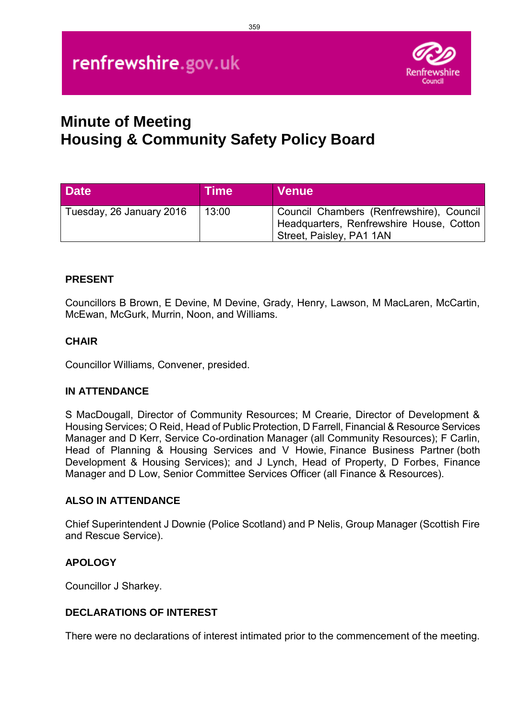

# **Minute of Meeting Housing & Community Safety Policy Board**

| <b>Date</b>              | <b>Time</b> | <b>Venue</b>                                                                                                     |
|--------------------------|-------------|------------------------------------------------------------------------------------------------------------------|
| Tuesday, 26 January 2016 | 13:00       | Council Chambers (Renfrewshire), Council<br>Headquarters, Renfrewshire House, Cotton<br>Street, Paisley, PA1 1AN |

## **PRESENT**

Councillors B Brown, E Devine, M Devine, Grady, Henry, Lawson, M MacLaren, McCartin, McEwan, McGurk, Murrin, Noon, and Williams.

#### **CHAIR**

Councillor Williams, Convener, presided.

#### **IN ATTENDANCE**

S MacDougall, Director of Community Resources; M Crearie, Director of Development & Housing Services; O Reid, Head of Public Protection, D Farrell, Financial & Resource Services Manager and D Kerr, Service Co-ordination Manager (all Community Resources); F Carlin, Head of Planning & Housing Services and V Howie, Finance Business Partner (both Development & Housing Services); and J Lynch, Head of Property, D Forbes, Finance Manager and D Low, Senior Committee Services Officer (all Finance & Resources).

#### **ALSO IN ATTENDANCE**

Chief Superintendent J Downie (Police Scotland) and P Nelis, Group Manager (Scottish Fire and Rescue Service).

#### **APOLOGY**

Councillor J Sharkey.

#### **DECLARATIONS OF INTEREST**

There were no declarations of interest intimated prior to the commencement of the meeting.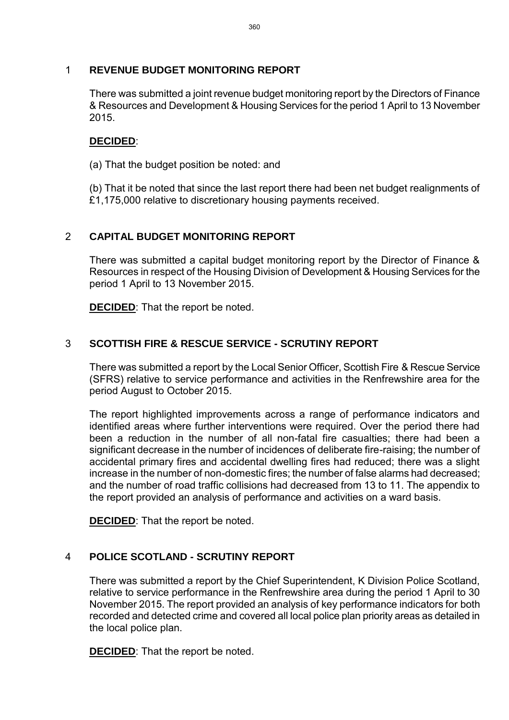## 1 **REVENUE BUDGET MONITORING REPORT**

There was submitted a joint revenue budget monitoring report by the Directors of Finance & Resources and Development & Housing Services for the period 1 April to 13 November 2015.

#### **DECIDED**:

(a) That the budget position be noted: and

(b) That it be noted that since the last report there had been net budget realignments of £1,175,000 relative to discretionary housing payments received.

# 2 **CAPITAL BUDGET MONITORING REPORT**

There was submitted a capital budget monitoring report by the Director of Finance & Resources in respect of the Housing Division of Development & Housing Services for the period 1 April to 13 November 2015.

**DECIDED**: That the report be noted.

# 3 **SCOTTISH FIRE & RESCUE SERVICE - SCRUTINY REPORT**

There was submitted a report by the Local Senior Officer, Scottish Fire & Rescue Service (SFRS) relative to service performance and activities in the Renfrewshire area for the period August to October 2015.

The report highlighted improvements across a range of performance indicators and identified areas where further interventions were required. Over the period there had been a reduction in the number of all non-fatal fire casualties; there had been a significant decrease in the number of incidences of deliberate fire-raising; the number of accidental primary fires and accidental dwelling fires had reduced; there was a slight increase in the number of non-domestic fires; the number of false alarms had decreased; and the number of road traffic collisions had decreased from 13 to 11. The appendix to the report provided an analysis of performance and activities on a ward basis.

**DECIDED**: That the report be noted.

# 4 **POLICE SCOTLAND - SCRUTINY REPORT**

There was submitted a report by the Chief Superintendent, K Division Police Scotland, relative to service performance in the Renfrewshire area during the period 1 April to 30 November 2015. The report provided an analysis of key performance indicators for both recorded and detected crime and covered all local police plan priority areas as detailed in the local police plan.

**DECIDED**: That the report be noted.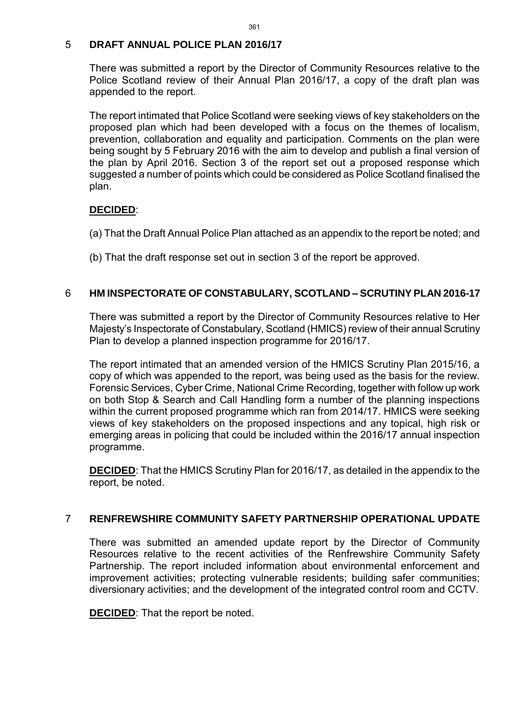#### 5 **DRAFT ANNUAL POLICE PLAN 2016/17**

There was submitted a report by the Director of Community Resources relative to the Police Scotland review of their Annual Plan 2016/17, a copy of the draft plan was appended to the report.

The report intimated that Police Scotland were seeking views of key stakeholders on the proposed plan which had been developed with a focus on the themes of localism, prevention, collaboration and equality and participation. Comments on the plan were being sought by 5 February 2016 with the aim to develop and publish a final version of the plan by April 2016. Section 3 of the report set out a proposed response which suggested a number of points which could be considered as Police Scotland finalised the plan.

# **DECIDED**:

- (a) That the Draft Annual Police Plan attached as an appendix to the report be noted; and
- (b) That the draft response set out in section 3 of the report be approved.

# 6 **HM INSPECTORATE OF CONSTABULARY, SCOTLAND – SCRUTINY PLAN 2016-17**

There was submitted a report by the Director of Community Resources relative to Her Majesty's Inspectorate of Constabulary, Scotland (HMICS) review of their annual Scrutiny Plan to develop a planned inspection programme for 2016/17.

The report intimated that an amended version of the HMICS Scrutiny Plan 2015/16, a copy of which was appended to the report, was being used as the basis for the review. Forensic Services, Cyber Crime, National Crime Recording, together with follow up work on both Stop & Search and Call Handling form a number of the planning inspections within the current proposed programme which ran from 2014/17. HMICS were seeking views of key stakeholders on the proposed inspections and any topical, high risk or emerging areas in policing that could be included within the 2016/17 annual inspection programme.

**DECIDED**: That the HMICS Scrutiny Plan for 2016/17, as detailed in the appendix to the report, be noted.

#### 7 **RENFREWSHIRE COMMUNITY SAFETY PARTNERSHIP OPERATIONAL UPDATE**

There was submitted an amended update report by the Director of Community Resources relative to the recent activities of the Renfrewshire Community Safety Partnership. The report included information about environmental enforcement and improvement activities; protecting vulnerable residents; building safer communities; diversionary activities; and the development of the integrated control room and CCTV.

**DECIDED**: That the report be noted.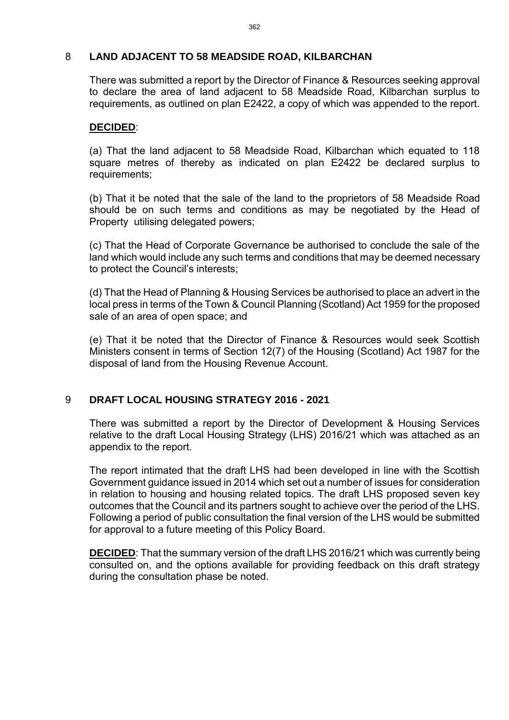#### 8 **LAND ADJACENT TO 58 MEADSIDE ROAD, KILBARCHAN**

There was submitted a report by the Director of Finance & Resources seeking approval to declare the area of land adjacent to 58 Meadside Road, Kilbarchan surplus to requirements, as outlined on plan E2422, a copy of which was appended to the report.

#### **DECIDED**:

(a) That the land adjacent to 58 Meadside Road, Kilbarchan which equated to 118 square metres of thereby as indicated on plan E2422 be declared surplus to requirements;

(b) That it be noted that the sale of the land to the proprietors of 58 Meadside Road should be on such terms and conditions as may be negotiated by the Head of Property utilising delegated powers;

(c) That the Head of Corporate Governance be authorised to conclude the sale of the land which would include any such terms and conditions that may be deemed necessary to protect the Council's interests;

(d) That the Head of Planning & Housing Services be authorised to place an advert in the local press in terms of the Town & Council Planning (Scotland) Act 1959 for the proposed sale of an area of open space; and

(e) That it be noted that the Director of Finance & Resources would seek Scottish Ministers consent in terms of Section 12(7) of the Housing (Scotland) Act 1987 for the disposal of land from the Housing Revenue Account.

# 9 **DRAFT LOCAL HOUSING STRATEGY 2016 - 2021**

There was submitted a report by the Director of Development & Housing Services relative to the draft Local Housing Strategy (LHS) 2016/21 which was attached as an appendix to the report.

The report intimated that the draft LHS had been developed in line with the Scottish Government guidance issued in 2014 which set out a number of issues for consideration in relation to housing and housing related topics. The draft LHS proposed seven key outcomes that the Council and its partners sought to achieve over the period of the LHS. Following a period of public consultation the final version of the LHS would be submitted for approval to a future meeting of this Policy Board.

**DECIDED**: That the summary version of the draft LHS 2016/21 which was currently being consulted on, and the options available for providing feedback on this draft strategy during the consultation phase be noted.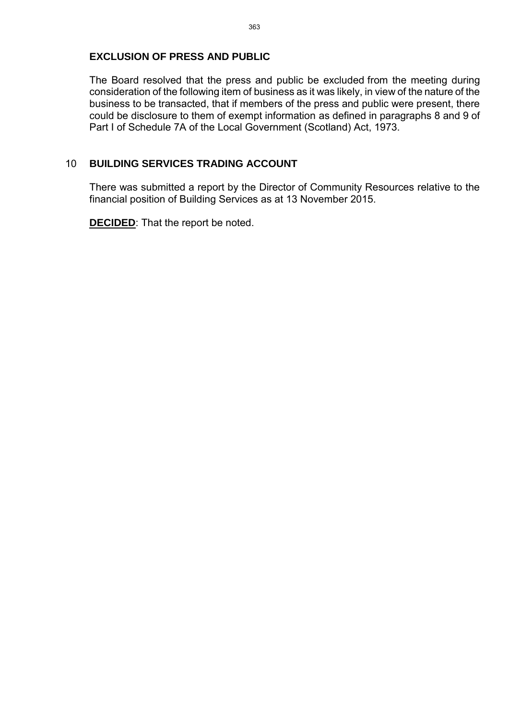#### **EXCLUSION OF PRESS AND PUBLIC**

The Board resolved that the press and public be excluded from the meeting during consideration of the following item of business as it was likely, in view of the nature of the business to be transacted, that if members of the press and public were present, there could be disclosure to them of exempt information as defined in paragraphs 8 and 9 of Part I of Schedule 7A of the Local Government (Scotland) Act, 1973.

## 10 **BUILDING SERVICES TRADING ACCOUNT**

There was submitted a report by the Director of Community Resources relative to the financial position of Building Services as at 13 November 2015.

**DECIDED**: That the report be noted.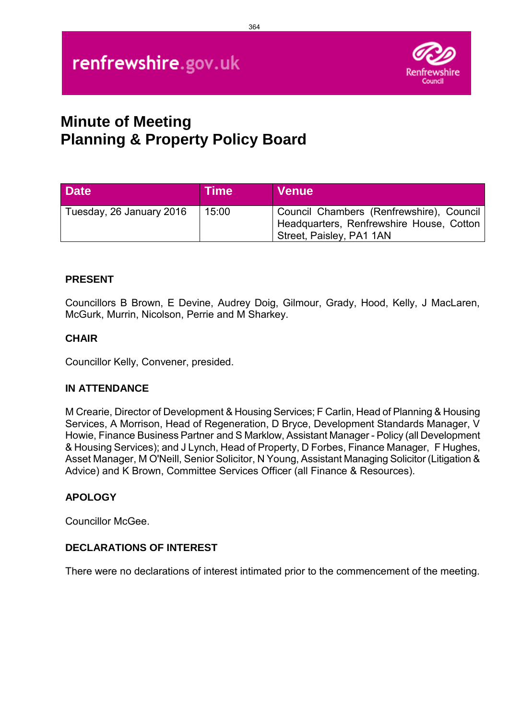

# **Minute of Meeting Planning & Property Policy Board**

| <b>Date</b>              | <b>Time</b> | <b>Venue</b>                                                                                                     |
|--------------------------|-------------|------------------------------------------------------------------------------------------------------------------|
| Tuesday, 26 January 2016 | 15:00       | Council Chambers (Renfrewshire), Council<br>Headquarters, Renfrewshire House, Cotton<br>Street, Paisley, PA1 1AN |

# **PRESENT**

Councillors B Brown, E Devine, Audrey Doig, Gilmour, Grady, Hood, Kelly, J MacLaren, McGurk, Murrin, Nicolson, Perrie and M Sharkey.

#### **CHAIR**

Councillor Kelly, Convener, presided.

#### **IN ATTENDANCE**

M Crearie, Director of Development & Housing Services; F Carlin, Head of Planning & Housing Services, A Morrison, Head of Regeneration, D Bryce, Development Standards Manager, V Howie, Finance Business Partner and S Marklow, Assistant Manager - Policy (all Development & Housing Services); and J Lynch, Head of Property, D Forbes, Finance Manager, F Hughes, Asset Manager, M O'Neill, Senior Solicitor, N Young, Assistant Managing Solicitor (Litigation & Advice) and K Brown, Committee Services Officer (all Finance & Resources).

#### **APOLOGY**

Councillor McGee.

#### **DECLARATIONS OF INTEREST**

There were no declarations of interest intimated prior to the commencement of the meeting.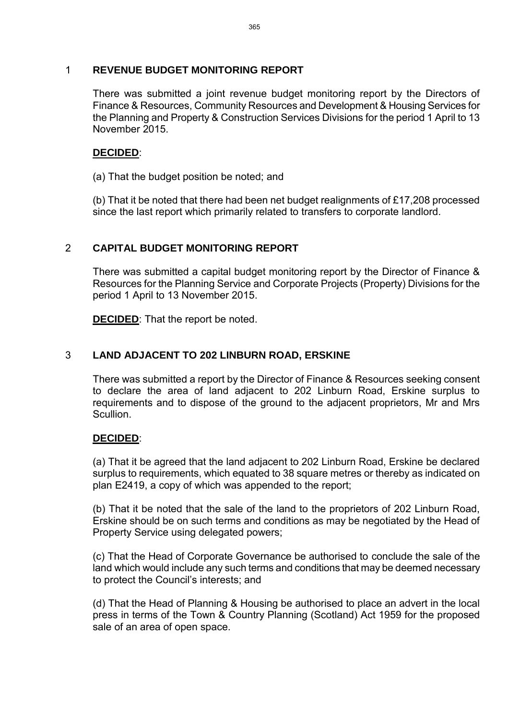#### 1 **REVENUE BUDGET MONITORING REPORT**

There was submitted a joint revenue budget monitoring report by the Directors of Finance & Resources, Community Resources and Development & Housing Services for the Planning and Property & Construction Services Divisions for the period 1 April to 13 November 2015.

## **DECIDED**:

(a) That the budget position be noted; and

(b) That it be noted that there had been net budget realignments of £17,208 processed since the last report which primarily related to transfers to corporate landlord.

# 2 **CAPITAL BUDGET MONITORING REPORT**

There was submitted a capital budget monitoring report by the Director of Finance & Resources for the Planning Service and Corporate Projects (Property) Divisions for the period 1 April to 13 November 2015.

**DECIDED**: That the report be noted.

## 3 **LAND ADJACENT TO 202 LINBURN ROAD, ERSKINE**

There was submitted a report by the Director of Finance & Resources seeking consent to declare the area of land adjacent to 202 Linburn Road, Erskine surplus to requirements and to dispose of the ground to the adjacent proprietors, Mr and Mrs Scullion.

#### **DECIDED**:

(a) That it be agreed that the land adjacent to 202 Linburn Road, Erskine be declared surplus to requirements, which equated to 38 square metres or thereby as indicated on plan E2419, a copy of which was appended to the report;

(b) That it be noted that the sale of the land to the proprietors of 202 Linburn Road, Erskine should be on such terms and conditions as may be negotiated by the Head of Property Service using delegated powers;

(c) That the Head of Corporate Governance be authorised to conclude the sale of the land which would include any such terms and conditions that may be deemed necessary to protect the Council's interests; and

(d) That the Head of Planning & Housing be authorised to place an advert in the local press in terms of the Town & Country Planning (Scotland) Act 1959 for the proposed sale of an area of open space.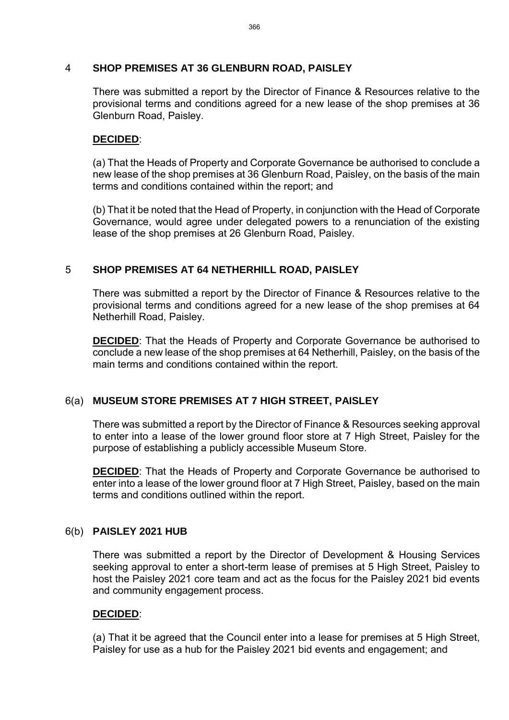#### 4 **SHOP PREMISES AT 36 GLENBURN ROAD, PAISLEY**

There was submitted a report by the Director of Finance & Resources relative to the provisional terms and conditions agreed for a new lease of the shop premises at 36 Glenburn Road, Paisley.

#### **DECIDED**:

(a) That the Heads of Property and Corporate Governance be authorised to conclude a new lease of the shop premises at 36 Glenburn Road, Paisley, on the basis of the main terms and conditions contained within the report; and

(b) That it be noted that the Head of Property, in conjunction with the Head of Corporate Governance, would agree under delegated powers to a renunciation of the existing lease of the shop premises at 26 Glenburn Road, Paisley.

## 5 **SHOP PREMISES AT 64 NETHERHILL ROAD, PAISLEY**

There was submitted a report by the Director of Finance & Resources relative to the provisional terms and conditions agreed for a new lease of the shop premises at 64 Netherhill Road, Paisley.

**DECIDED:** That the Heads of Property and Corporate Governance be authorised to conclude a new lease of the shop premises at 64 Netherhill, Paisley, on the basis of the main terms and conditions contained within the report.

# 6(a) **MUSEUM STORE PREMISES AT 7 HIGH STREET, PAISLEY**

There was submitted a report by the Director of Finance & Resources seeking approval to enter into a lease of the lower ground floor store at 7 High Street, Paisley for the purpose of establishing a publicly accessible Museum Store.

**DECIDED:** That the Heads of Property and Corporate Governance be authorised to enter into a lease of the lower ground floor at 7 High Street, Paisley, based on the main terms and conditions outlined within the report.

#### 6(b) **PAISLEY 2021 HUB**

There was submitted a report by the Director of Development & Housing Services seeking approval to enter a short-term lease of premises at 5 High Street, Paisley to host the Paisley 2021 core team and act as the focus for the Paisley 2021 bid events and community engagement process.

#### **DECIDED**:

(a) That it be agreed that the Council enter into a lease for premises at 5 High Street, Paisley for use as a hub for the Paisley 2021 bid events and engagement; and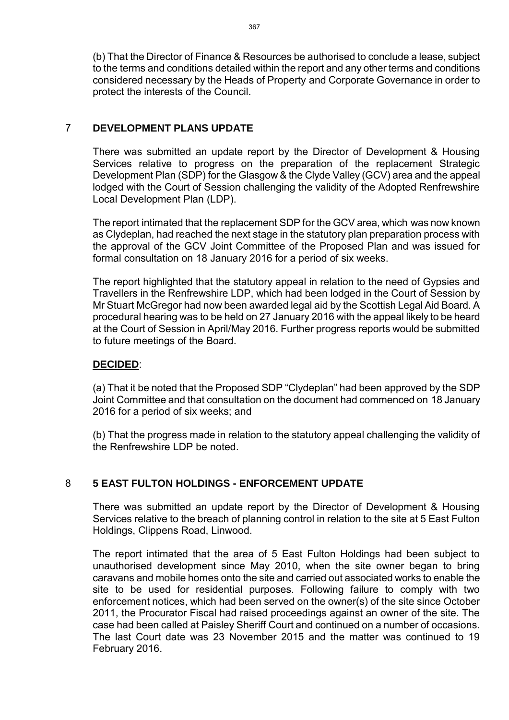(b) That the Director of Finance & Resources be authorised to conclude a lease, subject to the terms and conditions detailed within the report and any other terms and conditions considered necessary by the Heads of Property and Corporate Governance in order to protect the interests of the Council.

## 7 **DEVELOPMENT PLANS UPDATE**

There was submitted an update report by the Director of Development & Housing Services relative to progress on the preparation of the replacement Strategic Development Plan (SDP) for the Glasgow & the Clyde Valley (GCV) area and the appeal lodged with the Court of Session challenging the validity of the Adopted Renfrewshire Local Development Plan (LDP).

The report intimated that the replacement SDP for the GCV area, which was now known as Clydeplan, had reached the next stage in the statutory plan preparation process with the approval of the GCV Joint Committee of the Proposed Plan and was issued for formal consultation on 18 January 2016 for a period of six weeks.

The report highlighted that the statutory appeal in relation to the need of Gypsies and Travellers in the Renfrewshire LDP, which had been lodged in the Court of Session by Mr Stuart McGregor had now been awarded legal aid by the Scottish Legal Aid Board. A procedural hearing was to be held on 27 January 2016 with the appeal likely to be heard at the Court of Session in April/May 2016. Further progress reports would be submitted to future meetings of the Board.

#### **DECIDED**:

(a) That it be noted that the Proposed SDP "Clydeplan" had been approved by the SDP Joint Committee and that consultation on the document had commenced on 18 January 2016 for a period of six weeks; and

(b) That the progress made in relation to the statutory appeal challenging the validity of the Renfrewshire LDP be noted.

# 8 **5 EAST FULTON HOLDINGS - ENFORCEMENT UPDATE**

There was submitted an update report by the Director of Development & Housing Services relative to the breach of planning control in relation to the site at 5 East Fulton Holdings, Clippens Road, Linwood.

The report intimated that the area of 5 East Fulton Holdings had been subject to unauthorised development since May 2010, when the site owner began to bring caravans and mobile homes onto the site and carried out associated works to enable the site to be used for residential purposes. Following failure to comply with two enforcement notices, which had been served on the owner(s) of the site since October 2011, the Procurator Fiscal had raised proceedings against an owner of the site. The case had been called at Paisley Sheriff Court and continued on a number of occasions. The last Court date was 23 November 2015 and the matter was continued to 19 February 2016.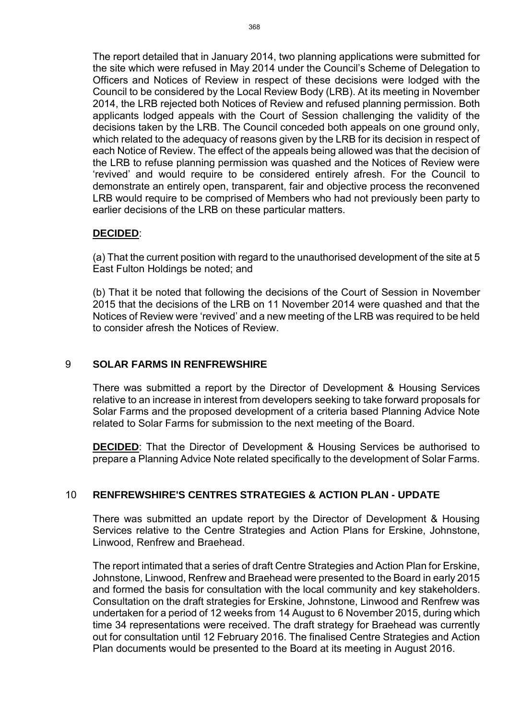The report detailed that in January 2014, two planning applications were submitted for the site which were refused in May 2014 under the Council's Scheme of Delegation to Officers and Notices of Review in respect of these decisions were lodged with the Council to be considered by the Local Review Body (LRB). At its meeting in November 2014, the LRB rejected both Notices of Review and refused planning permission. Both applicants lodged appeals with the Court of Session challenging the validity of the decisions taken by the LRB. The Council conceded both appeals on one ground only, which related to the adequacy of reasons given by the LRB for its decision in respect of each Notice of Review. The effect of the appeals being allowed was that the decision of the LRB to refuse planning permission was quashed and the Notices of Review were 'revived' and would require to be considered entirely afresh. For the Council to demonstrate an entirely open, transparent, fair and objective process the reconvened LRB would require to be comprised of Members who had not previously been party to earlier decisions of the LRB on these particular matters.

#### **DECIDED**:

(a) That the current position with regard to the unauthorised development of the site at 5 East Fulton Holdings be noted; and

(b) That it be noted that following the decisions of the Court of Session in November 2015 that the decisions of the LRB on 11 November 2014 were quashed and that the Notices of Review were 'revived' and a new meeting of the LRB was required to be held to consider afresh the Notices of Review.

#### 9 **SOLAR FARMS IN RENFREWSHIRE**

There was submitted a report by the Director of Development & Housing Services relative to an increase in interest from developers seeking to take forward proposals for Solar Farms and the proposed development of a criteria based Planning Advice Note related to Solar Farms for submission to the next meeting of the Board.

**DECIDED:** That the Director of Development & Housing Services be authorised to prepare a Planning Advice Note related specifically to the development of Solar Farms.

#### 10 **RENFREWSHIRE'S CENTRES STRATEGIES & ACTION PLAN - UPDATE**

There was submitted an update report by the Director of Development & Housing Services relative to the Centre Strategies and Action Plans for Erskine, Johnstone, Linwood, Renfrew and Braehead.

The report intimated that a series of draft Centre Strategies and Action Plan for Erskine, Johnstone, Linwood, Renfrew and Braehead were presented to the Board in early 2015 and formed the basis for consultation with the local community and key stakeholders. Consultation on the draft strategies for Erskine, Johnstone, Linwood and Renfrew was undertaken for a period of 12 weeks from 14 August to 6 November 2015, during which time 34 representations were received. The draft strategy for Braehead was currently out for consultation until 12 February 2016. The finalised Centre Strategies and Action Plan documents would be presented to the Board at its meeting in August 2016.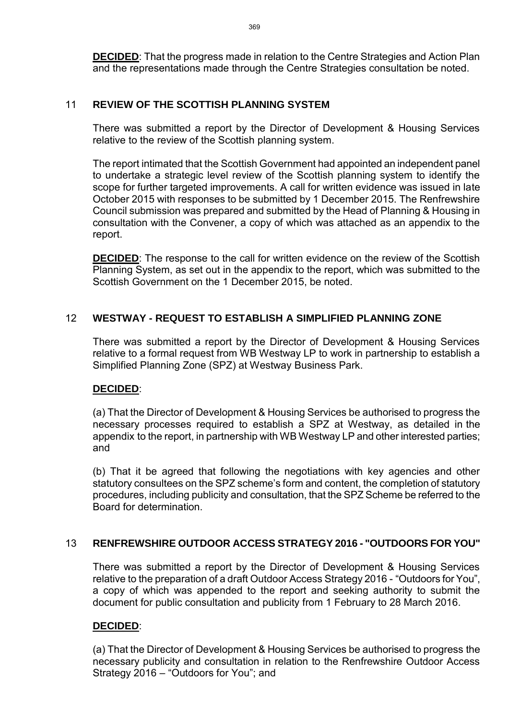**DECIDED**: That the progress made in relation to the Centre Strategies and Action Plan and the representations made through the Centre Strategies consultation be noted.

## 11 **REVIEW OF THE SCOTTISH PLANNING SYSTEM**

There was submitted a report by the Director of Development & Housing Services relative to the review of the Scottish planning system.

The report intimated that the Scottish Government had appointed an independent panel to undertake a strategic level review of the Scottish planning system to identify the scope for further targeted improvements. A call for written evidence was issued in late October 2015 with responses to be submitted by 1 December 2015. The Renfrewshire Council submission was prepared and submitted by the Head of Planning & Housing in consultation with the Convener, a copy of which was attached as an appendix to the report.

**DECIDED**: The response to the call for written evidence on the review of the Scottish Planning System, as set out in the appendix to the report, which was submitted to the Scottish Government on the 1 December 2015, be noted.

## 12 **WESTWAY - REQUEST TO ESTABLISH A SIMPLIFIED PLANNING ZONE**

There was submitted a report by the Director of Development & Housing Services relative to a formal request from WB Westway LP to work in partnership to establish a Simplified Planning Zone (SPZ) at Westway Business Park.

#### **DECIDED**:

(a) That the Director of Development & Housing Services be authorised to progress the necessary processes required to establish a SPZ at Westway, as detailed in the appendix to the report, in partnership with WB Westway LP and other interested parties; and

(b) That it be agreed that following the negotiations with key agencies and other statutory consultees on the SPZ scheme's form and content, the completion of statutory procedures, including publicity and consultation, that the SPZ Scheme be referred to the Board for determination.

#### 13 **RENFREWSHIRE OUTDOOR ACCESS STRATEGY 2016 - "OUTDOORS FOR YOU"**

There was submitted a report by the Director of Development & Housing Services relative to the preparation of a draft Outdoor Access Strategy 2016 - "Outdoors for You", a copy of which was appended to the report and seeking authority to submit the document for public consultation and publicity from 1 February to 28 March 2016.

# **DECIDED**:

(a) That the Director of Development & Housing Services be authorised to progress the necessary publicity and consultation in relation to the Renfrewshire Outdoor Access Strategy 2016 – "Outdoors for You"; and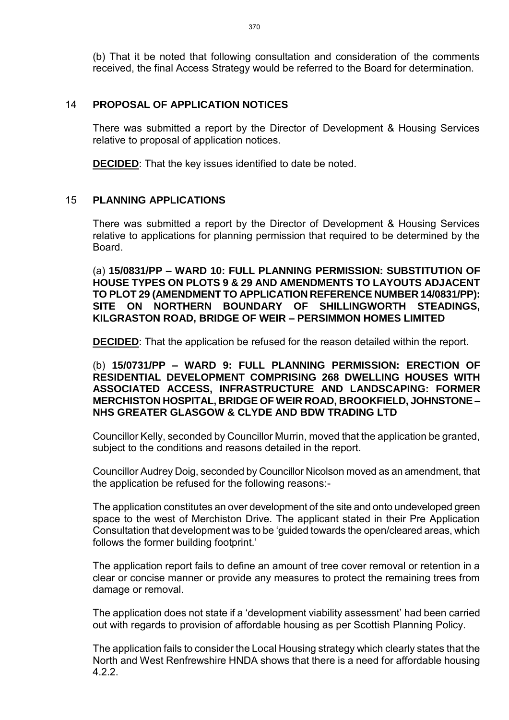(b) That it be noted that following consultation and consideration of the comments received, the final Access Strategy would be referred to the Board for determination.

#### 14 **PROPOSAL OF APPLICATION NOTICES**

There was submitted a report by the Director of Development & Housing Services relative to proposal of application notices.

**DECIDED**: That the key issues identified to date be noted.

#### 15 **PLANNING APPLICATIONS**

There was submitted a report by the Director of Development & Housing Services relative to applications for planning permission that required to be determined by the Board.

(a) **15/0831/PP – WARD 10: FULL PLANNING PERMISSION: SUBSTITUTION OF HOUSE TYPES ON PLOTS 9 & 29 AND AMENDMENTS TO LAYOUTS ADJACENT TO PLOT 29 (AMENDMENT TO APPLICATION REFERENCE NUMBER 14/0831/PP): SITE ON NORTHERN BOUNDARY OF SHILLINGWORTH STEADINGS, KILGRASTON ROAD, BRIDGE OF WEIR – PERSIMMON HOMES LIMITED** 

**DECIDED:** That the application be refused for the reason detailed within the report.

(b) **15/0731/PP – WARD 9: FULL PLANNING PERMISSION: ERECTION OF RESIDENTIAL DEVELOPMENT COMPRISING 268 DWELLING HOUSES WITH ASSOCIATED ACCESS, INFRASTRUCTURE AND LANDSCAPING: FORMER MERCHISTON HOSPITAL, BRIDGE OF WEIR ROAD, BROOKFIELD, JOHNSTONE – NHS GREATER GLASGOW & CLYDE AND BDW TRADING LTD**

Councillor Kelly, seconded by Councillor Murrin, moved that the application be granted, subject to the conditions and reasons detailed in the report.

Councillor Audrey Doig, seconded by Councillor Nicolson moved as an amendment, that the application be refused for the following reasons:-

The application constitutes an over development of the site and onto undeveloped green space to the west of Merchiston Drive. The applicant stated in their Pre Application Consultation that development was to be 'guided towards the open/cleared areas, which follows the former building footprint.'

The application report fails to define an amount of tree cover removal or retention in a clear or concise manner or provide any measures to protect the remaining trees from damage or removal.

The application does not state if a 'development viability assessment' had been carried out with regards to provision of affordable housing as per Scottish Planning Policy.

The application fails to consider the Local Housing strategy which clearly states that the North and West Renfrewshire HNDA shows that there is a need for affordable housing 4.2.2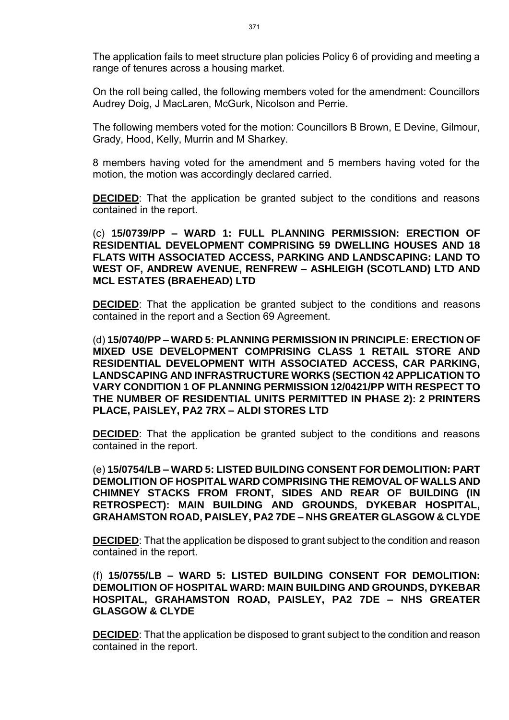The application fails to meet structure plan policies Policy 6 of providing and meeting a range of tenures across a housing market.

On the roll being called, the following members voted for the amendment: Councillors Audrey Doig, J MacLaren, McGurk, Nicolson and Perrie.

The following members voted for the motion: Councillors B Brown, E Devine, Gilmour, Grady, Hood, Kelly, Murrin and M Sharkey.

8 members having voted for the amendment and 5 members having voted for the motion, the motion was accordingly declared carried.

**DECIDED**: That the application be granted subject to the conditions and reasons contained in the report.

(c) **15/0739/PP – WARD 1: FULL PLANNING PERMISSION: ERECTION OF RESIDENTIAL DEVELOPMENT COMPRISING 59 DWELLING HOUSES AND 18 FLATS WITH ASSOCIATED ACCESS, PARKING AND LANDSCAPING: LAND TO WEST OF, ANDREW AVENUE, RENFREW – ASHLEIGH (SCOTLAND) LTD AND MCL ESTATES (BRAEHEAD) LTD**

**DECIDED**: That the application be granted subject to the conditions and reasons contained in the report and a Section 69 Agreement.

(d) **15/0740/PP – WARD 5: PLANNING PERMISSION IN PRINCIPLE: ERECTION OF MIXED USE DEVELOPMENT COMPRISING CLASS 1 RETAIL STORE AND RESIDENTIAL DEVELOPMENT WITH ASSOCIATED ACCESS, CAR PARKING, LANDSCAPING AND INFRASTRUCTURE WORKS (SECTION 42 APPLICATION TO VARY CONDITION 1 OF PLANNING PERMISSION 12/0421/PP WITH RESPECT TO THE NUMBER OF RESIDENTIAL UNITS PERMITTED IN PHASE 2): 2 PRINTERS PLACE, PAISLEY, PA2 7RX – ALDI STORES LTD** 

**DECIDED:** That the application be granted subject to the conditions and reasons contained in the report.

(e) **15/0754/LB – WARD 5: LISTED BUILDING CONSENT FOR DEMOLITION: PART DEMOLITION OF HOSPITAL WARD COMPRISING THE REMOVAL OF WALLS AND CHIMNEY STACKS FROM FRONT, SIDES AND REAR OF BUILDING (IN RETROSPECT): MAIN BUILDING AND GROUNDS, DYKEBAR HOSPITAL, GRAHAMSTON ROAD, PAISLEY, PA2 7DE – NHS GREATER GLASGOW & CLYDE** 

**DECIDED**: That the application be disposed to grant subject to the condition and reason contained in the report.

(f) **15/0755/LB – WARD 5: LISTED BUILDING CONSENT FOR DEMOLITION: DEMOLITION OF HOSPITAL WARD: MAIN BUILDING AND GROUNDS, DYKEBAR HOSPITAL, GRAHAMSTON ROAD, PAISLEY, PA2 7DE – NHS GREATER GLASGOW & CLYDE** 

**DECIDED**: That the application be disposed to grant subject to the condition and reason contained in the report.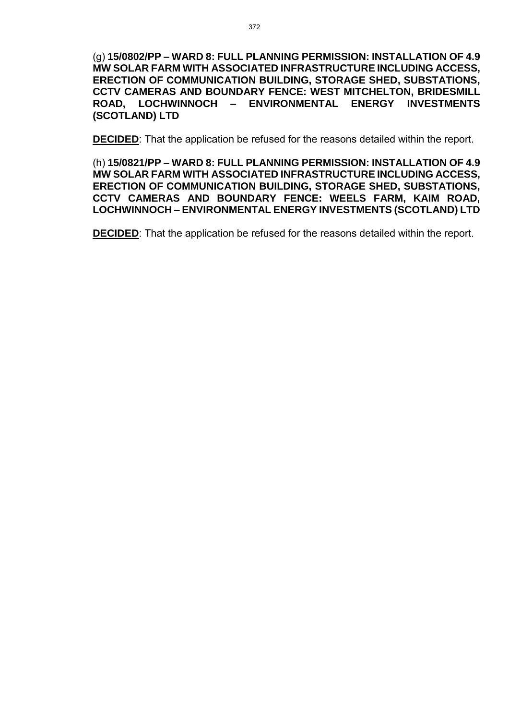(g) **15/0802/PP – WARD 8: FULL PLANNING PERMISSION: INSTALLATION OF 4.9 MW SOLAR FARM WITH ASSOCIATED INFRASTRUCTURE INCLUDING ACCESS, ERECTION OF COMMUNICATION BUILDING, STORAGE SHED, SUBSTATIONS, CCTV CAMERAS AND BOUNDARY FENCE: WEST MITCHELTON, BRIDESMILL ROAD, LOCHWINNOCH – ENVIRONMENTAL ENERGY INVESTMENTS (SCOTLAND) LTD** 

**DECIDED**: That the application be refused for the reasons detailed within the report.

(h) **15/0821/PP – WARD 8: FULL PLANNING PERMISSION: INSTALLATION OF 4.9 MW SOLAR FARM WITH ASSOCIATED INFRASTRUCTURE INCLUDING ACCESS, ERECTION OF COMMUNICATION BUILDING, STORAGE SHED, SUBSTATIONS, CCTV CAMERAS AND BOUNDARY FENCE: WEELS FARM, KAIM ROAD, LOCHWINNOCH – ENVIRONMENTAL ENERGY INVESTMENTS (SCOTLAND) LTD** 

**DECIDED:** That the application be refused for the reasons detailed within the report.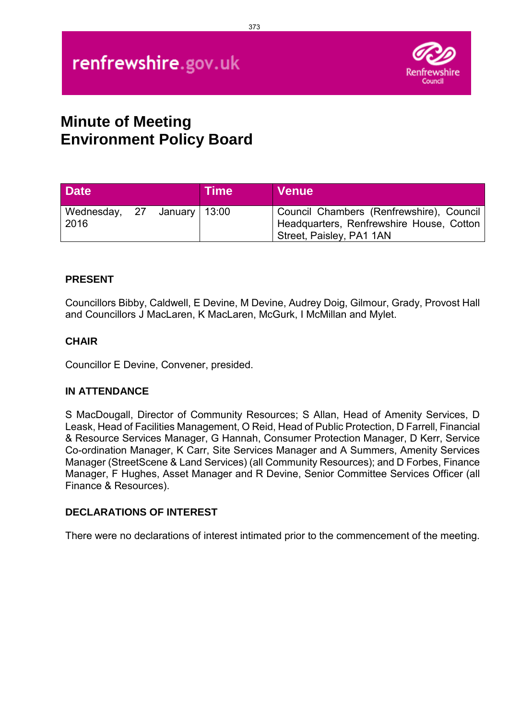# renfrewshire.gov.uk



# **Minute of Meeting Environment Policy Board**

| <b>Date</b>                         |  | <b>Time</b> | <b>Venue</b>                                                                                                     |
|-------------------------------------|--|-------------|------------------------------------------------------------------------------------------------------------------|
| Wednesday, 27 January 13:00<br>2016 |  |             | Council Chambers (Renfrewshire), Council<br>Headquarters, Renfrewshire House, Cotton<br>Street, Paisley, PA1 1AN |

# **PRESENT**

Councillors Bibby, Caldwell, E Devine, M Devine, Audrey Doig, Gilmour, Grady, Provost Hall and Councillors J MacLaren, K MacLaren, McGurk, I McMillan and Mylet.

#### **CHAIR**

Councillor E Devine, Convener, presided.

#### **IN ATTENDANCE**

S MacDougall, Director of Community Resources; S Allan, Head of Amenity Services, D Leask, Head of Facilities Management, O Reid, Head of Public Protection, D Farrell, Financial & Resource Services Manager, G Hannah, Consumer Protection Manager, D Kerr, Service Co-ordination Manager, K Carr, Site Services Manager and A Summers, Amenity Services Manager (StreetScene & Land Services) (all Community Resources); and D Forbes, Finance Manager, F Hughes, Asset Manager and R Devine, Senior Committee Services Officer (all Finance & Resources).

#### **DECLARATIONS OF INTEREST**

There were no declarations of interest intimated prior to the commencement of the meeting.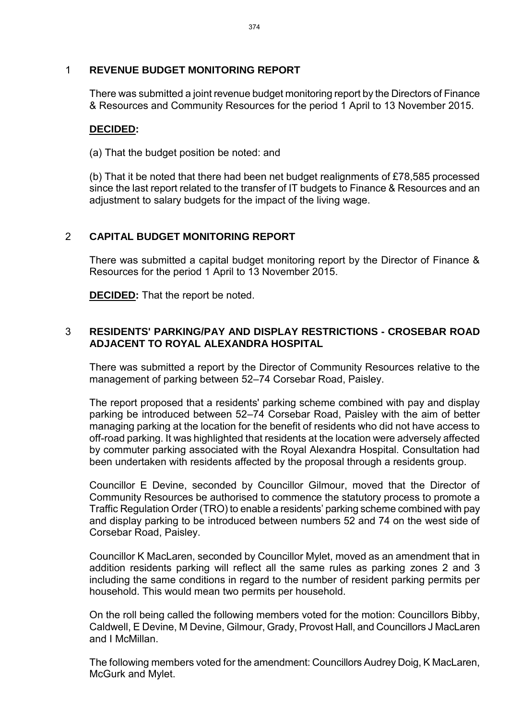## 1 **REVENUE BUDGET MONITORING REPORT**

There was submitted a joint revenue budget monitoring report by the Directors of Finance & Resources and Community Resources for the period 1 April to 13 November 2015.

## **DECIDED:**

(a) That the budget position be noted: and

(b) That it be noted that there had been net budget realignments of £78,585 processed since the last report related to the transfer of IT budgets to Finance & Resources and an adjustment to salary budgets for the impact of the living wage.

# 2 **CAPITAL BUDGET MONITORING REPORT**

There was submitted a capital budget monitoring report by the Director of Finance & Resources for the period 1 April to 13 November 2015.

**DECIDED:** That the report be noted.

# 3 **RESIDENTS' PARKING/PAY AND DISPLAY RESTRICTIONS - CROSEBAR ROAD ADJACENT TO ROYAL ALEXANDRA HOSPITAL**

There was submitted a report by the Director of Community Resources relative to the management of parking between 52–74 Corsebar Road, Paisley.

The report proposed that a residents' parking scheme combined with pay and display parking be introduced between 52–74 Corsebar Road, Paisley with the aim of better managing parking at the location for the benefit of residents who did not have access to off-road parking. It was highlighted that residents at the location were adversely affected by commuter parking associated with the Royal Alexandra Hospital. Consultation had been undertaken with residents affected by the proposal through a residents group.

Councillor E Devine, seconded by Councillor Gilmour, moved that the Director of Community Resources be authorised to commence the statutory process to promote a Traffic Regulation Order (TRO) to enable a residents' parking scheme combined with pay and display parking to be introduced between numbers 52 and 74 on the west side of Corsebar Road, Paisley.

Councillor K MacLaren, seconded by Councillor Mylet, moved as an amendment that in addition residents parking will reflect all the same rules as parking zones 2 and 3 including the same conditions in regard to the number of resident parking permits per household. This would mean two permits per household.

On the roll being called the following members voted for the motion: Councillors Bibby, Caldwell, E Devine, M Devine, Gilmour, Grady, Provost Hall, and Councillors J MacLaren and I McMillan.

The following members voted for the amendment: Councillors Audrey Doig, K MacLaren, McGurk and Mylet.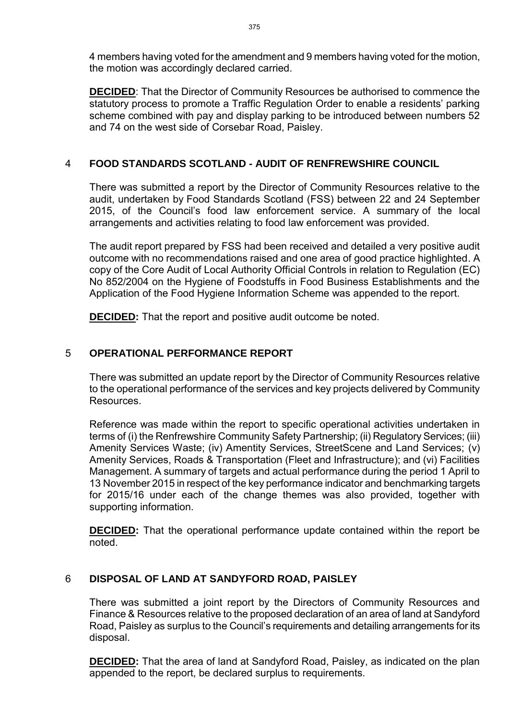4 members having voted for the amendment and 9 members having voted for the motion, the motion was accordingly declared carried.

**DECIDED**: That the Director of Community Resources be authorised to commence the statutory process to promote a Traffic Regulation Order to enable a residents' parking scheme combined with pay and display parking to be introduced between numbers 52 and 74 on the west side of Corsebar Road, Paisley.

#### 4 **FOOD STANDARDS SCOTLAND - AUDIT OF RENFREWSHIRE COUNCIL**

There was submitted a report by the Director of Community Resources relative to the audit, undertaken by Food Standards Scotland (FSS) between 22 and 24 September 2015, of the Council's food law enforcement service. A summary of the local arrangements and activities relating to food law enforcement was provided.

The audit report prepared by FSS had been received and detailed a very positive audit outcome with no recommendations raised and one area of good practice highlighted. A copy of the Core Audit of Local Authority Official Controls in relation to Regulation (EC) No 852/2004 on the Hygiene of Foodstuffs in Food Business Establishments and the Application of the Food Hygiene Information Scheme was appended to the report.

**DECIDED:** That the report and positive audit outcome be noted.

#### 5 **OPERATIONAL PERFORMANCE REPORT**

There was submitted an update report by the Director of Community Resources relative to the operational performance of the services and key projects delivered by Community Resources.

Reference was made within the report to specific operational activities undertaken in terms of (i) the Renfrewshire Community Safety Partnership; (ii) Regulatory Services; (iii) Amenity Services Waste; (iv) Amentity Services, StreetScene and Land Services; (v) Amenity Services, Roads & Transportation (Fleet and Infrastructure); and (vi) Facilities Management. A summary of targets and actual performance during the period 1 April to 13 November 2015 in respect of the key performance indicator and benchmarking targets for 2015/16 under each of the change themes was also provided, together with supporting information.

**DECIDED:** That the operational performance update contained within the report be noted.

#### 6 **DISPOSAL OF LAND AT SANDYFORD ROAD, PAISLEY**

There was submitted a joint report by the Directors of Community Resources and Finance & Resources relative to the proposed declaration of an area of land at Sandyford Road, Paisley as surplus to the Council's requirements and detailing arrangements for its disposal.

**DECIDED:** That the area of land at Sandyford Road, Paisley, as indicated on the plan appended to the report, be declared surplus to requirements.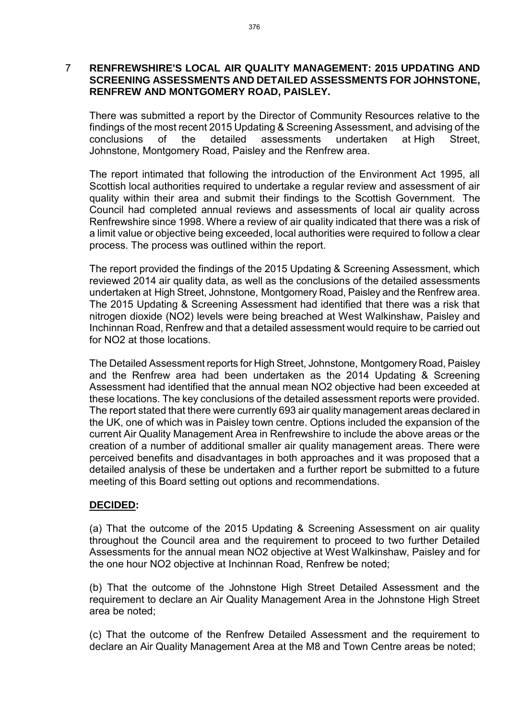#### 7 **RENFREWSHIRE'S LOCAL AIR QUALITY MANAGEMENT: 2015 UPDATING AND SCREENING ASSESSMENTS AND DETAILED ASSESSMENTS FOR JOHNSTONE, RENFREW AND MONTGOMERY ROAD, PAISLEY.**

There was submitted a report by the Director of Community Resources relative to the findings of the most recent 2015 Updating & Screening Assessment, and advising of the conclusions of the detailed assessments undertaken at High Street, Johnstone, Montgomery Road, Paisley and the Renfrew area.

The report intimated that following the introduction of the Environment Act 1995, all Scottish local authorities required to undertake a regular review and assessment of air quality within their area and submit their findings to the Scottish Government. The Council had completed annual reviews and assessments of local air quality across Renfrewshire since 1998. Where a review of air quality indicated that there was a risk of a limit value or objective being exceeded, local authorities were required to follow a clear process. The process was outlined within the report.

The report provided the findings of the 2015 Updating & Screening Assessment, which reviewed 2014 air quality data, as well as the conclusions of the detailed assessments undertaken at High Street, Johnstone, Montgomery Road, Paisley and the Renfrew area. The 2015 Updating & Screening Assessment had identified that there was a risk that nitrogen dioxide (NO2) levels were being breached at West Walkinshaw, Paisley and Inchinnan Road, Renfrew and that a detailed assessment would require to be carried out for NO2 at those locations.

The Detailed Assessment reports for High Street, Johnstone, Montgomery Road, Paisley and the Renfrew area had been undertaken as the 2014 Updating & Screening Assessment had identified that the annual mean NO2 objective had been exceeded at these locations. The key conclusions of the detailed assessment reports were provided. The report stated that there were currently 693 air quality management areas declared in the UK, one of which was in Paisley town centre. Options included the expansion of the current Air Quality Management Area in Renfrewshire to include the above areas or the creation of a number of additional smaller air quality management areas. There were perceived benefits and disadvantages in both approaches and it was proposed that a detailed analysis of these be undertaken and a further report be submitted to a future meeting of this Board setting out options and recommendations.

#### **DECIDED:**

(a) That the outcome of the 2015 Updating & Screening Assessment on air quality throughout the Council area and the requirement to proceed to two further Detailed Assessments for the annual mean NO2 objective at West Walkinshaw, Paisley and for the one hour NO2 objective at Inchinnan Road, Renfrew be noted;

(b) That the outcome of the Johnstone High Street Detailed Assessment and the requirement to declare an Air Quality Management Area in the Johnstone High Street area be noted;

(c) That the outcome of the Renfrew Detailed Assessment and the requirement to declare an Air Quality Management Area at the M8 and Town Centre areas be noted;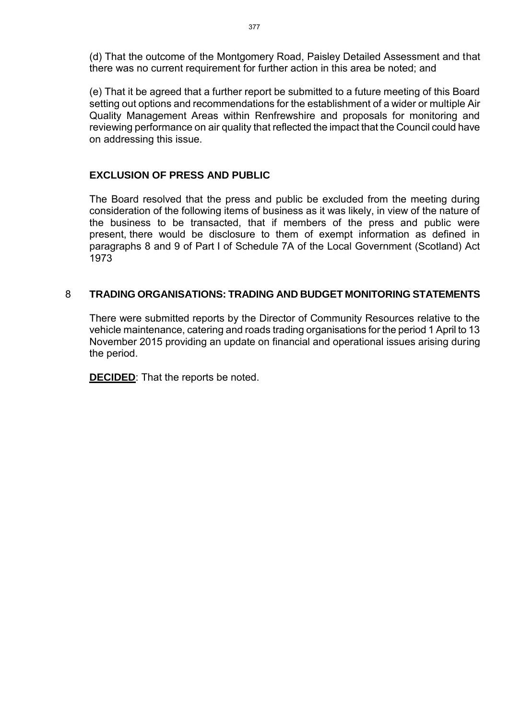(d) That the outcome of the Montgomery Road, Paisley Detailed Assessment and that there was no current requirement for further action in this area be noted; and

(e) That it be agreed that a further report be submitted to a future meeting of this Board setting out options and recommendations for the establishment of a wider or multiple Air Quality Management Areas within Renfrewshire and proposals for monitoring and reviewing performance on air quality that reflected the impact that the Council could have on addressing this issue.

# **EXCLUSION OF PRESS AND PUBLIC**

The Board resolved that the press and public be excluded from the meeting during consideration of the following items of business as it was likely, in view of the nature of the business to be transacted, that if members of the press and public were present, there would be disclosure to them of exempt information as defined in paragraphs 8 and 9 of Part I of Schedule 7A of the Local Government (Scotland) Act 1973

# 8 **TRADING ORGANISATIONS: TRADING AND BUDGET MONITORING STATEMENTS**

There were submitted reports by the Director of Community Resources relative to the vehicle maintenance, catering and roads trading organisations for the period 1 April to 13 November 2015 providing an update on financial and operational issues arising during the period.

**DECIDED**: That the reports be noted.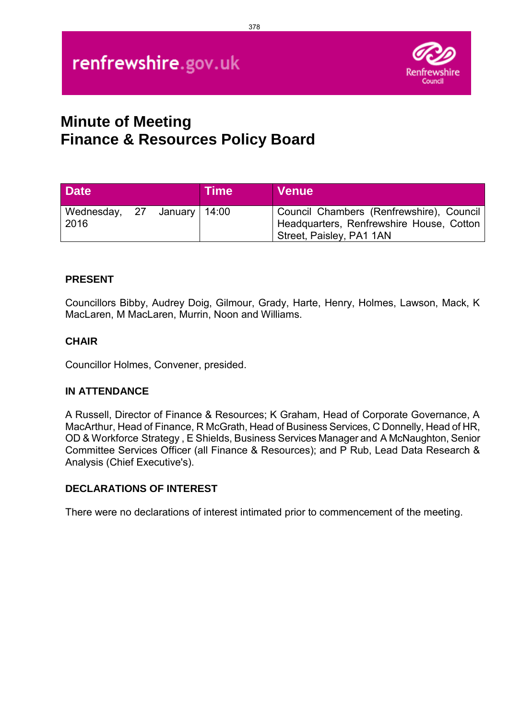

# **Minute of Meeting Finance & Resources Policy Board**

| <b>Date</b>                         |  | <b>Time</b> | <b>Venue</b>                                                                                                     |
|-------------------------------------|--|-------------|------------------------------------------------------------------------------------------------------------------|
| Wednesday, 27 January 14:00<br>2016 |  |             | Council Chambers (Renfrewshire), Council<br>Headquarters, Renfrewshire House, Cotton<br>Street, Paisley, PA1 1AN |

# **PRESENT**

Councillors Bibby, Audrey Doig, Gilmour, Grady, Harte, Henry, Holmes, Lawson, Mack, K MacLaren, M MacLaren, Murrin, Noon and Williams.

# **CHAIR**

Councillor Holmes, Convener, presided.

# **IN ATTENDANCE**

A Russell, Director of Finance & Resources; K Graham, Head of Corporate Governance, A MacArthur, Head of Finance, R McGrath, Head of Business Services, C Donnelly, Head of HR, OD & Workforce Strategy , E Shields, Business Services Manager and A McNaughton, Senior Committee Services Officer (all Finance & Resources); and P Rub, Lead Data Research & Analysis (Chief Executive's).

# **DECLARATIONS OF INTEREST**

There were no declarations of interest intimated prior to commencement of the meeting.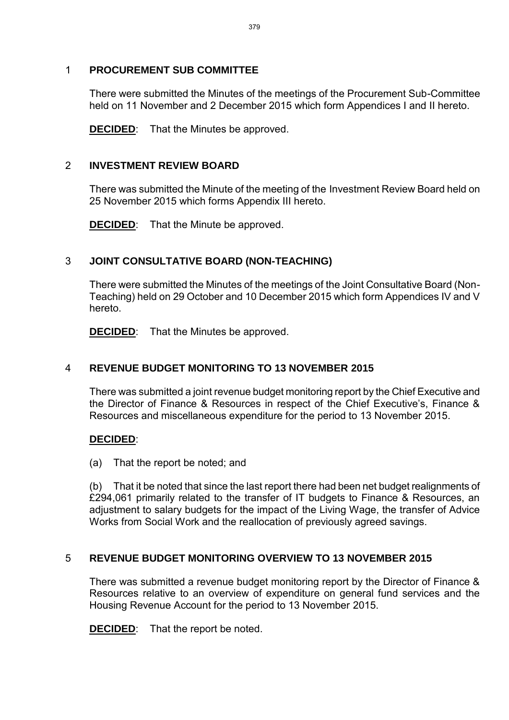# 1 **PROCUREMENT SUB COMMITTEE**

There were submitted the Minutes of the meetings of the Procurement Sub-Committee held on 11 November and 2 December 2015 which form Appendices I and II hereto.

**DECIDED**: That the Minutes be approved.

## 2 **INVESTMENT REVIEW BOARD**

There was submitted the Minute of the meeting of the Investment Review Board held on 25 November 2015 which forms Appendix III hereto.

**DECIDED**: That the Minute be approved.

# 3 **JOINT CONSULTATIVE BOARD (NON-TEACHING)**

There were submitted the Minutes of the meetings of the Joint Consultative Board (Non-Teaching) held on 29 October and 10 December 2015 which form Appendices IV and V hereto.

**DECIDED**: That the Minutes be approved.

# 4 **REVENUE BUDGET MONITORING TO 13 NOVEMBER 2015**

There was submitted a joint revenue budget monitoring report by the Chief Executive and the Director of Finance & Resources in respect of the Chief Executive's, Finance & Resources and miscellaneous expenditure for the period to 13 November 2015.

#### **DECIDED**:

(a) That the report be noted; and

(b) That it be noted that since the last report there had been net budget realignments of £294,061 primarily related to the transfer of IT budgets to Finance & Resources, an adjustment to salary budgets for the impact of the Living Wage, the transfer of Advice Works from Social Work and the reallocation of previously agreed savings.

# 5 **REVENUE BUDGET MONITORING OVERVIEW TO 13 NOVEMBER 2015**

There was submitted a revenue budget monitoring report by the Director of Finance & Resources relative to an overview of expenditure on general fund services and the Housing Revenue Account for the period to 13 November 2015.

**DECIDED**: That the report be noted.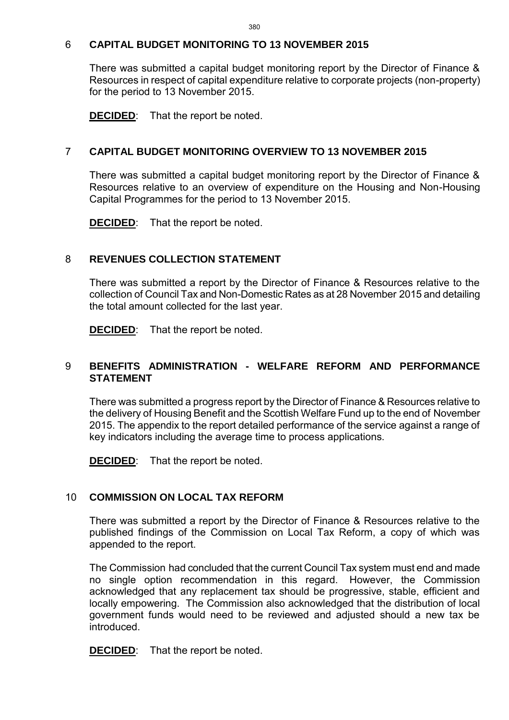#### 6 **CAPITAL BUDGET MONITORING TO 13 NOVEMBER 2015**

There was submitted a capital budget monitoring report by the Director of Finance & Resources in respect of capital expenditure relative to corporate projects (non-property) for the period to 13 November 2015.

**DECIDED**: That the report be noted.

# 7 **CAPITAL BUDGET MONITORING OVERVIEW TO 13 NOVEMBER 2015**

There was submitted a capital budget monitoring report by the Director of Finance & Resources relative to an overview of expenditure on the Housing and Non-Housing Capital Programmes for the period to 13 November 2015.

**DECIDED**: That the report be noted.

# 8 **REVENUES COLLECTION STATEMENT**

There was submitted a report by the Director of Finance & Resources relative to the collection of Council Tax and Non-Domestic Rates as at 28 November 2015 and detailing the total amount collected for the last year.

**DECIDED:** That the report be noted.

## 9 **BENEFITS ADMINISTRATION - WELFARE REFORM AND PERFORMANCE STATEMENT**

There was submitted a progress report by the Director of Finance & Resources relative to the delivery of Housing Benefit and the Scottish Welfare Fund up to the end of November 2015. The appendix to the report detailed performance of the service against a range of key indicators including the average time to process applications.

**DECIDED**: That the report be noted.

# 10 **COMMISSION ON LOCAL TAX REFORM**

There was submitted a report by the Director of Finance & Resources relative to the published findings of the Commission on Local Tax Reform, a copy of which was appended to the report.

The Commission had concluded that the current Council Tax system must end and made no single option recommendation in this regard. However, the Commission acknowledged that any replacement tax should be progressive, stable, efficient and locally empowering. The Commission also acknowledged that the distribution of local government funds would need to be reviewed and adjusted should a new tax be introduced.

**DECIDED**: That the report be noted.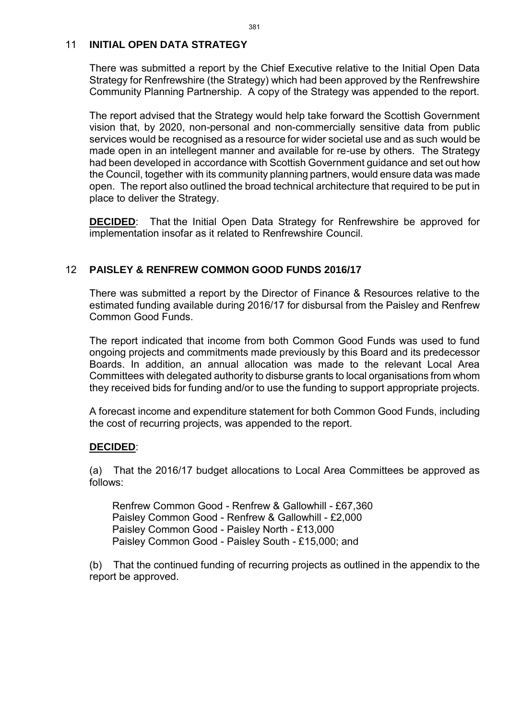#### 11 **INITIAL OPEN DATA STRATEGY**

There was submitted a report by the Chief Executive relative to the Initial Open Data Strategy for Renfrewshire (the Strategy) which had been approved by the Renfrewshire Community Planning Partnership. A copy of the Strategy was appended to the report.

The report advised that the Strategy would help take forward the Scottish Government vision that, by 2020, non-personal and non-commercially sensitive data from public services would be recognised as a resource for wider societal use and as such would be made open in an intellegent manner and available for re-use by others. The Strategy had been developed in accordance with Scottish Government guidance and set out how the Council, together with its community planning partners, would ensure data was made open. The report also outlined the broad technical architecture that required to be put in place to deliver the Strategy.

**DECIDED**: That the Initial Open Data Strategy for Renfrewshire be approved for implementation insofar as it related to Renfrewshire Council.

## 12 **PAISLEY & RENFREW COMMON GOOD FUNDS 2016/17**

There was submitted a report by the Director of Finance & Resources relative to the estimated funding available during 2016/17 for disbursal from the Paisley and Renfrew Common Good Funds.

The report indicated that income from both Common Good Funds was used to fund ongoing projects and commitments made previously by this Board and its predecessor Boards. In addition, an annual allocation was made to the relevant Local Area Committees with delegated authority to disburse grants to local organisations from whom they received bids for funding and/or to use the funding to support appropriate projects.

A forecast income and expenditure statement for both Common Good Funds, including the cost of recurring projects, was appended to the report.

#### **DECIDED**:

(a) That the 2016/17 budget allocations to Local Area Committees be approved as follows:

 Renfrew Common Good - Renfrew & Gallowhill - £67,360 Paisley Common Good - Renfrew & Gallowhill - £2,000 Paisley Common Good - Paisley North - £13,000 Paisley Common Good - Paisley South - £15,000; and

(b) That the continued funding of recurring projects as outlined in the appendix to the report be approved.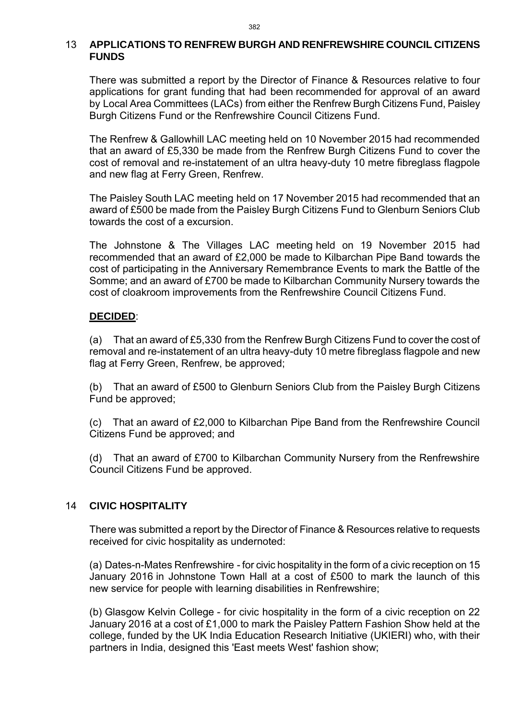#### 13 **APPLICATIONS TO RENFREW BURGH AND RENFREWSHIRE COUNCIL CITIZENS FUNDS**

There was submitted a report by the Director of Finance & Resources relative to four applications for grant funding that had been recommended for approval of an award by Local Area Committees (LACs) from either the Renfrew Burgh Citizens Fund, Paisley Burgh Citizens Fund or the Renfrewshire Council Citizens Fund.

The Renfrew & Gallowhill LAC meeting held on 10 November 2015 had recommended that an award of £5,330 be made from the Renfrew Burgh Citizens Fund to cover the cost of removal and re-instatement of an ultra heavy-duty 10 metre fibreglass flagpole and new flag at Ferry Green, Renfrew.

The Paisley South LAC meeting held on 17 November 2015 had recommended that an award of £500 be made from the Paisley Burgh Citizens Fund to Glenburn Seniors Club towards the cost of a excursion.

The Johnstone & The Villages LAC meeting held on 19 November 2015 had recommended that an award of £2,000 be made to Kilbarchan Pipe Band towards the cost of participating in the Anniversary Remembrance Events to mark the Battle of the Somme; and an award of £700 be made to Kilbarchan Community Nursery towards the cost of cloakroom improvements from the Renfrewshire Council Citizens Fund.

#### **DECIDED**:

(a) That an award of £5,330 from the Renfrew Burgh Citizens Fund to cover the cost of removal and re-instatement of an ultra heavy-duty 10 metre fibreglass flagpole and new flag at Ferry Green, Renfrew, be approved;

(b) That an award of £500 to Glenburn Seniors Club from the Paisley Burgh Citizens Fund be approved;

(c) That an award of £2,000 to Kilbarchan Pipe Band from the Renfrewshire Council Citizens Fund be approved; and

(d) That an award of £700 to Kilbarchan Community Nursery from the Renfrewshire Council Citizens Fund be approved.

### 14 **CIVIC HOSPITALITY**

There was submitted a report by the Director of Finance & Resources relative to requests received for civic hospitality as undernoted:

(a) Dates-n-Mates Renfrewshire - for civic hospitality in the form of a civic reception on 15 January 2016 in Johnstone Town Hall at a cost of £500 to mark the launch of this new service for people with learning disabilities in Renfrewshire;

(b) Glasgow Kelvin College - for civic hospitality in the form of a civic reception on 22 January 2016 at a cost of £1,000 to mark the Paisley Pattern Fashion Show held at the college, funded by the UK India Education Research Initiative (UKIERI) who, with their partners in India, designed this 'East meets West' fashion show;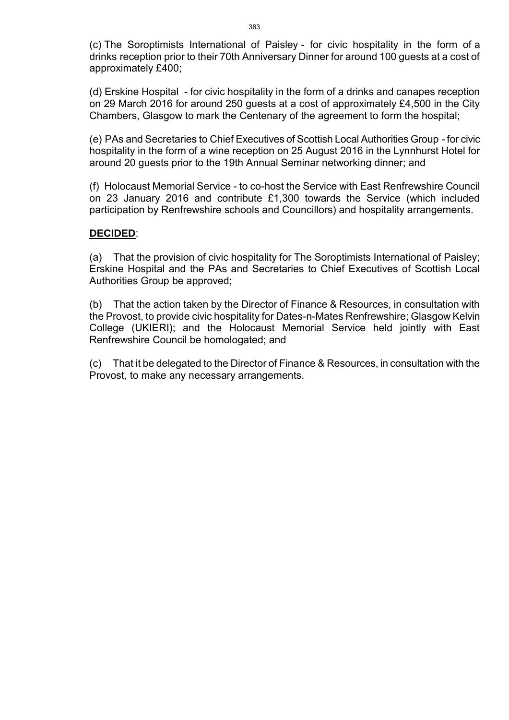(c) The Soroptimists International of Paisley - for civic hospitality in the form of a drinks reception prior to their 70th Anniversary Dinner for around 100 guests at a cost of approximately £400;

(d) Erskine Hospital - for civic hospitality in the form of a drinks and canapes reception on 29 March 2016 for around 250 guests at a cost of approximately £4,500 in the City Chambers, Glasgow to mark the Centenary of the agreement to form the hospital;

(e) PAs and Secretaries to Chief Executives of Scottish Local Authorities Group - for civic hospitality in the form of a wine reception on 25 August 2016 in the Lynnhurst Hotel for around 20 guests prior to the 19th Annual Seminar networking dinner; and

(f) Holocaust Memorial Service - to co-host the Service with East Renfrewshire Council on 23 January 2016 and contribute £1,300 towards the Service (which included participation by Renfrewshire schools and Councillors) and hospitality arrangements.

#### **DECIDED**:

(a) That the provision of civic hospitality for The Soroptimists International of Paisley; Erskine Hospital and the PAs and Secretaries to Chief Executives of Scottish Local Authorities Group be approved;

(b) That the action taken by the Director of Finance & Resources, in consultation with the Provost, to provide civic hospitality for Dates-n-Mates Renfrewshire; Glasgow Kelvin College (UKIERI); and the Holocaust Memorial Service held jointly with East Renfrewshire Council be homologated; and

(c) That it be delegated to the Director of Finance & Resources, in consultation with the Provost, to make any necessary arrangements.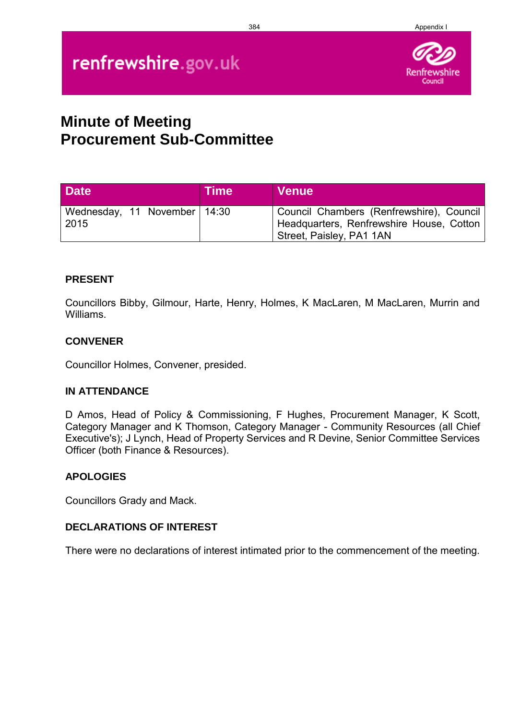#### 384 Appendix I

# renfrewshire.gov.uk



### **Minute of Meeting Procurement Sub-Committee**

| <b>Date</b>                            | <b>Time</b> | <b>Venue</b>                                                                                                       |
|----------------------------------------|-------------|--------------------------------------------------------------------------------------------------------------------|
| Wednesday, 11 November   14:30<br>2015 |             | Council Chambers (Renfrewshire), Council  <br>Headquarters, Renfrewshire House, Cotton<br>Street, Paisley, PA1 1AN |

#### **PRESENT**

Councillors Bibby, Gilmour, Harte, Henry, Holmes, K MacLaren, M MacLaren, Murrin and Williams.

#### **CONVENER**

Councillor Holmes, Convener, presided.

#### **IN ATTENDANCE**

D Amos, Head of Policy & Commissioning, F Hughes, Procurement Manager, K Scott, Category Manager and K Thomson, Category Manager - Community Resources (all Chief Executive's); J Lynch, Head of Property Services and R Devine, Senior Committee Services Officer (both Finance & Resources).

#### **APOLOGIES**

Councillors Grady and Mack.

#### **DECLARATIONS OF INTEREST**

There were no declarations of interest intimated prior to the commencement of the meeting.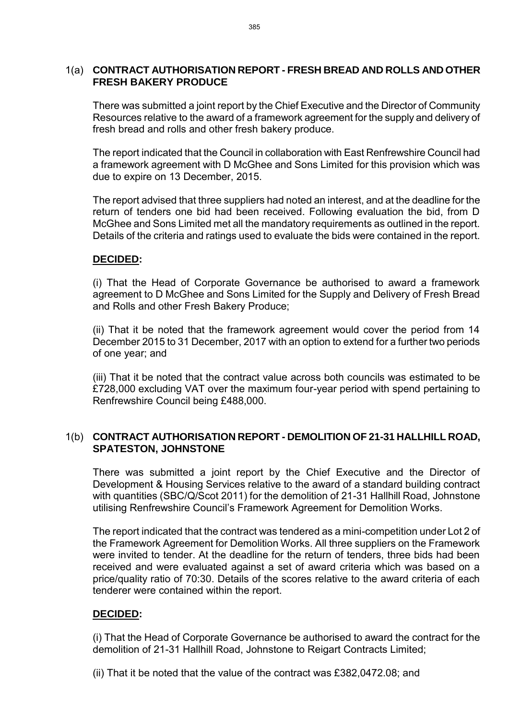#### 1(a) **CONTRACT AUTHORISATION REPORT - FRESH BREAD AND ROLLS AND OTHER FRESH BAKERY PRODUCE**

There was submitted a joint report by the Chief Executive and the Director of Community Resources relative to the award of a framework agreement for the supply and delivery of fresh bread and rolls and other fresh bakery produce.

The report indicated that the Council in collaboration with East Renfrewshire Council had a framework agreement with D McGhee and Sons Limited for this provision which was due to expire on 13 December, 2015.

The report advised that three suppliers had noted an interest, and at the deadline for the return of tenders one bid had been received. Following evaluation the bid, from D McGhee and Sons Limited met all the mandatory requirements as outlined in the report. Details of the criteria and ratings used to evaluate the bids were contained in the report.

#### **DECIDED:**

(i) That the Head of Corporate Governance be authorised to award a framework agreement to D McGhee and Sons Limited for the Supply and Delivery of Fresh Bread and Rolls and other Fresh Bakery Produce;

(ii) That it be noted that the framework agreement would cover the period from 14 December 2015 to 31 December, 2017 with an option to extend for a further two periods of one year; and

(iii) That it be noted that the contract value across both councils was estimated to be £728,000 excluding VAT over the maximum four-year period with spend pertaining to Renfrewshire Council being £488,000.

#### 1(b) **CONTRACT AUTHORISATION REPORT - DEMOLITION OF 21-31 HALLHILL ROAD, SPATESTON, JOHNSTONE**

There was submitted a joint report by the Chief Executive and the Director of Development & Housing Services relative to the award of a standard building contract with quantities (SBC/Q/Scot 2011) for the demolition of 21-31 Hallhill Road, Johnstone utilising Renfrewshire Council's Framework Agreement for Demolition Works.

The report indicated that the contract was tendered as a mini-competition under Lot 2 of the Framework Agreement for Demolition Works. All three suppliers on the Framework were invited to tender. At the deadline for the return of tenders, three bids had been received and were evaluated against a set of award criteria which was based on a price/quality ratio of 70:30. Details of the scores relative to the award criteria of each tenderer were contained within the report.

#### **DECIDED:**

(i) That the Head of Corporate Governance be authorised to award the contract for the demolition of 21-31 Hallhill Road, Johnstone to Reigart Contracts Limited;

(ii) That it be noted that the value of the contract was £382,0472.08; and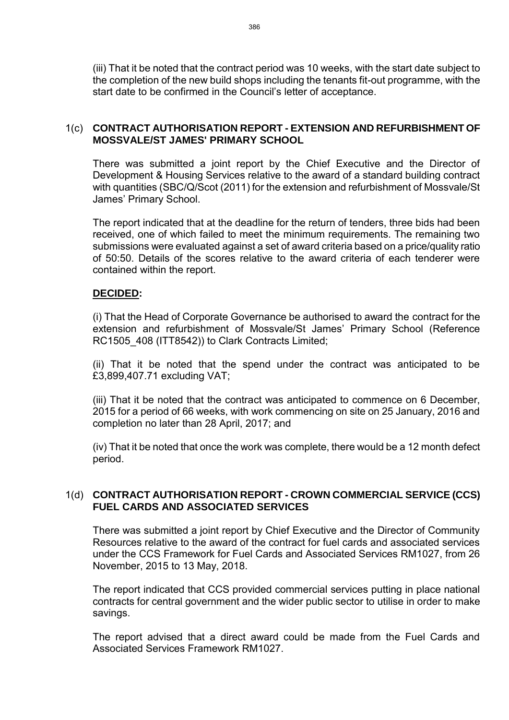(iii) That it be noted that the contract period was 10 weeks, with the start date subject to the completion of the new build shops including the tenants fit-out programme, with the start date to be confirmed in the Council's letter of acceptance.

#### 1(c) **CONTRACT AUTHORISATION REPORT - EXTENSION AND REFURBISHMENT OF MOSSVALE/ST JAMES' PRIMARY SCHOOL**

There was submitted a joint report by the Chief Executive and the Director of Development & Housing Services relative to the award of a standard building contract with quantities (SBC/Q/Scot (2011) for the extension and refurbishment of Mossvale/St James' Primary School.

The report indicated that at the deadline for the return of tenders, three bids had been received, one of which failed to meet the minimum requirements. The remaining two submissions were evaluated against a set of award criteria based on a price/quality ratio of 50:50. Details of the scores relative to the award criteria of each tenderer were contained within the report.

#### **DECIDED:**

(i) That the Head of Corporate Governance be authorised to award the contract for the extension and refurbishment of Mossvale/St James' Primary School (Reference RC1505 408 (ITT8542)) to Clark Contracts Limited;

(ii) That it be noted that the spend under the contract was anticipated to be £3,899,407.71 excluding VAT;

(iii) That it be noted that the contract was anticipated to commence on 6 December, 2015 for a period of 66 weeks, with work commencing on site on 25 January, 2016 and completion no later than 28 April, 2017; and

(iv) That it be noted that once the work was complete, there would be a 12 month defect period.

#### 1(d) **CONTRACT AUTHORISATION REPORT - CROWN COMMERCIAL SERVICE (CCS) FUEL CARDS AND ASSOCIATED SERVICES**

There was submitted a joint report by Chief Executive and the Director of Community Resources relative to the award of the contract for fuel cards and associated services under the CCS Framework for Fuel Cards and Associated Services RM1027, from 26 November, 2015 to 13 May, 2018.

The report indicated that CCS provided commercial services putting in place national contracts for central government and the wider public sector to utilise in order to make savings.

The report advised that a direct award could be made from the Fuel Cards and Associated Services Framework RM1027.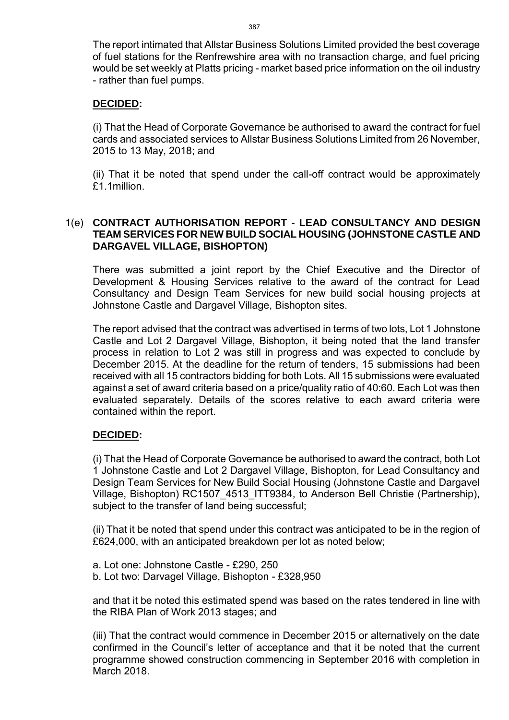The report intimated that Allstar Business Solutions Limited provided the best coverage of fuel stations for the Renfrewshire area with no transaction charge, and fuel pricing would be set weekly at Platts pricing - market based price information on the oil industry - rather than fuel pumps.

#### **DECIDED:**

(i) That the Head of Corporate Governance be authorised to award the contract for fuel cards and associated services to Allstar Business Solutions Limited from 26 November, 2015 to 13 May, 2018; and

(ii) That it be noted that spend under the call-off contract would be approximately £1.1million.

#### 1(e) **CONTRACT AUTHORISATION REPORT - LEAD CONSULTANCY AND DESIGN TEAM SERVICES FOR NEW BUILD SOCIAL HOUSING (JOHNSTONE CASTLE AND DARGAVEL VILLAGE, BISHOPTON)**

There was submitted a joint report by the Chief Executive and the Director of Development & Housing Services relative to the award of the contract for Lead Consultancy and Design Team Services for new build social housing projects at Johnstone Castle and Dargavel Village, Bishopton sites.

The report advised that the contract was advertised in terms of two lots, Lot 1 Johnstone Castle and Lot 2 Dargavel Village, Bishopton, it being noted that the land transfer process in relation to Lot 2 was still in progress and was expected to conclude by December 2015. At the deadline for the return of tenders, 15 submissions had been received with all 15 contractors bidding for both Lots. All 15 submissions were evaluated against a set of award criteria based on a price/quality ratio of 40:60. Each Lot was then evaluated separately. Details of the scores relative to each award criteria were contained within the report.

### **DECIDED:**

(i) That the Head of Corporate Governance be authorised to award the contract, both Lot 1 Johnstone Castle and Lot 2 Dargavel Village, Bishopton, for Lead Consultancy and Design Team Services for New Build Social Housing (Johnstone Castle and Dargavel Village, Bishopton) RC1507\_4513\_ITT9384, to Anderson Bell Christie (Partnership), subject to the transfer of land being successful;

(ii) That it be noted that spend under this contract was anticipated to be in the region of £624,000, with an anticipated breakdown per lot as noted below;

a. Lot one: Johnstone Castle - £290, 250 b. Lot two: Darvagel Village, Bishopton - £328,950

and that it be noted this estimated spend was based on the rates tendered in line with the RIBA Plan of Work 2013 stages; and

(iii) That the contract would commence in December 2015 or alternatively on the date confirmed in the Council's letter of acceptance and that it be noted that the current programme showed construction commencing in September 2016 with completion in March 2018.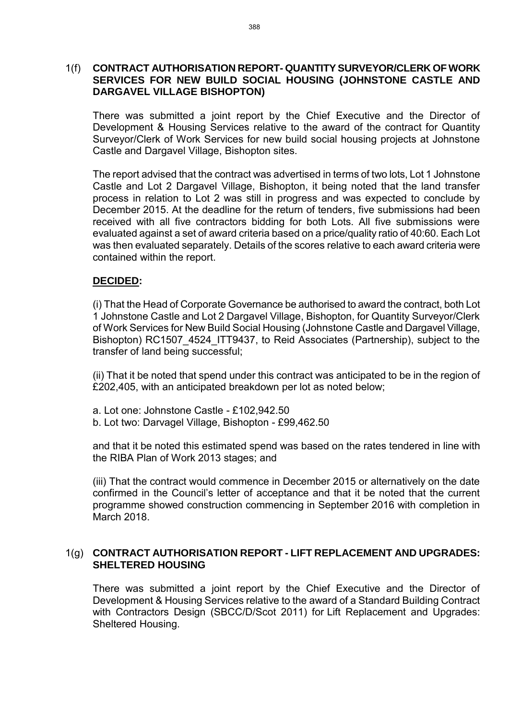#### 1(f) **CONTRACT AUTHORISATION REPORT- QUANTITY SURVEYOR/CLERK OF WORK SERVICES FOR NEW BUILD SOCIAL HOUSING (JOHNSTONE CASTLE AND DARGAVEL VILLAGE BISHOPTON)**

There was submitted a joint report by the Chief Executive and the Director of Development & Housing Services relative to the award of the contract for Quantity Surveyor/Clerk of Work Services for new build social housing projects at Johnstone Castle and Dargavel Village, Bishopton sites.

The report advised that the contract was advertised in terms of two lots, Lot 1 Johnstone Castle and Lot 2 Dargavel Village, Bishopton, it being noted that the land transfer process in relation to Lot 2 was still in progress and was expected to conclude by December 2015. At the deadline for the return of tenders, five submissions had been received with all five contractors bidding for both Lots. All five submissions were evaluated against a set of award criteria based on a price/quality ratio of 40:60. Each Lot was then evaluated separately. Details of the scores relative to each award criteria were contained within the report.

#### **DECIDED:**

(i) That the Head of Corporate Governance be authorised to award the contract, both Lot 1 Johnstone Castle and Lot 2 Dargavel Village, Bishopton, for Quantity Surveyor/Clerk of Work Services for New Build Social Housing (Johnstone Castle and Dargavel Village, Bishopton) RC1507 4524 ITT9437, to Reid Associates (Partnership), subject to the transfer of land being successful;

(ii) That it be noted that spend under this contract was anticipated to be in the region of £202,405, with an anticipated breakdown per lot as noted below;

- a. Lot one: Johnstone Castle £102,942.50
- b. Lot two: Darvagel Village, Bishopton £99,462.50

and that it be noted this estimated spend was based on the rates tendered in line with the RIBA Plan of Work 2013 stages; and

(iii) That the contract would commence in December 2015 or alternatively on the date confirmed in the Council's letter of acceptance and that it be noted that the current programme showed construction commencing in September 2016 with completion in March 2018.

#### 1(g) **CONTRACT AUTHORISATION REPORT - LIFT REPLACEMENT AND UPGRADES: SHELTERED HOUSING**

There was submitted a joint report by the Chief Executive and the Director of Development & Housing Services relative to the award of a Standard Building Contract with Contractors Design (SBCC/D/Scot 2011) for Lift Replacement and Upgrades: Sheltered Housing.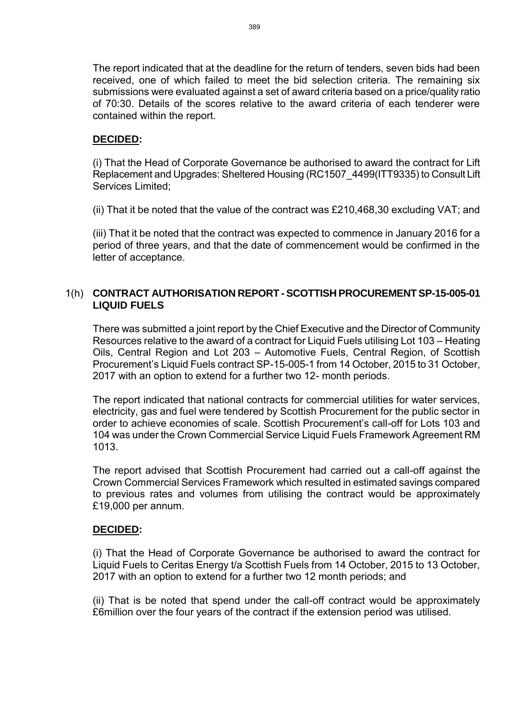The report indicated that at the deadline for the return of tenders, seven bids had been received, one of which failed to meet the bid selection criteria. The remaining six submissions were evaluated against a set of award criteria based on a price/quality ratio of 70:30. Details of the scores relative to the award criteria of each tenderer were contained within the report.

#### **DECIDED:**

(i) That the Head of Corporate Governance be authorised to award the contract for Lift Replacement and Upgrades: Sheltered Housing (RC1507\_4499(ITT9335) to Consult Lift Services Limited;

(ii) That it be noted that the value of the contract was £210,468,30 excluding VAT; and

(iii) That it be noted that the contract was expected to commence in January 2016 for a period of three years, and that the date of commencement would be confirmed in the letter of acceptance.

#### 1(h) **CONTRACT AUTHORISATION REPORT - SCOTTISH PROCUREMENT SP-15-005-01 LIQUID FUELS**

There was submitted a joint report by the Chief Executive and the Director of Community Resources relative to the award of a contract for Liquid Fuels utilising Lot 103 – Heating Oils, Central Region and Lot 203 – Automotive Fuels, Central Region, of Scottish Procurement's Liquid Fuels contract SP-15-005-1 from 14 October, 2015 to 31 October, 2017 with an option to extend for a further two 12- month periods.

The report indicated that national contracts for commercial utilities for water services, electricity, gas and fuel were tendered by Scottish Procurement for the public sector in order to achieve economies of scale. Scottish Procurement's call-off for Lots 103 and 104 was under the Crown Commercial Service Liquid Fuels Framework Agreement RM 1013.

The report advised that Scottish Procurement had carried out a call-off against the Crown Commercial Services Framework which resulted in estimated savings compared to previous rates and volumes from utilising the contract would be approximately £19,000 per annum.

#### **DECIDED:**

(i) That the Head of Corporate Governance be authorised to award the contract for Liquid Fuels to Ceritas Energy t/a Scottish Fuels from 14 October, 2015 to 13 October, 2017 with an option to extend for a further two 12 month periods; and

(ii) That is be noted that spend under the call-off contract would be approximately £6million over the four years of the contract if the extension period was utilised.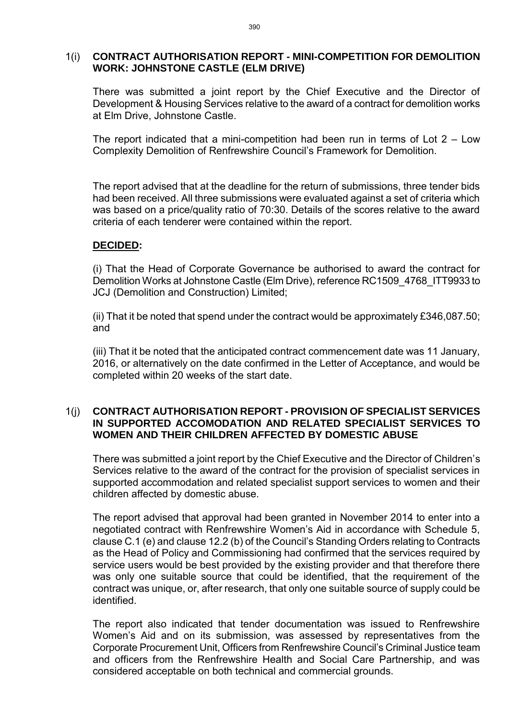#### 1(i) **CONTRACT AUTHORISATION REPORT - MINI-COMPETITION FOR DEMOLITION WORK: JOHNSTONE CASTLE (ELM DRIVE)**

There was submitted a joint report by the Chief Executive and the Director of Development & Housing Services relative to the award of a contract for demolition works at Elm Drive, Johnstone Castle.

The report indicated that a mini-competition had been run in terms of Lot  $2 -$ Low Complexity Demolition of Renfrewshire Council's Framework for Demolition.

The report advised that at the deadline for the return of submissions, three tender bids had been received. All three submissions were evaluated against a set of criteria which was based on a price/quality ratio of 70:30. Details of the scores relative to the award criteria of each tenderer were contained within the report.

#### **DECIDED:**

(i) That the Head of Corporate Governance be authorised to award the contract for Demolition Works at Johnstone Castle (Elm Drive), reference RC1509\_4768\_ITT9933 to JCJ (Demolition and Construction) Limited;

(ii) That it be noted that spend under the contract would be approximately £346,087.50; and

(iii) That it be noted that the anticipated contract commencement date was 11 January, 2016, or alternatively on the date confirmed in the Letter of Acceptance, and would be completed within 20 weeks of the start date.

#### 1(j) **CONTRACT AUTHORISATION REPORT - PROVISION OF SPECIALIST SERVICES IN SUPPORTED ACCOMODATION AND RELATED SPECIALIST SERVICES TO WOMEN AND THEIR CHILDREN AFFECTED BY DOMESTIC ABUSE**

There was submitted a joint report by the Chief Executive and the Director of Children's Services relative to the award of the contract for the provision of specialist services in supported accommodation and related specialist support services to women and their children affected by domestic abuse.

The report advised that approval had been granted in November 2014 to enter into a negotiated contract with Renfrewshire Women's Aid in accordance with Schedule 5, clause C.1 (e) and clause 12.2 (b) of the Council's Standing Orders relating to Contracts as the Head of Policy and Commissioning had confirmed that the services required by service users would be best provided by the existing provider and that therefore there was only one suitable source that could be identified, that the requirement of the contract was unique, or, after research, that only one suitable source of supply could be identified.

The report also indicated that tender documentation was issued to Renfrewshire Women's Aid and on its submission, was assessed by representatives from the Corporate Procurement Unit, Officers from Renfrewshire Council's Criminal Justice team and officers from the Renfrewshire Health and Social Care Partnership, and was considered acceptable on both technical and commercial grounds.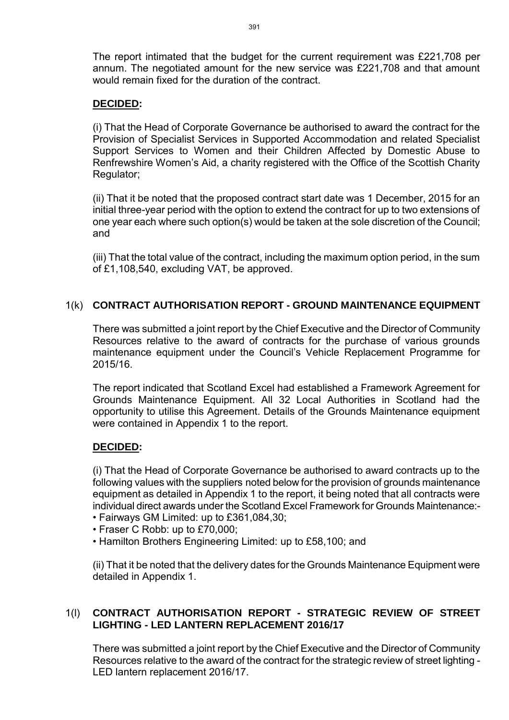The report intimated that the budget for the current requirement was £221,708 per annum. The negotiated amount for the new service was £221,708 and that amount would remain fixed for the duration of the contract.

#### **DECIDED:**

(i) That the Head of Corporate Governance be authorised to award the contract for the Provision of Specialist Services in Supported Accommodation and related Specialist Support Services to Women and their Children Affected by Domestic Abuse to Renfrewshire Women's Aid, a charity registered with the Office of the Scottish Charity Regulator;

(ii) That it be noted that the proposed contract start date was 1 December, 2015 for an initial three-year period with the option to extend the contract for up to two extensions of one year each where such option(s) would be taken at the sole discretion of the Council; and

(iii) That the total value of the contract, including the maximum option period, in the sum of £1,108,540, excluding VAT, be approved.

### 1(k) **CONTRACT AUTHORISATION REPORT - GROUND MAINTENANCE EQUIPMENT**

There was submitted a joint report by the Chief Executive and the Director of Community Resources relative to the award of contracts for the purchase of various grounds maintenance equipment under the Council's Vehicle Replacement Programme for 2015/16.

The report indicated that Scotland Excel had established a Framework Agreement for Grounds Maintenance Equipment. All 32 Local Authorities in Scotland had the opportunity to utilise this Agreement. Details of the Grounds Maintenance equipment were contained in Appendix 1 to the report.

#### **DECIDED:**

(i) That the Head of Corporate Governance be authorised to award contracts up to the following values with the suppliers noted below for the provision of grounds maintenance equipment as detailed in Appendix 1 to the report, it being noted that all contracts were individual direct awards under the Scotland Excel Framework for Grounds Maintenance:-

- Fairways GM Limited: up to £361,084,30;
- Fraser C Robb: up to £70,000;
- Hamilton Brothers Engineering Limited: up to £58,100; and

(ii) That it be noted that the delivery dates for the Grounds Maintenance Equipment were detailed in Appendix 1.

#### 1(l) **CONTRACT AUTHORISATION REPORT - STRATEGIC REVIEW OF STREET LIGHTING - LED LANTERN REPLACEMENT 2016/17**

There was submitted a joint report by the Chief Executive and the Director of Community Resources relative to the award of the contract for the strategic review of street lighting - LED lantern replacement 2016/17.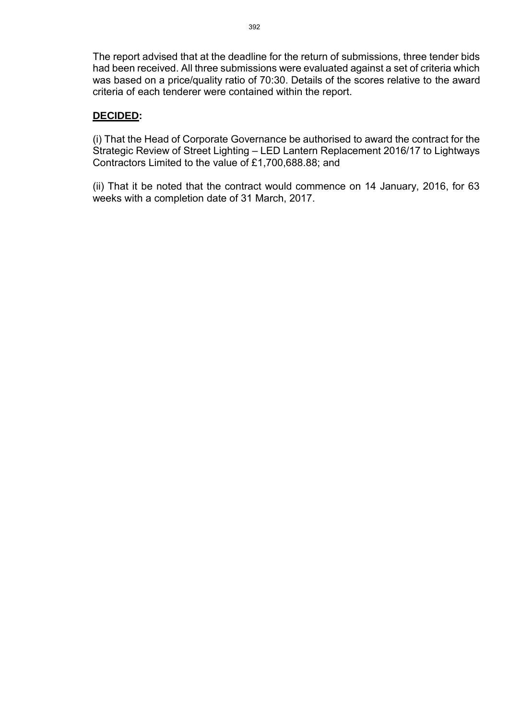The report advised that at the deadline for the return of submissions, three tender bids had been received. All three submissions were evaluated against a set of criteria which was based on a price/quality ratio of 70:30. Details of the scores relative to the award criteria of each tenderer were contained within the report.

#### **DECIDED:**

(i) That the Head of Corporate Governance be authorised to award the contract for the Strategic Review of Street Lighting – LED Lantern Replacement 2016/17 to Lightways Contractors Limited to the value of £1,700,688.88; and

(ii) That it be noted that the contract would commence on 14 January, 2016, for 63 weeks with a completion date of 31 March, 2017.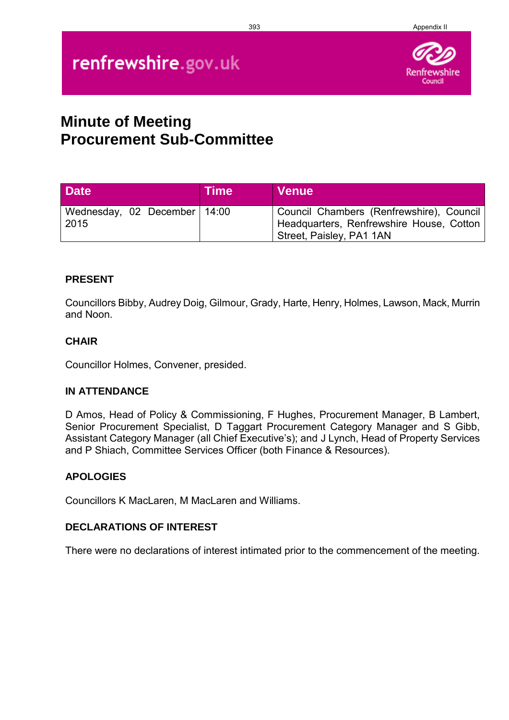#### 393 Appendix II

# renfrewshire.gov.uk



## **Minute of Meeting Procurement Sub-Committee**

| <b>Date</b>                            | <b>Time</b> | <b>Venue</b>                                                                                                     |
|----------------------------------------|-------------|------------------------------------------------------------------------------------------------------------------|
| Wednesday, 02 December   14:00<br>2015 |             | Council Chambers (Renfrewshire), Council<br>Headquarters, Renfrewshire House, Cotton<br>Street, Paisley, PA1 1AN |

#### **PRESENT**

Councillors Bibby, Audrey Doig, Gilmour, Grady, Harte, Henry, Holmes, Lawson, Mack, Murrin and Noon.

#### **CHAIR**

Councillor Holmes, Convener, presided.

#### **IN ATTENDANCE**

D Amos, Head of Policy & Commissioning, F Hughes, Procurement Manager, B Lambert, Senior Procurement Specialist, D Taggart Procurement Category Manager and S Gibb, Assistant Category Manager (all Chief Executive's); and J Lynch, Head of Property Services and P Shiach, Committee Services Officer (both Finance & Resources).

#### **APOLOGIES**

Councillors K MacLaren, M MacLaren and Williams.

#### **DECLARATIONS OF INTEREST**

There were no declarations of interest intimated prior to the commencement of the meeting.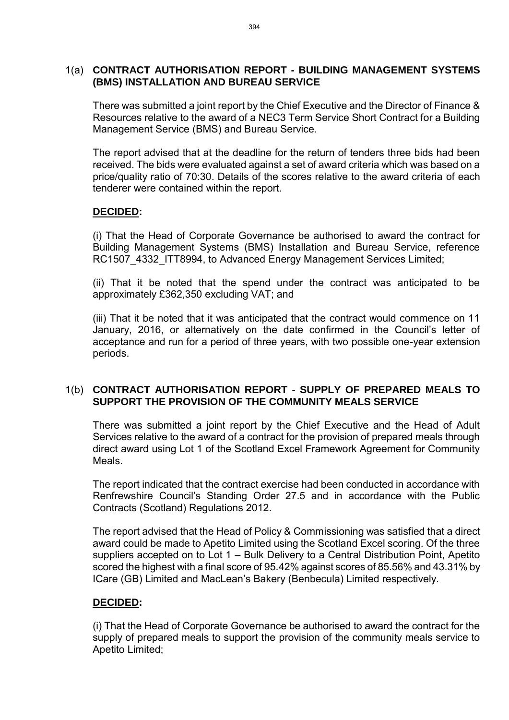#### 1(a) **CONTRACT AUTHORISATION REPORT - BUILDING MANAGEMENT SYSTEMS (BMS) INSTALLATION AND BUREAU SERVICE**

There was submitted a joint report by the Chief Executive and the Director of Finance & Resources relative to the award of a NEC3 Term Service Short Contract for a Building Management Service (BMS) and Bureau Service.

The report advised that at the deadline for the return of tenders three bids had been received. The bids were evaluated against a set of award criteria which was based on a price/quality ratio of 70:30. Details of the scores relative to the award criteria of each tenderer were contained within the report.

#### **DECIDED:**

(i) That the Head of Corporate Governance be authorised to award the contract for Building Management Systems (BMS) Installation and Bureau Service, reference RC1507 4332 ITT8994, to Advanced Energy Management Services Limited;

(ii) That it be noted that the spend under the contract was anticipated to be approximately £362,350 excluding VAT; and

(iii) That it be noted that it was anticipated that the contract would commence on 11 January, 2016, or alternatively on the date confirmed in the Council's letter of acceptance and run for a period of three years, with two possible one-year extension periods.

#### 1(b) **CONTRACT AUTHORISATION REPORT - SUPPLY OF PREPARED MEALS TO SUPPORT THE PROVISION OF THE COMMUNITY MEALS SERVICE**

There was submitted a joint report by the Chief Executive and the Head of Adult Services relative to the award of a contract for the provision of prepared meals through direct award using Lot 1 of the Scotland Excel Framework Agreement for Community Meals.

The report indicated that the contract exercise had been conducted in accordance with Renfrewshire Council's Standing Order 27.5 and in accordance with the Public Contracts (Scotland) Regulations 2012.

The report advised that the Head of Policy & Commissioning was satisfied that a direct award could be made to Apetito Limited using the Scotland Excel scoring. Of the three suppliers accepted on to Lot 1 – Bulk Delivery to a Central Distribution Point, Apetito scored the highest with a final score of 95.42% against scores of 85.56% and 43.31% by ICare (GB) Limited and MacLean's Bakery (Benbecula) Limited respectively.

### **DECIDED:**

(i) That the Head of Corporate Governance be authorised to award the contract for the supply of prepared meals to support the provision of the community meals service to Apetito Limited;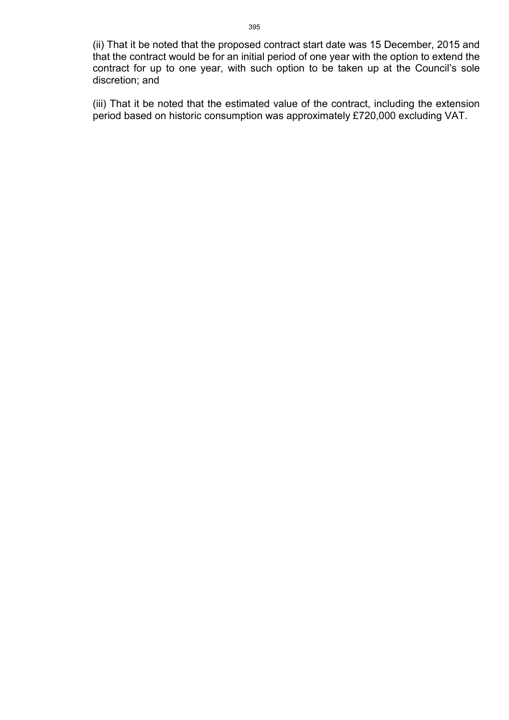(ii) That it be noted that the proposed contract start date was 15 December, 2015 and that the contract would be for an initial period of one year with the option to extend the contract for up to one year, with such option to be taken up at the Council's sole discretion; and

(iii) That it be noted that the estimated value of the contract, including the extension period based on historic consumption was approximately £720,000 excluding VAT.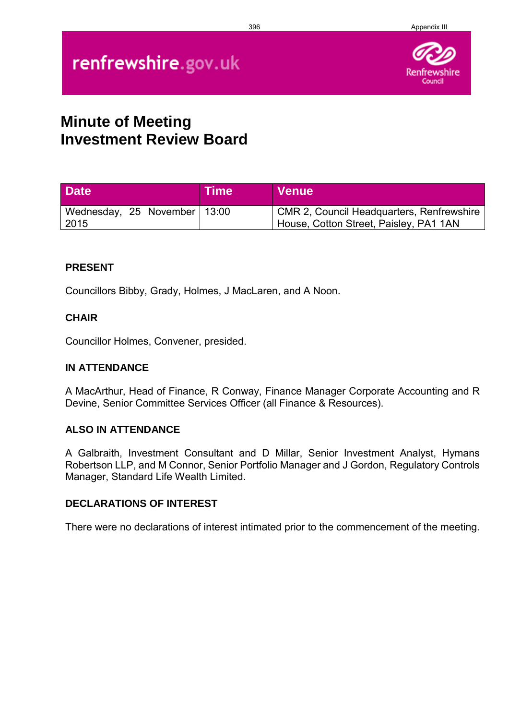#### 396 Appendix III

# renfrewshire.gov.uk



### **Minute of Meeting Investment Review Board**

| <b>Date</b>                            | ∣Time | <b>Venue</b>                                                                               |
|----------------------------------------|-------|--------------------------------------------------------------------------------------------|
| Wednesday, 25 November   13:00<br>2015 |       | <b>CMR 2, Council Headquarters, Renfrewshire</b><br>House, Cotton Street, Paisley, PA1 1AN |

#### **PRESENT**

Councillors Bibby, Grady, Holmes, J MacLaren, and A Noon.

#### **CHAIR**

Councillor Holmes, Convener, presided.

#### **IN ATTENDANCE**

A MacArthur, Head of Finance, R Conway, Finance Manager Corporate Accounting and R Devine, Senior Committee Services Officer (all Finance & Resources).

#### **ALSO IN ATTENDANCE**

A Galbraith, Investment Consultant and D Millar, Senior Investment Analyst, Hymans Robertson LLP, and M Connor, Senior Portfolio Manager and J Gordon, Regulatory Controls Manager, Standard Life Wealth Limited.

#### **DECLARATIONS OF INTEREST**

There were no declarations of interest intimated prior to the commencement of the meeting.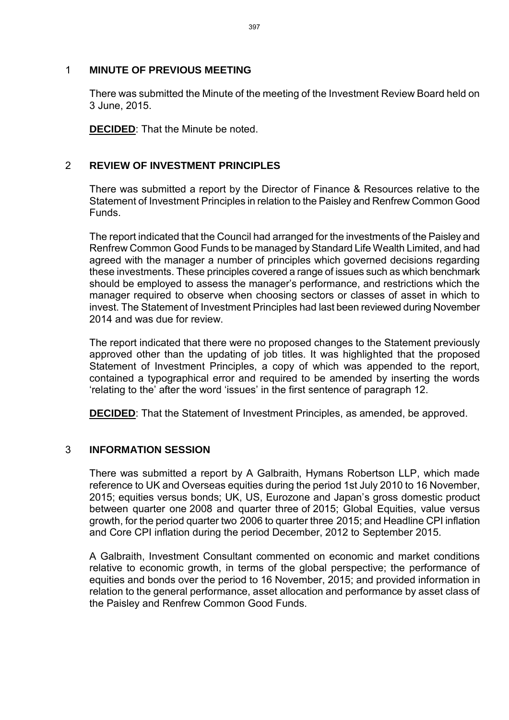#### 1 **MINUTE OF PREVIOUS MEETING**

There was submitted the Minute of the meeting of the Investment Review Board held on 3 June, 2015.

**DECIDED**: That the Minute be noted.

#### 2 **REVIEW OF INVESTMENT PRINCIPLES**

There was submitted a report by the Director of Finance & Resources relative to the Statement of Investment Principles in relation to the Paisley and Renfrew Common Good Funds.

The report indicated that the Council had arranged for the investments of the Paisley and Renfrew Common Good Funds to be managed by Standard Life Wealth Limited, and had agreed with the manager a number of principles which governed decisions regarding these investments. These principles covered a range of issues such as which benchmark should be employed to assess the manager's performance, and restrictions which the manager required to observe when choosing sectors or classes of asset in which to invest. The Statement of Investment Principles had last been reviewed during November 2014 and was due for review.

The report indicated that there were no proposed changes to the Statement previously approved other than the updating of job titles. It was highlighted that the proposed Statement of Investment Principles, a copy of which was appended to the report, contained a typographical error and required to be amended by inserting the words 'relating to the' after the word 'issues' in the first sentence of paragraph 12.

**DECIDED**: That the Statement of Investment Principles, as amended, be approved.

#### 3 **INFORMATION SESSION**

There was submitted a report by A Galbraith, Hymans Robertson LLP, which made reference to UK and Overseas equities during the period 1st July 2010 to 16 November, 2015; equities versus bonds; UK, US, Eurozone and Japan's gross domestic product between quarter one 2008 and quarter three of 2015; Global Equities, value versus growth, for the period quarter two 2006 to quarter three 2015; and Headline CPI inflation and Core CPI inflation during the period December, 2012 to September 2015.

A Galbraith, Investment Consultant commented on economic and market conditions relative to economic growth, in terms of the global perspective; the performance of equities and bonds over the period to 16 November, 2015; and provided information in relation to the general performance, asset allocation and performance by asset class of the Paisley and Renfrew Common Good Funds.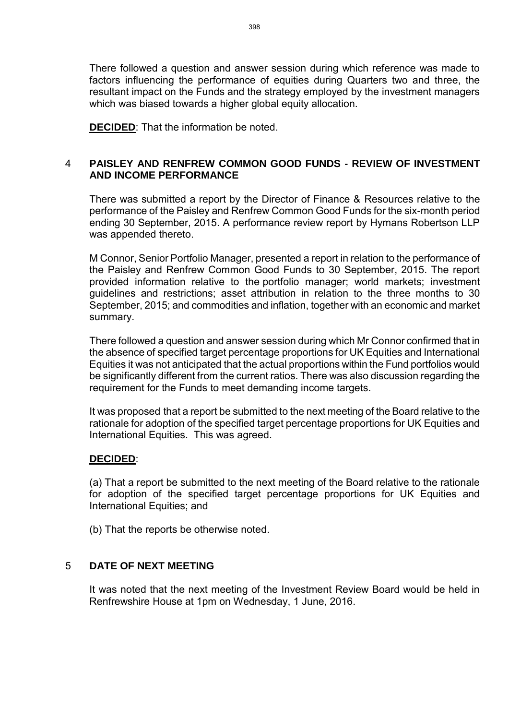There followed a question and answer session during which reference was made to factors influencing the performance of equities during Quarters two and three, the resultant impact on the Funds and the strategy employed by the investment managers which was biased towards a higher global equity allocation.

**DECIDED**: That the information be noted.

#### 4 **PAISLEY AND RENFREW COMMON GOOD FUNDS - REVIEW OF INVESTMENT AND INCOME PERFORMANCE**

There was submitted a report by the Director of Finance & Resources relative to the performance of the Paisley and Renfrew Common Good Funds for the six-month period ending 30 September, 2015. A performance review report by Hymans Robertson LLP was appended thereto.

M Connor, Senior Portfolio Manager, presented a report in relation to the performance of the Paisley and Renfrew Common Good Funds to 30 September, 2015. The report provided information relative to the portfolio manager; world markets; investment guidelines and restrictions; asset attribution in relation to the three months to 30 September, 2015; and commodities and inflation, together with an economic and market summary.

There followed a question and answer session during which Mr Connor confirmed that in the absence of specified target percentage proportions for UK Equities and International Equities it was not anticipated that the actual proportions within the Fund portfolios would be significantly different from the current ratios. There was also discussion regarding the requirement for the Funds to meet demanding income targets.

It was proposed that a report be submitted to the next meeting of the Board relative to the rationale for adoption of the specified target percentage proportions for UK Equities and International Equities. This was agreed.

#### **DECIDED**:

(a) That a report be submitted to the next meeting of the Board relative to the rationale for adoption of the specified target percentage proportions for UK Equities and International Equities; and

(b) That the reports be otherwise noted.

#### 5 **DATE OF NEXT MEETING**

It was noted that the next meeting of the Investment Review Board would be held in Renfrewshire House at 1pm on Wednesday, 1 June, 2016.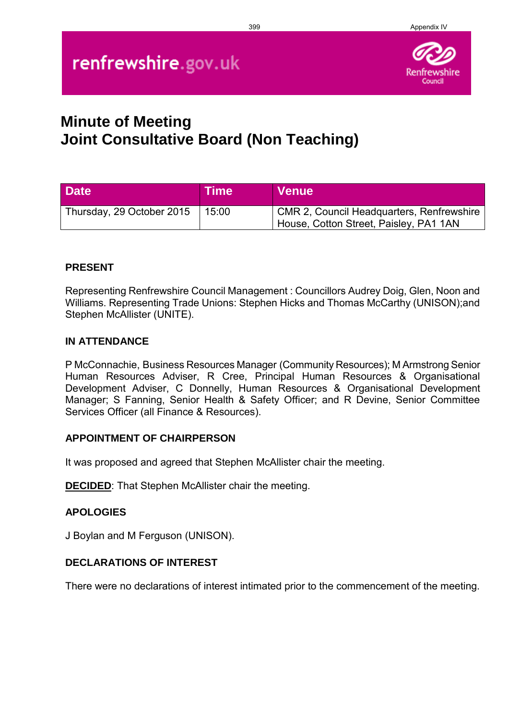#### 399 Appendix IV

# renfrewshire.gov.uk



## **Minute of Meeting Joint Consultative Board (Non Teaching)**

| <b>Date</b>               | ∣Time | <b>Venue</b>                                                                        |
|---------------------------|-------|-------------------------------------------------------------------------------------|
| Thursday, 29 October 2015 | 15:00 | CMR 2, Council Headquarters, Renfrewshire<br>House, Cotton Street, Paisley, PA1 1AN |

#### **PRESENT**

Representing Renfrewshire Council Management : Councillors Audrey Doig, Glen, Noon and Williams. Representing Trade Unions: Stephen Hicks and Thomas McCarthy (UNISON);and Stephen McAllister (UNITE).

#### **IN ATTENDANCE**

P McConnachie, Business Resources Manager (Community Resources); M Armstrong Senior Human Resources Adviser, R Cree, Principal Human Resources & Organisational Development Adviser, C Donnelly, Human Resources & Organisational Development Manager; S Fanning, Senior Health & Safety Officer; and R Devine, Senior Committee Services Officer (all Finance & Resources).

#### **APPOINTMENT OF CHAIRPERSON**

It was proposed and agreed that Stephen McAllister chair the meeting.

**DECIDED**: That Stephen McAllister chair the meeting.

#### **APOLOGIES**

J Boylan and M Ferguson (UNISON).

#### **DECLARATIONS OF INTEREST**

There were no declarations of interest intimated prior to the commencement of the meeting.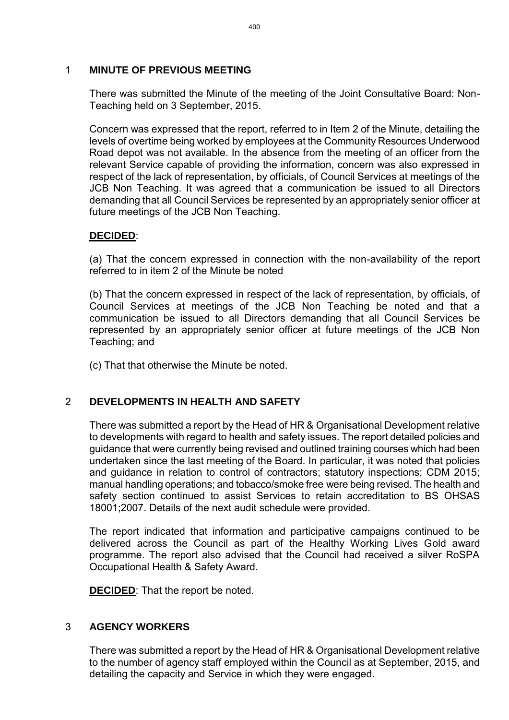#### 1 **MINUTE OF PREVIOUS MEETING**

There was submitted the Minute of the meeting of the Joint Consultative Board: Non-Teaching held on 3 September, 2015.

Concern was expressed that the report, referred to in Item 2 of the Minute, detailing the levels of overtime being worked by employees at the Community Resources Underwood Road depot was not available. In the absence from the meeting of an officer from the relevant Service capable of providing the information, concern was also expressed in respect of the lack of representation, by officials, of Council Services at meetings of the JCB Non Teaching. It was agreed that a communication be issued to all Directors demanding that all Council Services be represented by an appropriately senior officer at future meetings of the JCB Non Teaching.

#### **DECIDED**:

(a) That the concern expressed in connection with the non-availability of the report referred to in item 2 of the Minute be noted

(b) That the concern expressed in respect of the lack of representation, by officials, of Council Services at meetings of the JCB Non Teaching be noted and that a communication be issued to all Directors demanding that all Council Services be represented by an appropriately senior officer at future meetings of the JCB Non Teaching; and

(c) That that otherwise the Minute be noted.

### 2 **DEVELOPMENTS IN HEALTH AND SAFETY**

There was submitted a report by the Head of HR & Organisational Development relative to developments with regard to health and safety issues. The report detailed policies and guidance that were currently being revised and outlined training courses which had been undertaken since the last meeting of the Board. In particular, it was noted that policies and guidance in relation to control of contractors; statutory inspections; CDM 2015; manual handling operations; and tobacco/smoke free were being revised. The health and safety section continued to assist Services to retain accreditation to BS OHSAS 18001;2007. Details of the next audit schedule were provided.

The report indicated that information and participative campaigns continued to be delivered across the Council as part of the Healthy Working Lives Gold award programme. The report also advised that the Council had received a silver RoSPA Occupational Health & Safety Award.

**DECIDED:** That the report be noted.

#### 3 **AGENCY WORKERS**

There was submitted a report by the Head of HR & Organisational Development relative to the number of agency staff employed within the Council as at September, 2015, and detailing the capacity and Service in which they were engaged.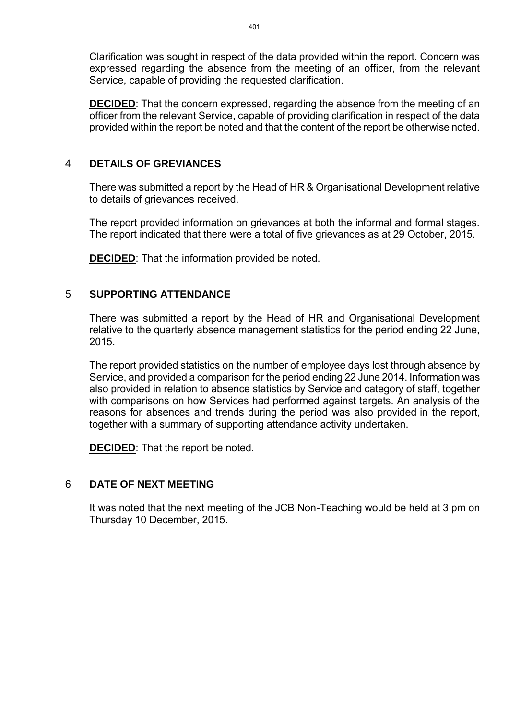Clarification was sought in respect of the data provided within the report. Concern was expressed regarding the absence from the meeting of an officer, from the relevant Service, capable of providing the requested clarification.

**DECIDED:** That the concern expressed, regarding the absence from the meeting of an officer from the relevant Service, capable of providing clarification in respect of the data provided within the report be noted and that the content of the report be otherwise noted.

#### 4 **DETAILS OF GREVIANCES**

There was submitted a report by the Head of HR & Organisational Development relative to details of grievances received.

The report provided information on grievances at both the informal and formal stages. The report indicated that there were a total of five grievances as at 29 October, 2015.

**DECIDED**: That the information provided be noted.

#### 5 **SUPPORTING ATTENDANCE**

There was submitted a report by the Head of HR and Organisational Development relative to the quarterly absence management statistics for the period ending 22 June, 2015.

The report provided statistics on the number of employee days lost through absence by Service, and provided a comparison for the period ending 22 June 2014. Information was also provided in relation to absence statistics by Service and category of staff, together with comparisons on how Services had performed against targets. An analysis of the reasons for absences and trends during the period was also provided in the report, together with a summary of supporting attendance activity undertaken.

**DECIDED**: That the report be noted.

#### 6 **DATE OF NEXT MEETING**

It was noted that the next meeting of the JCB Non-Teaching would be held at 3 pm on Thursday 10 December, 2015.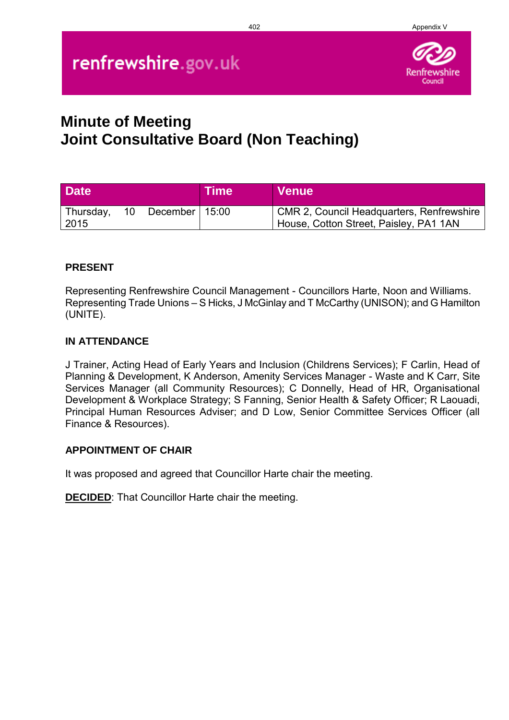#### 402 Appendix V

# renfrewshire.gov.uk



## **Minute of Meeting Joint Consultative Board (Non Teaching)**

| <b>Date</b>         |    |                    | ∣Time | ∣ Venue                                                                             |
|---------------------|----|--------------------|-------|-------------------------------------------------------------------------------------|
| Thursday,<br>  2015 | 10 | December   $15:00$ |       | CMR 2, Council Headquarters, Renfrewshire<br>House, Cotton Street, Paisley, PA1 1AN |

#### **PRESENT**

Representing Renfrewshire Council Management - Councillors Harte, Noon and Williams. Representing Trade Unions – S Hicks, J McGinlay and T McCarthy (UNISON); and G Hamilton (UNITE).

#### **IN ATTENDANCE**

J Trainer, Acting Head of Early Years and Inclusion (Childrens Services); F Carlin, Head of Planning & Development, K Anderson, Amenity Services Manager - Waste and K Carr, Site Services Manager (all Community Resources); C Donnelly, Head of HR, Organisational Development & Workplace Strategy; S Fanning, Senior Health & Safety Officer; R Laouadi, Principal Human Resources Adviser; and D Low, Senior Committee Services Officer (all Finance & Resources).

#### **APPOINTMENT OF CHAIR**

It was proposed and agreed that Councillor Harte chair the meeting.

**DECIDED**: That Councillor Harte chair the meeting.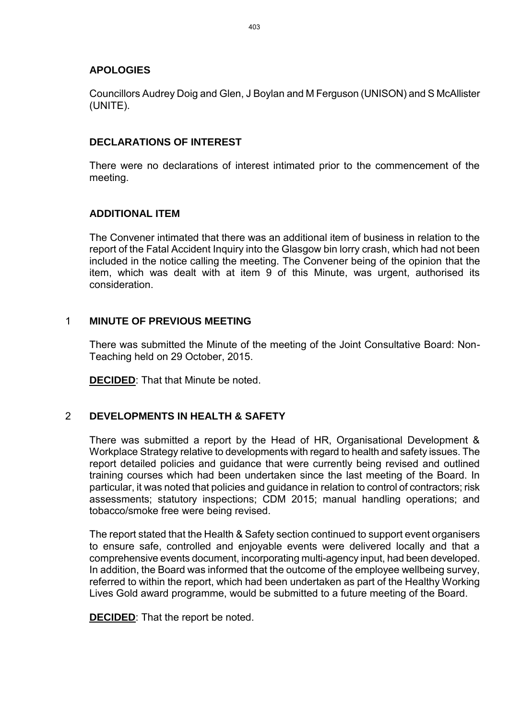#### **APOLOGIES**

Councillors Audrey Doig and Glen, J Boylan and M Ferguson (UNISON) and S McAllister (UNITE).

#### **DECLARATIONS OF INTEREST**

There were no declarations of interest intimated prior to the commencement of the meeting.

#### **ADDITIONAL ITEM**

The Convener intimated that there was an additional item of business in relation to the report of the Fatal Accident Inquiry into the Glasgow bin lorry crash, which had not been included in the notice calling the meeting. The Convener being of the opinion that the item, which was dealt with at item 9 of this Minute, was urgent, authorised its consideration.

#### 1 **MINUTE OF PREVIOUS MEETING**

There was submitted the Minute of the meeting of the Joint Consultative Board: Non-Teaching held on 29 October, 2015.

**DECIDED**: That that Minute be noted.

### 2 **DEVELOPMENTS IN HEALTH & SAFETY**

There was submitted a report by the Head of HR, Organisational Development & Workplace Strategy relative to developments with regard to health and safety issues. The report detailed policies and guidance that were currently being revised and outlined training courses which had been undertaken since the last meeting of the Board. In particular, it was noted that policies and guidance in relation to control of contractors; risk assessments; statutory inspections; CDM 2015; manual handling operations; and tobacco/smoke free were being revised.

The report stated that the Health & Safety section continued to support event organisers to ensure safe, controlled and enjoyable events were delivered locally and that a comprehensive events document, incorporating multi-agency input, had been developed. In addition, the Board was informed that the outcome of the employee wellbeing survey, referred to within the report, which had been undertaken as part of the Healthy Working Lives Gold award programme, would be submitted to a future meeting of the Board.

**DECIDED**: That the report be noted.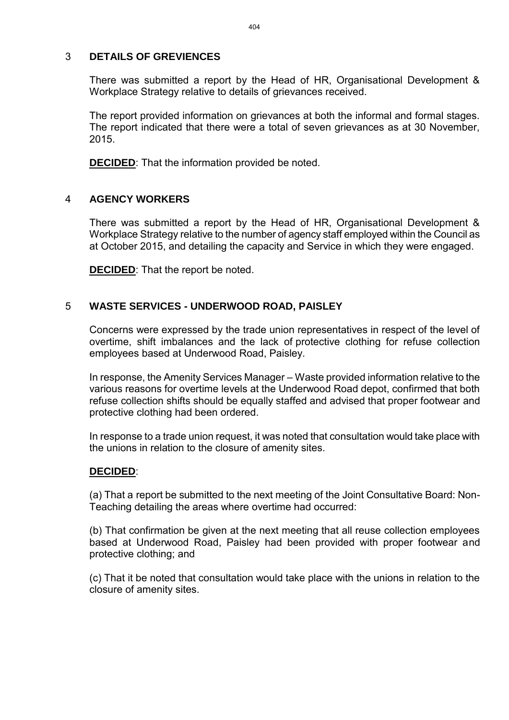#### 3 **DETAILS OF GREVIENCES**

There was submitted a report by the Head of HR, Organisational Development & Workplace Strategy relative to details of grievances received.

The report provided information on grievances at both the informal and formal stages. The report indicated that there were a total of seven grievances as at 30 November, 2015.

**DECIDED**: That the information provided be noted.

#### 4 **AGENCY WORKERS**

There was submitted a report by the Head of HR, Organisational Development & Workplace Strategy relative to the number of agency staff employed within the Council as at October 2015, and detailing the capacity and Service in which they were engaged.

**DECIDED**: That the report be noted.

#### 5 **WASTE SERVICES - UNDERWOOD ROAD, PAISLEY**

Concerns were expressed by the trade union representatives in respect of the level of overtime, shift imbalances and the lack of protective clothing for refuse collection employees based at Underwood Road, Paisley.

In response, the Amenity Services Manager – Waste provided information relative to the various reasons for overtime levels at the Underwood Road depot, confirmed that both refuse collection shifts should be equally staffed and advised that proper footwear and protective clothing had been ordered.

In response to a trade union request, it was noted that consultation would take place with the unions in relation to the closure of amenity sites.

#### **DECIDED**:

(a) That a report be submitted to the next meeting of the Joint Consultative Board: Non-Teaching detailing the areas where overtime had occurred:

(b) That confirmation be given at the next meeting that all reuse collection employees based at Underwood Road, Paisley had been provided with proper footwear and protective clothing; and

(c) That it be noted that consultation would take place with the unions in relation to the closure of amenity sites.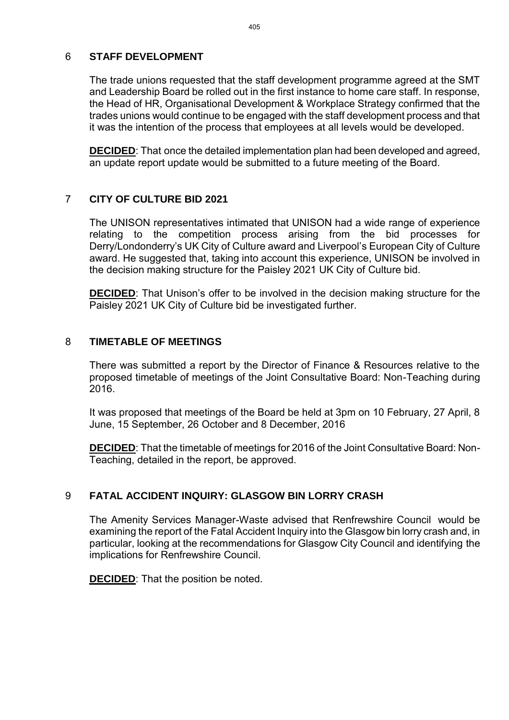#### 6 **STAFF DEVELOPMENT**

The trade unions requested that the staff development programme agreed at the SMT and Leadership Board be rolled out in the first instance to home care staff. In response, the Head of HR, Organisational Development & Workplace Strategy confirmed that the trades unions would continue to be engaged with the staff development process and that it was the intention of the process that employees at all levels would be developed.

**DECIDED**: That once the detailed implementation plan had been developed and agreed, an update report update would be submitted to a future meeting of the Board.

#### 7 **CITY OF CULTURE BID 2021**

The UNISON representatives intimated that UNISON had a wide range of experience relating to the competition process arising from the bid processes for Derry/Londonderry's UK City of Culture award and Liverpool's European City of Culture award. He suggested that, taking into account this experience, UNISON be involved in the decision making structure for the Paisley 2021 UK City of Culture bid.

**DECIDED:** That Unison's offer to be involved in the decision making structure for the Paisley 2021 UK City of Culture bid be investigated further.

#### 8 **TIMETABLE OF MEETINGS**

There was submitted a report by the Director of Finance & Resources relative to the proposed timetable of meetings of the Joint Consultative Board: Non-Teaching during 2016.

It was proposed that meetings of the Board be held at 3pm on 10 February, 27 April, 8 June, 15 September, 26 October and 8 December, 2016

**DECIDED**: That the timetable of meetings for 2016 of the Joint Consultative Board: Non-Teaching, detailed in the report, be approved.

#### 9 **FATAL ACCIDENT INQUIRY: GLASGOW BIN LORRY CRASH**

The Amenity Services Manager-Waste advised that Renfrewshire Council would be examining the report of the Fatal Accident Inquiry into the Glasgow bin lorry crash and, in particular, looking at the recommendations for Glasgow City Council and identifying the implications for Renfrewshire Council.

**DECIDED**: That the position be noted.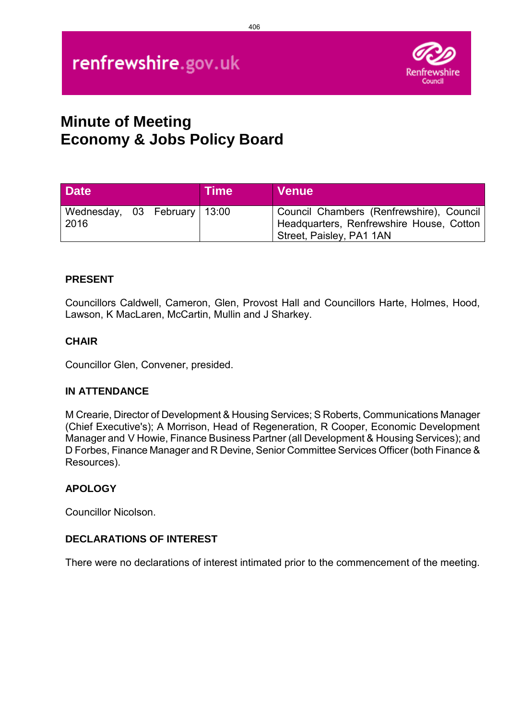

## **Minute of Meeting Economy & Jobs Policy Board**

| <b>Date</b>                          |  | <b>Time</b> | <b>Venue</b>                                                                                                       |
|--------------------------------------|--|-------------|--------------------------------------------------------------------------------------------------------------------|
| Wednesday, 03 February 13:00<br>2016 |  |             | Council Chambers (Renfrewshire), Council  <br>Headquarters, Renfrewshire House, Cotton<br>Street, Paisley, PA1 1AN |

### **PRESENT**

Councillors Caldwell, Cameron, Glen, Provost Hall and Councillors Harte, Holmes, Hood, Lawson, K MacLaren, McCartin, Mullin and J Sharkey.

### **CHAIR**

Councillor Glen, Convener, presided.

### **IN ATTENDANCE**

M Crearie, Director of Development & Housing Services; S Roberts, Communications Manager (Chief Executive's); A Morrison, Head of Regeneration, R Cooper, Economic Development Manager and V Howie, Finance Business Partner (all Development & Housing Services); and D Forbes, Finance Manager and R Devine, Senior Committee Services Officer (both Finance & Resources).

### **APOLOGY**

Councillor Nicolson.

### **DECLARATIONS OF INTEREST**

There were no declarations of interest intimated prior to the commencement of the meeting.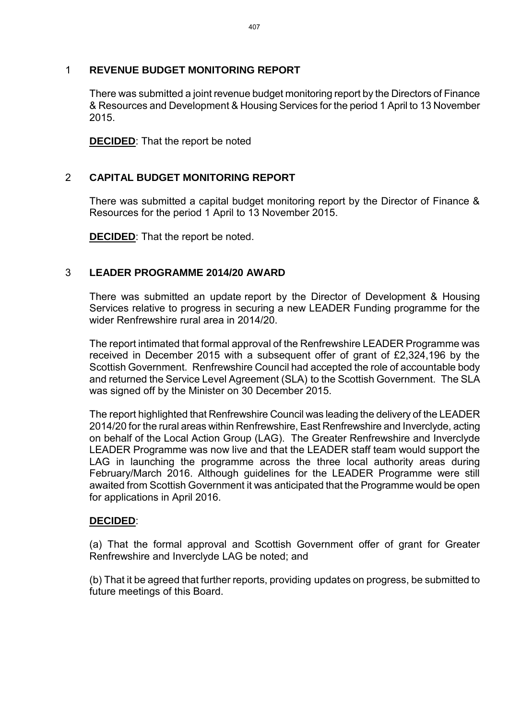#### 1 **REVENUE BUDGET MONITORING REPORT**

There was submitted a joint revenue budget monitoring report by the Directors of Finance & Resources and Development & Housing Services for the period 1 April to 13 November 2015.

**DECIDED:** That the report be noted

#### 2 **CAPITAL BUDGET MONITORING REPORT**

There was submitted a capital budget monitoring report by the Director of Finance & Resources for the period 1 April to 13 November 2015.

**DECIDED**: That the report be noted.

#### 3 **LEADER PROGRAMME 2014/20 AWARD**

There was submitted an update report by the Director of Development & Housing Services relative to progress in securing a new LEADER Funding programme for the wider Renfrewshire rural area in 2014/20.

The report intimated that formal approval of the Renfrewshire LEADER Programme was received in December 2015 with a subsequent offer of grant of £2,324,196 by the Scottish Government. Renfrewshire Council had accepted the role of accountable body and returned the Service Level Agreement (SLA) to the Scottish Government. The SLA was signed off by the Minister on 30 December 2015.

The report highlighted that Renfrewshire Council was leading the delivery of the LEADER 2014/20 for the rural areas within Renfrewshire, East Renfrewshire and Inverclyde, acting on behalf of the Local Action Group (LAG). The Greater Renfrewshire and Inverclyde LEADER Programme was now live and that the LEADER staff team would support the LAG in launching the programme across the three local authority areas during February/March 2016. Although guidelines for the LEADER Programme were still awaited from Scottish Government it was anticipated that the Programme would be open for applications in April 2016.

#### **DECIDED**:

(a) That the formal approval and Scottish Government offer of grant for Greater Renfrewshire and Inverclyde LAG be noted; and

(b) That it be agreed that further reports, providing updates on progress, be submitted to future meetings of this Board.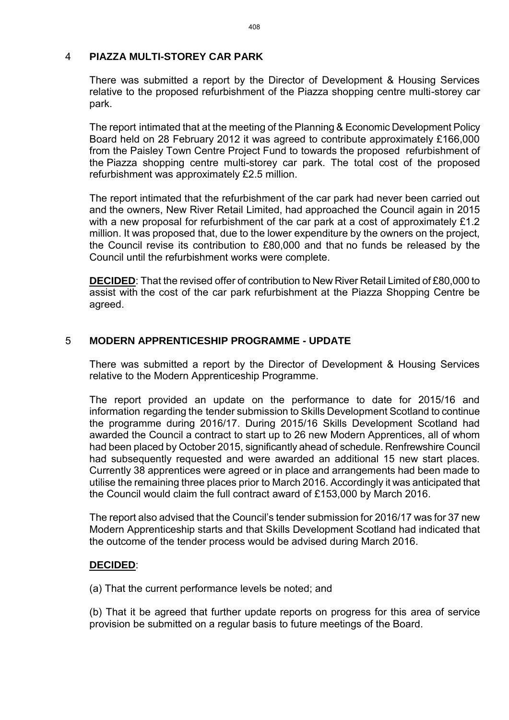#### 4 **PIAZZA MULTI-STOREY CAR PARK**

There was submitted a report by the Director of Development & Housing Services relative to the proposed refurbishment of the Piazza shopping centre multi-storey car park.

The report intimated that at the meeting of the Planning & Economic Development Policy Board held on 28 February 2012 it was agreed to contribute approximately £166,000 from the Paisley Town Centre Project Fund to towards the proposed refurbishment of the Piazza shopping centre multi-storey car park. The total cost of the proposed refurbishment was approximately £2.5 million.

The report intimated that the refurbishment of the car park had never been carried out and the owners, New River Retail Limited, had approached the Council again in 2015 with a new proposal for refurbishment of the car park at a cost of approximately £1.2 million. It was proposed that, due to the lower expenditure by the owners on the project, the Council revise its contribution to £80,000 and that no funds be released by the Council until the refurbishment works were complete.

**DECIDED**: That the revised offer of contribution to New River Retail Limited of £80,000 to assist with the cost of the car park refurbishment at the Piazza Shopping Centre be agreed.

### 5 **MODERN APPRENTICESHIP PROGRAMME - UPDATE**

There was submitted a report by the Director of Development & Housing Services relative to the Modern Apprenticeship Programme.

The report provided an update on the performance to date for 2015/16 and information regarding the tender submission to Skills Development Scotland to continue the programme during 2016/17. During 2015/16 Skills Development Scotland had awarded the Council a contract to start up to 26 new Modern Apprentices, all of whom had been placed by October 2015, significantly ahead of schedule. Renfrewshire Council had subsequently requested and were awarded an additional 15 new start places. Currently 38 apprentices were agreed or in place and arrangements had been made to utilise the remaining three places prior to March 2016. Accordingly it was anticipated that the Council would claim the full contract award of £153,000 by March 2016.

The report also advised that the Council's tender submission for 2016/17 was for 37 new Modern Apprenticeship starts and that Skills Development Scotland had indicated that the outcome of the tender process would be advised during March 2016.

#### **DECIDED**:

(a) That the current performance levels be noted; and

(b) That it be agreed that further update reports on progress for this area of service provision be submitted on a regular basis to future meetings of the Board.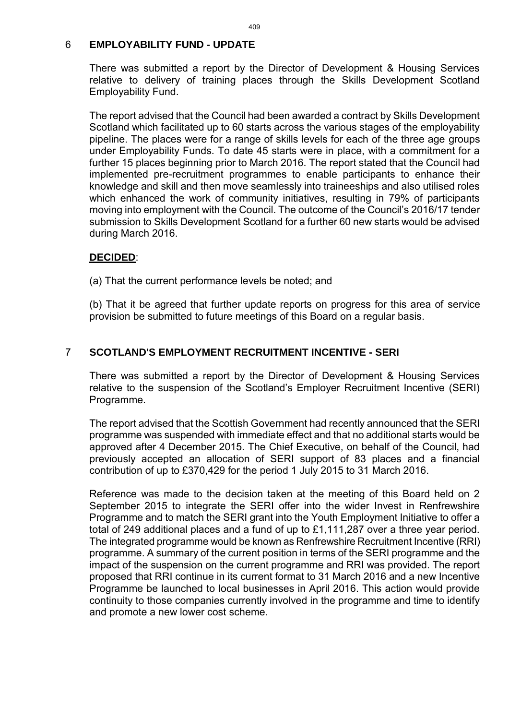#### 6 **EMPLOYABILITY FUND - UPDATE**

There was submitted a report by the Director of Development & Housing Services relative to delivery of training places through the Skills Development Scotland Employability Fund.

The report advised that the Council had been awarded a contract by Skills Development Scotland which facilitated up to 60 starts across the various stages of the employability pipeline. The places were for a range of skills levels for each of the three age groups under Employability Funds. To date 45 starts were in place, with a commitment for a further 15 places beginning prior to March 2016. The report stated that the Council had implemented pre-recruitment programmes to enable participants to enhance their knowledge and skill and then move seamlessly into traineeships and also utilised roles which enhanced the work of community initiatives, resulting in 79% of participants moving into employment with the Council. The outcome of the Council's 2016/17 tender submission to Skills Development Scotland for a further 60 new starts would be advised during March 2016.

#### **DECIDED**:

(a) That the current performance levels be noted; and

(b) That it be agreed that further update reports on progress for this area of service provision be submitted to future meetings of this Board on a regular basis.

#### 7 **SCOTLAND'S EMPLOYMENT RECRUITMENT INCENTIVE - SERI**

There was submitted a report by the Director of Development & Housing Services relative to the suspension of the Scotland's Employer Recruitment Incentive (SERI) Programme.

The report advised that the Scottish Government had recently announced that the SERI programme was suspended with immediate effect and that no additional starts would be approved after 4 December 2015. The Chief Executive, on behalf of the Council, had previously accepted an allocation of SERI support of 83 places and a financial contribution of up to £370,429 for the period 1 July 2015 to 31 March 2016.

Reference was made to the decision taken at the meeting of this Board held on 2 September 2015 to integrate the SERI offer into the wider Invest in Renfrewshire Programme and to match the SERI grant into the Youth Employment Initiative to offer a total of 249 additional places and a fund of up to £1,111,287 over a three year period. The integrated programme would be known as Renfrewshire Recruitment Incentive (RRI) programme. A summary of the current position in terms of the SERI programme and the impact of the suspension on the current programme and RRI was provided. The report proposed that RRI continue in its current format to 31 March 2016 and a new Incentive Programme be launched to local businesses in April 2016. This action would provide continuity to those companies currently involved in the programme and time to identify and promote a new lower cost scheme.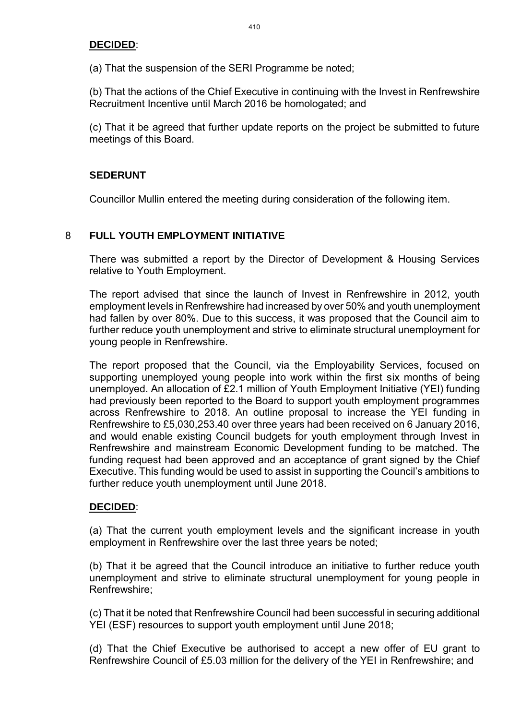#### **DECIDED**:

(a) That the suspension of the SERI Programme be noted;

(b) That the actions of the Chief Executive in continuing with the Invest in Renfrewshire Recruitment Incentive until March 2016 be homologated; and

(c) That it be agreed that further update reports on the project be submitted to future meetings of this Board.

#### **SEDERUNT**

Councillor Mullin entered the meeting during consideration of the following item.

#### 8 **FULL YOUTH EMPLOYMENT INITIATIVE**

There was submitted a report by the Director of Development & Housing Services relative to Youth Employment.

The report advised that since the launch of Invest in Renfrewshire in 2012, youth employment levels in Renfrewshire had increased by over 50% and youth unemployment had fallen by over 80%. Due to this success, it was proposed that the Council aim to further reduce youth unemployment and strive to eliminate structural unemployment for young people in Renfrewshire.

The report proposed that the Council, via the Employability Services, focused on supporting unemployed young people into work within the first six months of being unemployed. An allocation of £2.1 million of Youth Employment Initiative (YEI) funding had previously been reported to the Board to support youth employment programmes across Renfrewshire to 2018. An outline proposal to increase the YEI funding in Renfrewshire to £5,030,253.40 over three years had been received on 6 January 2016, and would enable existing Council budgets for youth employment through Invest in Renfrewshire and mainstream Economic Development funding to be matched. The funding request had been approved and an acceptance of grant signed by the Chief Executive. This funding would be used to assist in supporting the Council's ambitions to further reduce youth unemployment until June 2018.

#### **DECIDED**:

(a) That the current youth employment levels and the significant increase in youth employment in Renfrewshire over the last three years be noted;

(b) That it be agreed that the Council introduce an initiative to further reduce youth unemployment and strive to eliminate structural unemployment for young people in Renfrewshire;

(c) That it be noted that Renfrewshire Council had been successful in securing additional YEI (ESF) resources to support youth employment until June 2018;

(d) That the Chief Executive be authorised to accept a new offer of EU grant to Renfrewshire Council of £5.03 million for the delivery of the YEI in Renfrewshire; and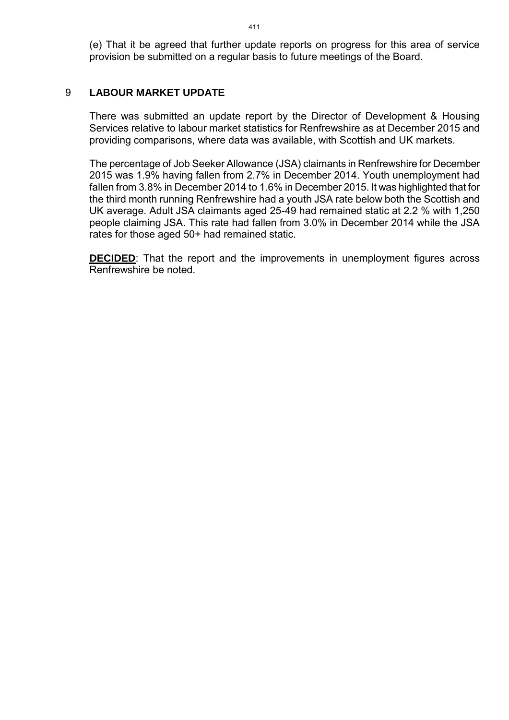(e) That it be agreed that further update reports on progress for this area of service provision be submitted on a regular basis to future meetings of the Board.

#### 9 **LABOUR MARKET UPDATE**

There was submitted an update report by the Director of Development & Housing Services relative to labour market statistics for Renfrewshire as at December 2015 and providing comparisons, where data was available, with Scottish and UK markets.

The percentage of Job Seeker Allowance (JSA) claimants in Renfrewshire for December 2015 was 1.9% having fallen from 2.7% in December 2014. Youth unemployment had fallen from 3.8% in December 2014 to 1.6% in December 2015. It was highlighted that for the third month running Renfrewshire had a youth JSA rate below both the Scottish and UK average. Adult JSA claimants aged 25-49 had remained static at 2.2 % with 1,250 people claiming JSA. This rate had fallen from 3.0% in December 2014 while the JSA rates for those aged 50+ had remained static.

**DECIDED:** That the report and the improvements in unemployment figures across Renfrewshire be noted.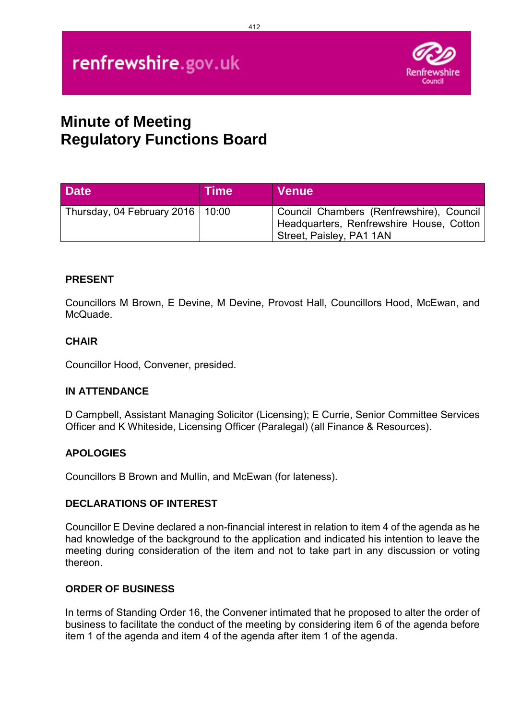# renfrewshire.gov.uk



## **Minute of Meeting Regulatory Functions Board**

| <b>Date</b>                        | <b>Time</b> | <b>Venue</b>                                                                                                     |
|------------------------------------|-------------|------------------------------------------------------------------------------------------------------------------|
| Thursday, 04 February 2016   10:00 |             | Council Chambers (Renfrewshire), Council<br>Headquarters, Renfrewshire House, Cotton<br>Street, Paisley, PA1 1AN |

#### **PRESENT**

Councillors M Brown, E Devine, M Devine, Provost Hall, Councillors Hood, McEwan, and McQuade.

#### **CHAIR**

Councillor Hood, Convener, presided.

#### **IN ATTENDANCE**

D Campbell, Assistant Managing Solicitor (Licensing); E Currie, Senior Committee Services Officer and K Whiteside, Licensing Officer (Paralegal) (all Finance & Resources).

#### **APOLOGIES**

Councillors B Brown and Mullin, and McEwan (for lateness).

#### **DECLARATIONS OF INTEREST**

Councillor E Devine declared a non-financial interest in relation to item 4 of the agenda as he had knowledge of the background to the application and indicated his intention to leave the meeting during consideration of the item and not to take part in any discussion or voting thereon.

#### **ORDER OF BUSINESS**

In terms of Standing Order 16, the Convener intimated that he proposed to alter the order of business to facilitate the conduct of the meeting by considering item 6 of the agenda before item 1 of the agenda and item 4 of the agenda after item 1 of the agenda.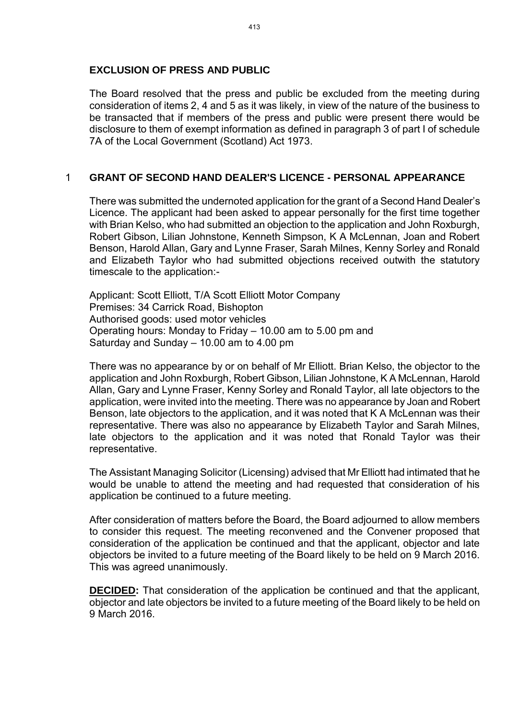#### **EXCLUSION OF PRESS AND PUBLIC**

The Board resolved that the press and public be excluded from the meeting during consideration of items 2, 4 and 5 as it was likely, in view of the nature of the business to be transacted that if members of the press and public were present there would be disclosure to them of exempt information as defined in paragraph 3 of part I of schedule 7A of the Local Government (Scotland) Act 1973.

#### 1 **GRANT OF SECOND HAND DEALER'S LICENCE - PERSONAL APPEARANCE**

There was submitted the undernoted application for the grant of a Second Hand Dealer's Licence. The applicant had been asked to appear personally for the first time together with Brian Kelso, who had submitted an objection to the application and John Roxburgh, Robert Gibson, Lilian Johnstone, Kenneth Simpson, K A McLennan, Joan and Robert Benson, Harold Allan, Gary and Lynne Fraser, Sarah Milnes, Kenny Sorley and Ronald and Elizabeth Taylor who had submitted objections received outwith the statutory timescale to the application:-

Applicant: Scott Elliott, T/A Scott Elliott Motor Company Premises: 34 Carrick Road, Bishopton Authorised goods: used motor vehicles Operating hours: Monday to Friday – 10.00 am to 5.00 pm and Saturday and Sunday – 10.00 am to 4.00 pm

There was no appearance by or on behalf of Mr Elliott. Brian Kelso, the objector to the application and John Roxburgh, Robert Gibson, Lilian Johnstone, K A McLennan, Harold Allan, Gary and Lynne Fraser, Kenny Sorley and Ronald Taylor, all late objectors to the application, were invited into the meeting. There was no appearance by Joan and Robert Benson, late objectors to the application, and it was noted that K A McLennan was their representative. There was also no appearance by Elizabeth Taylor and Sarah Milnes, late objectors to the application and it was noted that Ronald Taylor was their representative.

The Assistant Managing Solicitor (Licensing) advised that Mr Elliott had intimated that he would be unable to attend the meeting and had requested that consideration of his application be continued to a future meeting.

After consideration of matters before the Board, the Board adjourned to allow members to consider this request. The meeting reconvened and the Convener proposed that consideration of the application be continued and that the applicant, objector and late objectors be invited to a future meeting of the Board likely to be held on 9 March 2016. This was agreed unanimously.

**DECIDED:** That consideration of the application be continued and that the applicant, objector and late objectors be invited to a future meeting of the Board likely to be held on 9 March 2016.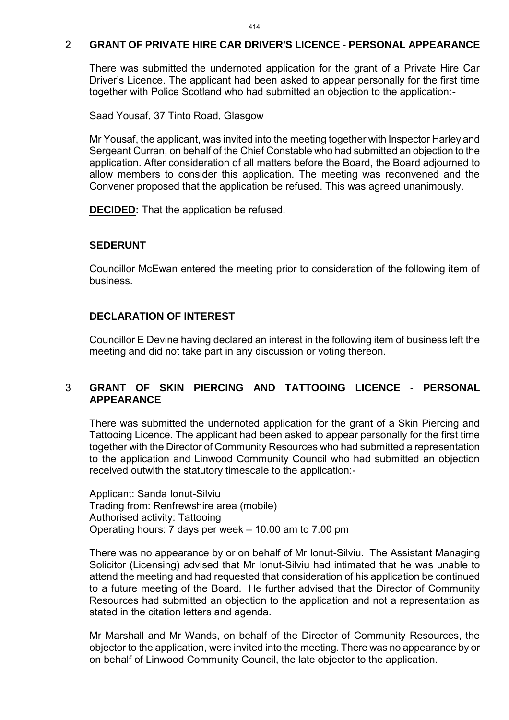#### 2 **GRANT OF PRIVATE HIRE CAR DRIVER'S LICENCE - PERSONAL APPEARANCE**

There was submitted the undernoted application for the grant of a Private Hire Car Driver's Licence. The applicant had been asked to appear personally for the first time together with Police Scotland who had submitted an objection to the application:-

Saad Yousaf, 37 Tinto Road, Glasgow

Mr Yousaf, the applicant, was invited into the meeting together with Inspector Harley and Sergeant Curran, on behalf of the Chief Constable who had submitted an objection to the application. After consideration of all matters before the Board, the Board adjourned to allow members to consider this application. The meeting was reconvened and the Convener proposed that the application be refused. This was agreed unanimously.

**DECIDED:** That the application be refused.

#### **SEDERUNT**

Councillor McEwan entered the meeting prior to consideration of the following item of business.

## **DECLARATION OF INTEREST**

Councillor E Devine having declared an interest in the following item of business left the meeting and did not take part in any discussion or voting thereon.

## 3 **GRANT OF SKIN PIERCING AND TATTOOING LICENCE - PERSONAL APPEARANCE**

There was submitted the undernoted application for the grant of a Skin Piercing and Tattooing Licence. The applicant had been asked to appear personally for the first time together with the Director of Community Resources who had submitted a representation to the application and Linwood Community Council who had submitted an objection received outwith the statutory timescale to the application:-

Applicant: Sanda Ionut-Silviu Trading from: Renfrewshire area (mobile) Authorised activity: Tattooing Operating hours: 7 days per week – 10.00 am to 7.00 pm

There was no appearance by or on behalf of Mr Ionut-Silviu. The Assistant Managing Solicitor (Licensing) advised that Mr Ionut-Silviu had intimated that he was unable to attend the meeting and had requested that consideration of his application be continued to a future meeting of the Board. He further advised that the Director of Community Resources had submitted an objection to the application and not a representation as stated in the citation letters and agenda.

Mr Marshall and Mr Wands, on behalf of the Director of Community Resources, the objector to the application, were invited into the meeting. There was no appearance by or on behalf of Linwood Community Council, the late objector to the application.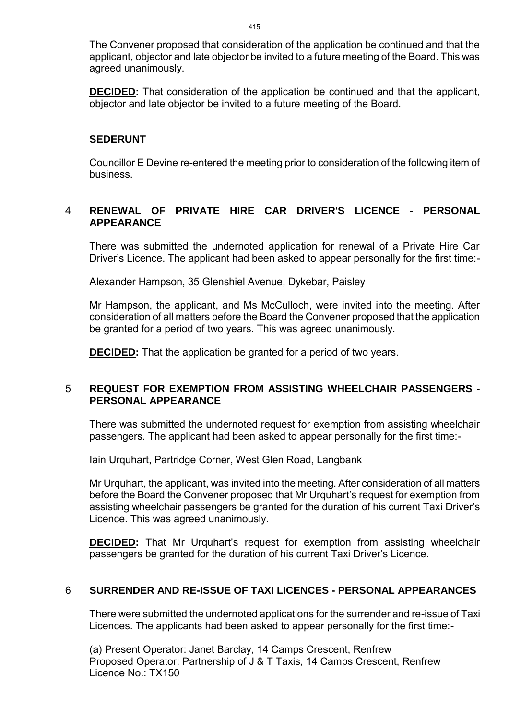The Convener proposed that consideration of the application be continued and that the applicant, objector and late objector be invited to a future meeting of the Board. This was agreed unanimously.

**DECIDED:** That consideration of the application be continued and that the applicant, objector and late objector be invited to a future meeting of the Board.

#### **SEDERUNT**

Councillor E Devine re-entered the meeting prior to consideration of the following item of business.

## 4 **RENEWAL OF PRIVATE HIRE CAR DRIVER'S LICENCE - PERSONAL APPEARANCE**

There was submitted the undernoted application for renewal of a Private Hire Car Driver's Licence. The applicant had been asked to appear personally for the first time:-

Alexander Hampson, 35 Glenshiel Avenue, Dykebar, Paisley

Mr Hampson, the applicant, and Ms McCulloch, were invited into the meeting. After consideration of all matters before the Board the Convener proposed that the application be granted for a period of two years. This was agreed unanimously.

**DECIDED:** That the application be granted for a period of two years.

## 5 **REQUEST FOR EXEMPTION FROM ASSISTING WHEELCHAIR PASSENGERS - PERSONAL APPEARANCE**

There was submitted the undernoted request for exemption from assisting wheelchair passengers. The applicant had been asked to appear personally for the first time:-

Iain Urquhart, Partridge Corner, West Glen Road, Langbank

Mr Urquhart, the applicant, was invited into the meeting. After consideration of all matters before the Board the Convener proposed that Mr Urquhart's request for exemption from assisting wheelchair passengers be granted for the duration of his current Taxi Driver's Licence. This was agreed unanimously.

**DECIDED:** That Mr Urquhart's request for exemption from assisting wheelchair passengers be granted for the duration of his current Taxi Driver's Licence.

# 6 **SURRENDER AND RE-ISSUE OF TAXI LICENCES - PERSONAL APPEARANCES**

There were submitted the undernoted applications for the surrender and re-issue of Taxi Licences. The applicants had been asked to appear personally for the first time:-

(a) Present Operator: Janet Barclay, 14 Camps Crescent, Renfrew Proposed Operator: Partnership of J & T Taxis, 14 Camps Crescent, Renfrew Licence No.: TX150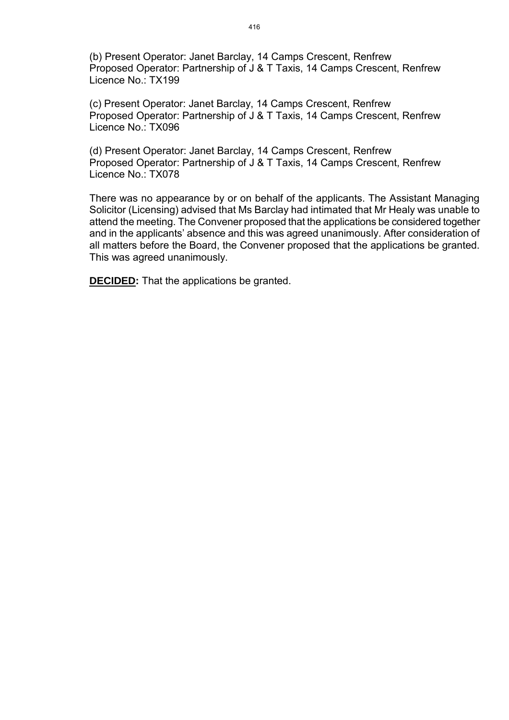(b) Present Operator: Janet Barclay, 14 Camps Crescent, Renfrew Proposed Operator: Partnership of J & T Taxis, 14 Camps Crescent, Renfrew Licence No.: TX199

(c) Present Operator: Janet Barclay, 14 Camps Crescent, Renfrew Proposed Operator: Partnership of J & T Taxis, 14 Camps Crescent, Renfrew Licence No.: TX096

(d) Present Operator: Janet Barclay, 14 Camps Crescent, Renfrew Proposed Operator: Partnership of J & T Taxis, 14 Camps Crescent, Renfrew Licence No.: TX078

There was no appearance by or on behalf of the applicants. The Assistant Managing Solicitor (Licensing) advised that Ms Barclay had intimated that Mr Healy was unable to attend the meeting. The Convener proposed that the applications be considered together and in the applicants' absence and this was agreed unanimously. After consideration of all matters before the Board, the Convener proposed that the applications be granted. This was agreed unanimously.

**DECIDED:** That the applications be granted.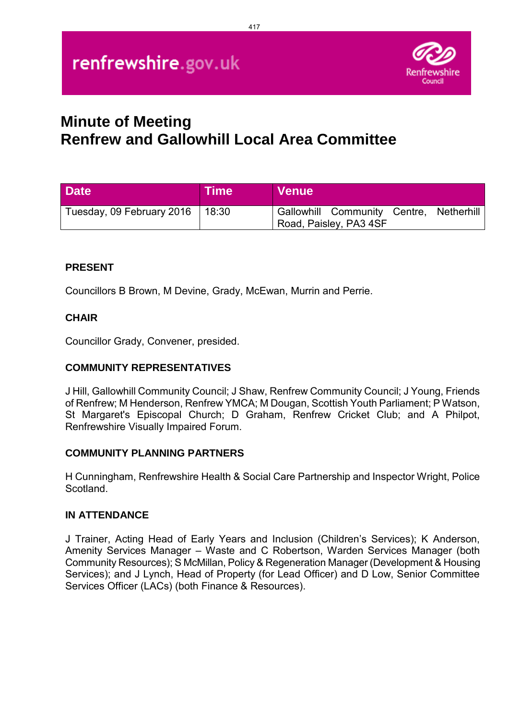

# **Minute of Meeting Renfrew and Gallowhill Local Area Committee**

| <b>Date</b>               | <b>Time</b> | <b>Venue</b>                                                      |
|---------------------------|-------------|-------------------------------------------------------------------|
| Tuesday, 09 February 2016 | 18:30       | Gallowhill Community Centre, Netherhill<br>Road, Paisley, PA3 4SF |

## **PRESENT**

Councillors B Brown, M Devine, Grady, McEwan, Murrin and Perrie.

## **CHAIR**

Councillor Grady, Convener, presided.

## **COMMUNITY REPRESENTATIVES**

J Hill, Gallowhill Community Council; J Shaw, Renfrew Community Council; J Young, Friends of Renfrew; M Henderson, Renfrew YMCA; M Dougan, Scottish Youth Parliament; P Watson, St Margaret's Episcopal Church; D Graham, Renfrew Cricket Club; and A Philpot, Renfrewshire Visually Impaired Forum.

## **COMMUNITY PLANNING PARTNERS**

H Cunningham, Renfrewshire Health & Social Care Partnership and Inspector Wright, Police Scotland.

## **IN ATTENDANCE**

J Trainer, Acting Head of Early Years and Inclusion (Children's Services); K Anderson, Amenity Services Manager – Waste and C Robertson, Warden Services Manager (both Community Resources); S McMillan, Policy & Regeneration Manager (Development & Housing Services); and J Lynch, Head of Property (for Lead Officer) and D Low, Senior Committee Services Officer (LACs) (both Finance & Resources).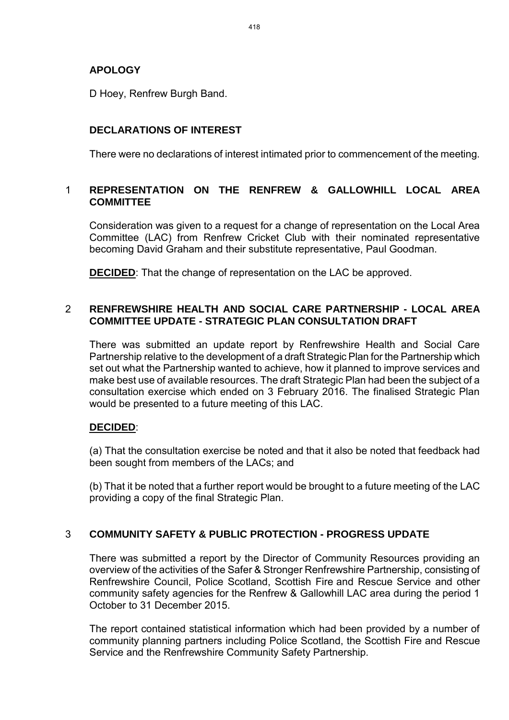# **APOLOGY**

D Hoey, Renfrew Burgh Band.

# **DECLARATIONS OF INTEREST**

There were no declarations of interest intimated prior to commencement of the meeting.

## 1 **REPRESENTATION ON THE RENFREW & GALLOWHILL LOCAL AREA COMMITTEE**

Consideration was given to a request for a change of representation on the Local Area Committee (LAC) from Renfrew Cricket Club with their nominated representative becoming David Graham and their substitute representative, Paul Goodman.

**DECIDED**: That the change of representation on the LAC be approved.

## 2 **RENFREWSHIRE HEALTH AND SOCIAL CARE PARTNERSHIP - LOCAL AREA COMMITTEE UPDATE - STRATEGIC PLAN CONSULTATION DRAFT**

There was submitted an update report by Renfrewshire Health and Social Care Partnership relative to the development of a draft Strategic Plan for the Partnership which set out what the Partnership wanted to achieve, how it planned to improve services and make best use of available resources. The draft Strategic Plan had been the subject of a consultation exercise which ended on 3 February 2016. The finalised Strategic Plan would be presented to a future meeting of this LAC.

# **DECIDED**:

(a) That the consultation exercise be noted and that it also be noted that feedback had been sought from members of the LACs; and

(b) That it be noted that a further report would be brought to a future meeting of the LAC providing a copy of the final Strategic Plan.

# 3 **COMMUNITY SAFETY & PUBLIC PROTECTION - PROGRESS UPDATE**

There was submitted a report by the Director of Community Resources providing an overview of the activities of the Safer & Stronger Renfrewshire Partnership, consisting of Renfrewshire Council, Police Scotland, Scottish Fire and Rescue Service and other community safety agencies for the Renfrew & Gallowhill LAC area during the period 1 October to 31 December 2015.

The report contained statistical information which had been provided by a number of community planning partners including Police Scotland, the Scottish Fire and Rescue Service and the Renfrewshire Community Safety Partnership.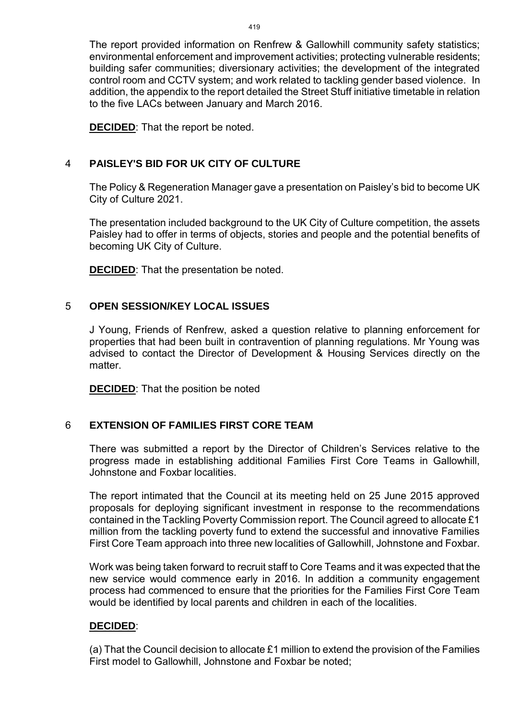The report provided information on Renfrew & Gallowhill community safety statistics; environmental enforcement and improvement activities; protecting vulnerable residents; building safer communities; diversionary activities; the development of the integrated control room and CCTV system; and work related to tackling gender based violence. In addition, the appendix to the report detailed the Street Stuff initiative timetable in relation to the five LACs between January and March 2016.

**DECIDED**: That the report be noted.

## 4 **PAISLEY'S BID FOR UK CITY OF CULTURE**

The Policy & Regeneration Manager gave a presentation on Paisley's bid to become UK City of Culture 2021.

The presentation included background to the UK City of Culture competition, the assets Paisley had to offer in terms of objects, stories and people and the potential benefits of becoming UK City of Culture.

**DECIDED**: That the presentation be noted.

## 5 **OPEN SESSION/KEY LOCAL ISSUES**

J Young, Friends of Renfrew, asked a question relative to planning enforcement for properties that had been built in contravention of planning regulations. Mr Young was advised to contact the Director of Development & Housing Services directly on the matter

**DECIDED:** That the position be noted

# 6 **EXTENSION OF FAMILIES FIRST CORE TEAM**

There was submitted a report by the Director of Children's Services relative to the progress made in establishing additional Families First Core Teams in Gallowhill, Johnstone and Foxbar localities.

The report intimated that the Council at its meeting held on 25 June 2015 approved proposals for deploying significant investment in response to the recommendations contained in the Tackling Poverty Commission report. The Council agreed to allocate £1 million from the tackling poverty fund to extend the successful and innovative Families First Core Team approach into three new localities of Gallowhill, Johnstone and Foxbar.

Work was being taken forward to recruit staff to Core Teams and it was expected that the new service would commence early in 2016. In addition a community engagement process had commenced to ensure that the priorities for the Families First Core Team would be identified by local parents and children in each of the localities.

## **DECIDED**:

(a) That the Council decision to allocate £1 million to extend the provision of the Families First model to Gallowhill, Johnstone and Foxbar be noted;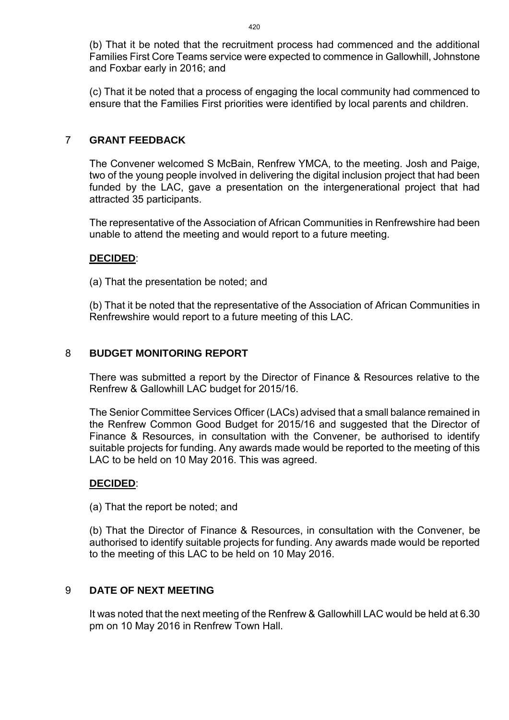(b) That it be noted that the recruitment process had commenced and the additional Families First Core Teams service were expected to commence in Gallowhill, Johnstone and Foxbar early in 2016; and

(c) That it be noted that a process of engaging the local community had commenced to ensure that the Families First priorities were identified by local parents and children.

## 7 **GRANT FEEDBACK**

The Convener welcomed S McBain, Renfrew YMCA, to the meeting. Josh and Paige, two of the young people involved in delivering the digital inclusion project that had been funded by the LAC, gave a presentation on the intergenerational project that had attracted 35 participants.

The representative of the Association of African Communities in Renfrewshire had been unable to attend the meeting and would report to a future meeting.

## **DECIDED**:

(a) That the presentation be noted; and

(b) That it be noted that the representative of the Association of African Communities in Renfrewshire would report to a future meeting of this LAC.

## 8 **BUDGET MONITORING REPORT**

There was submitted a report by the Director of Finance & Resources relative to the Renfrew & Gallowhill LAC budget for 2015/16.

The Senior Committee Services Officer (LACs) advised that a small balance remained in the Renfrew Common Good Budget for 2015/16 and suggested that the Director of Finance & Resources, in consultation with the Convener, be authorised to identify suitable projects for funding. Any awards made would be reported to the meeting of this LAC to be held on 10 May 2016. This was agreed.

## **DECIDED**:

(a) That the report be noted; and

(b) That the Director of Finance & Resources, in consultation with the Convener, be authorised to identify suitable projects for funding. Any awards made would be reported to the meeting of this LAC to be held on 10 May 2016.

## 9 **DATE OF NEXT MEETING**

It was noted that the next meeting of the Renfrew & Gallowhill LAC would be held at 6.30 pm on 10 May 2016 in Renfrew Town Hall.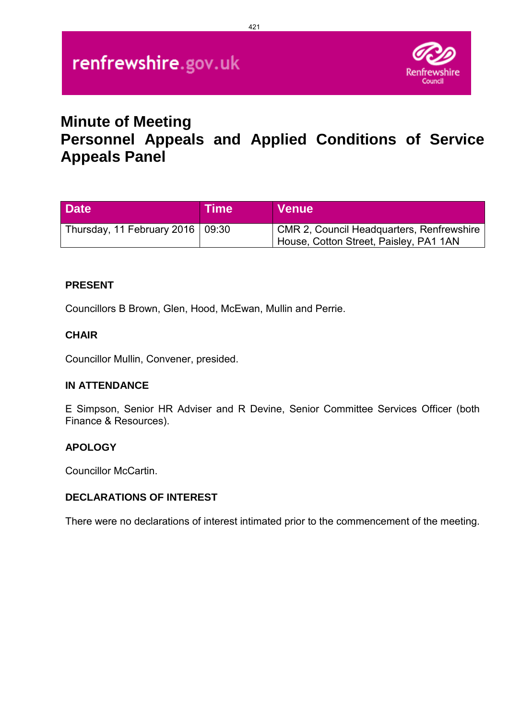

# **Minute of Meeting Personnel Appeals and Applied Conditions of Service Appeals Panel**

| <b>Date</b>                              | <b>Time</b> | <b>Venue</b>                                                                        |
|------------------------------------------|-------------|-------------------------------------------------------------------------------------|
| Thursday, 11 February 2016 $\vert$ 09:30 |             | CMR 2, Council Headquarters, Renfrewshire<br>House, Cotton Street, Paisley, PA1 1AN |

## **PRESENT**

Councillors B Brown, Glen, Hood, McEwan, Mullin and Perrie.

## **CHAIR**

Councillor Mullin, Convener, presided.

## **IN ATTENDANCE**

E Simpson, Senior HR Adviser and R Devine, Senior Committee Services Officer (both Finance & Resources).

## **APOLOGY**

Councillor McCartin.

# **DECLARATIONS OF INTEREST**

There were no declarations of interest intimated prior to the commencement of the meeting.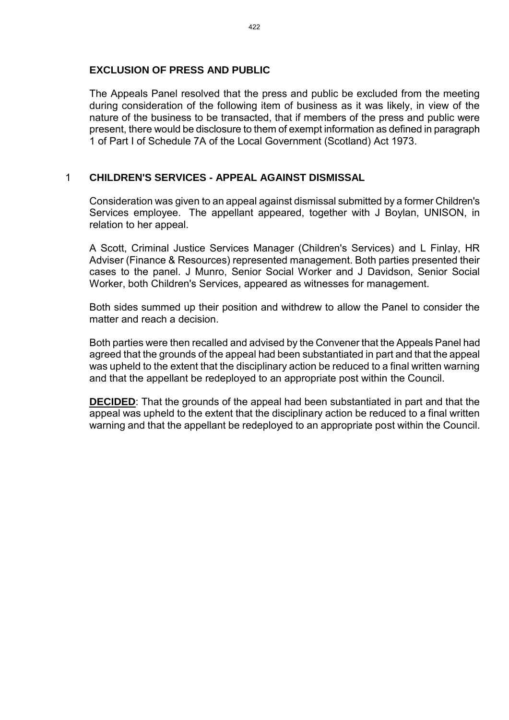## **EXCLUSION OF PRESS AND PUBLIC**

The Appeals Panel resolved that the press and public be excluded from the meeting during consideration of the following item of business as it was likely, in view of the nature of the business to be transacted, that if members of the press and public were present, there would be disclosure to them of exempt information as defined in paragraph 1 of Part I of Schedule 7A of the Local Government (Scotland) Act 1973.

## 1 **CHILDREN'S SERVICES - APPEAL AGAINST DISMISSAL**

Consideration was given to an appeal against dismissal submitted by a former Children's Services employee. The appellant appeared, together with J Boylan, UNISON, in relation to her appeal.

A Scott, Criminal Justice Services Manager (Children's Services) and L Finlay, HR Adviser (Finance & Resources) represented management. Both parties presented their cases to the panel. J Munro, Senior Social Worker and J Davidson, Senior Social Worker, both Children's Services, appeared as witnesses for management.

Both sides summed up their position and withdrew to allow the Panel to consider the matter and reach a decision.

Both parties were then recalled and advised by the Convener that the Appeals Panel had agreed that the grounds of the appeal had been substantiated in part and that the appeal was upheld to the extent that the disciplinary action be reduced to a final written warning and that the appellant be redeployed to an appropriate post within the Council.

**DECIDED**: That the grounds of the appeal had been substantiated in part and that the appeal was upheld to the extent that the disciplinary action be reduced to a final written warning and that the appellant be redeployed to an appropriate post within the Council.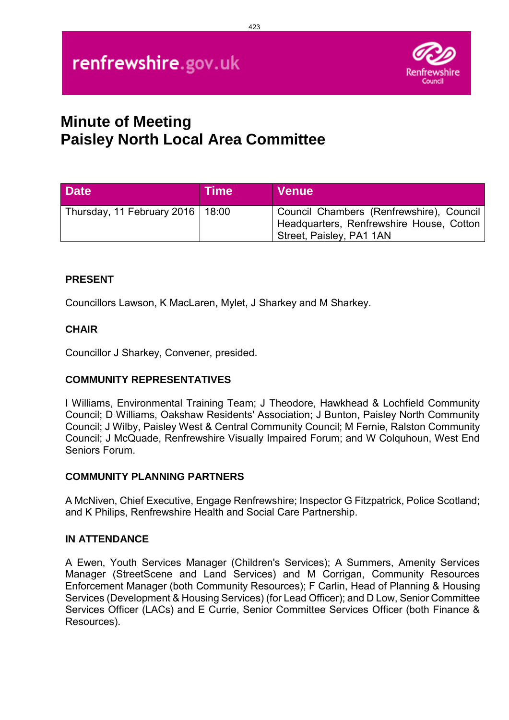

# **Minute of Meeting Paisley North Local Area Committee**

| <b>Date</b>                        | <b>Time</b> | <b>Venue</b>                                                                                                     |
|------------------------------------|-------------|------------------------------------------------------------------------------------------------------------------|
| Thursday, 11 February 2016   18:00 |             | Council Chambers (Renfrewshire), Council<br>Headquarters, Renfrewshire House, Cotton<br>Street, Paisley, PA1 1AN |

# **PRESENT**

Councillors Lawson, K MacLaren, Mylet, J Sharkey and M Sharkey.

# **CHAIR**

Councillor J Sharkey, Convener, presided.

# **COMMUNITY REPRESENTATIVES**

I Williams, Environmental Training Team; J Theodore, Hawkhead & Lochfield Community Council; D Williams, Oakshaw Residents' Association; J Bunton, Paisley North Community Council; J Wilby, Paisley West & Central Community Council; M Fernie, Ralston Community Council; J McQuade, Renfrewshire Visually Impaired Forum; and W Colquhoun, West End Seniors Forum.

## **COMMUNITY PLANNING PARTNERS**

A McNiven, Chief Executive, Engage Renfrewshire; Inspector G Fitzpatrick, Police Scotland; and K Philips, Renfrewshire Health and Social Care Partnership.

## **IN ATTENDANCE**

A Ewen, Youth Services Manager (Children's Services); A Summers, Amenity Services Manager (StreetScene and Land Services) and M Corrigan, Community Resources Enforcement Manager (both Community Resources); F Carlin, Head of Planning & Housing Services (Development & Housing Services) (for Lead Officer); and D Low, Senior Committee Services Officer (LACs) and E Currie, Senior Committee Services Officer (both Finance & Resources).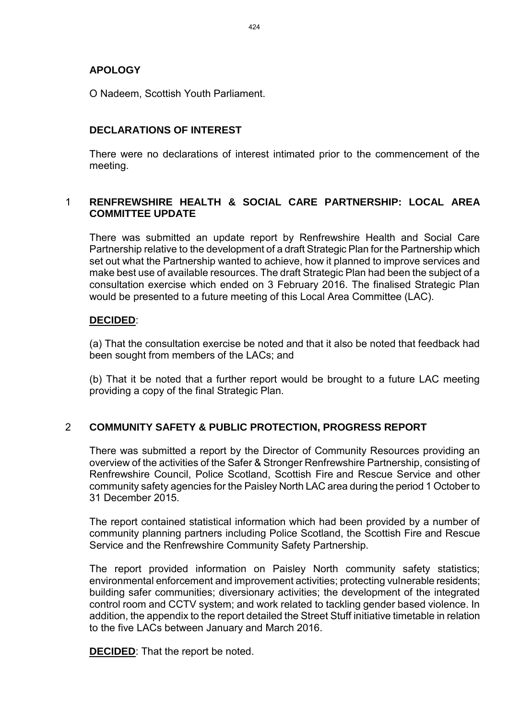## **APOLOGY**

O Nadeem, Scottish Youth Parliament.

# **DECLARATIONS OF INTEREST**

There were no declarations of interest intimated prior to the commencement of the meeting.

## 1 **RENFREWSHIRE HEALTH & SOCIAL CARE PARTNERSHIP: LOCAL AREA COMMITTEE UPDATE**

There was submitted an update report by Renfrewshire Health and Social Care Partnership relative to the development of a draft Strategic Plan for the Partnership which set out what the Partnership wanted to achieve, how it planned to improve services and make best use of available resources. The draft Strategic Plan had been the subject of a consultation exercise which ended on 3 February 2016. The finalised Strategic Plan would be presented to a future meeting of this Local Area Committee (LAC).

## **DECIDED**:

(a) That the consultation exercise be noted and that it also be noted that feedback had been sought from members of the LACs; and

(b) That it be noted that a further report would be brought to a future LAC meeting providing a copy of the final Strategic Plan.

# 2 **COMMUNITY SAFETY & PUBLIC PROTECTION, PROGRESS REPORT**

There was submitted a report by the Director of Community Resources providing an overview of the activities of the Safer & Stronger Renfrewshire Partnership, consisting of Renfrewshire Council, Police Scotland, Scottish Fire and Rescue Service and other community safety agencies for the Paisley North LAC area during the period 1 October to 31 December 2015.

The report contained statistical information which had been provided by a number of community planning partners including Police Scotland, the Scottish Fire and Rescue Service and the Renfrewshire Community Safety Partnership.

The report provided information on Paisley North community safety statistics; environmental enforcement and improvement activities; protecting vulnerable residents; building safer communities; diversionary activities; the development of the integrated control room and CCTV system; and work related to tackling gender based violence. In addition, the appendix to the report detailed the Street Stuff initiative timetable in relation to the five LACs between January and March 2016.

**DECIDED**: That the report be noted.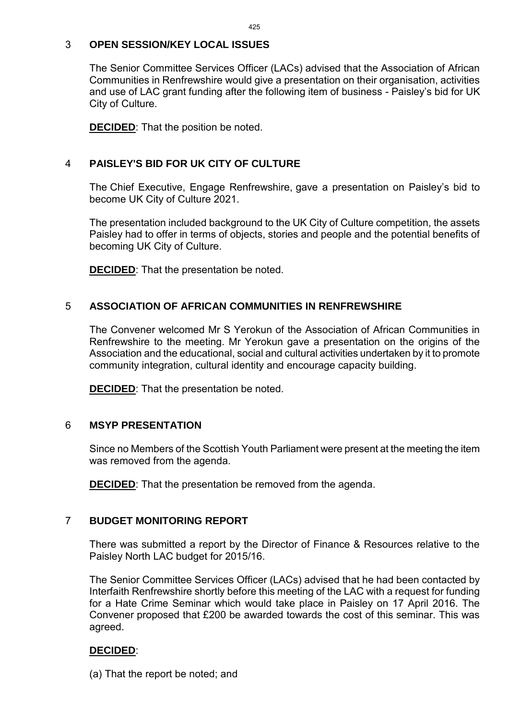## 3 **OPEN SESSION/KEY LOCAL ISSUES**

The Senior Committee Services Officer (LACs) advised that the Association of African Communities in Renfrewshire would give a presentation on their organisation, activities and use of LAC grant funding after the following item of business - Paisley's bid for UK City of Culture.

**DECIDED**: That the position be noted.

## 4 **PAISLEY'S BID FOR UK CITY OF CULTURE**

The Chief Executive, Engage Renfrewshire, gave a presentation on Paisley's bid to become UK City of Culture 2021.

The presentation included background to the UK City of Culture competition, the assets Paisley had to offer in terms of objects, stories and people and the potential benefits of becoming UK City of Culture.

**DECIDED**: That the presentation be noted.

## 5 **ASSOCIATION OF AFRICAN COMMUNITIES IN RENFREWSHIRE**

The Convener welcomed Mr S Yerokun of the Association of African Communities in Renfrewshire to the meeting. Mr Yerokun gave a presentation on the origins of the Association and the educational, social and cultural activities undertaken by it to promote community integration, cultural identity and encourage capacity building.

**DECIDED**: That the presentation be noted.

## 6 **MSYP PRESENTATION**

Since no Members of the Scottish Youth Parliament were present at the meeting the item was removed from the agenda.

**DECIDED**: That the presentation be removed from the agenda.

## 7 **BUDGET MONITORING REPORT**

There was submitted a report by the Director of Finance & Resources relative to the Paisley North LAC budget for 2015/16.

The Senior Committee Services Officer (LACs) advised that he had been contacted by Interfaith Renfrewshire shortly before this meeting of the LAC with a request for funding for a Hate Crime Seminar which would take place in Paisley on 17 April 2016. The Convener proposed that £200 be awarded towards the cost of this seminar. This was agreed.

## **DECIDED**:

(a) That the report be noted; and